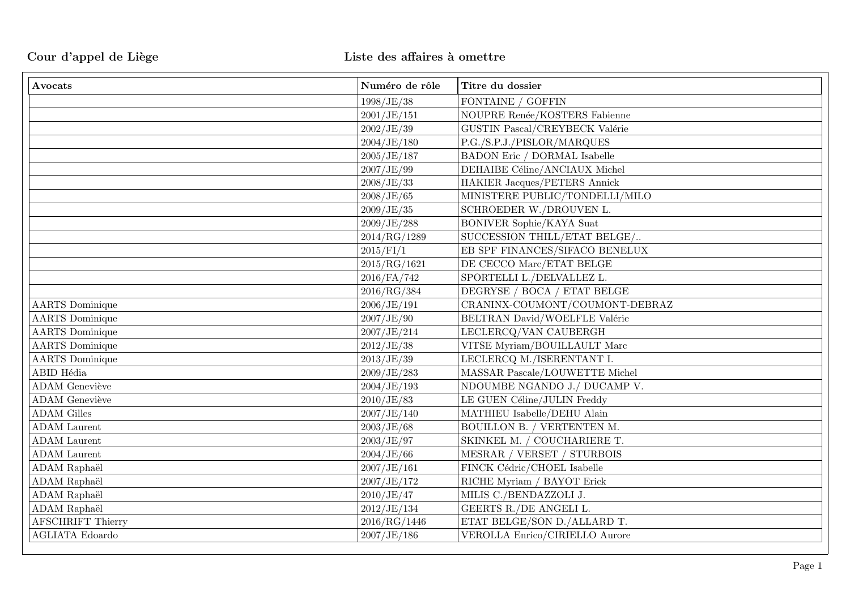| Avocats                  | Numéro de rôle | Titre du dossier                      |
|--------------------------|----------------|---------------------------------------|
|                          | 1998/JE/38     | FONTAINE / GOFFIN                     |
|                          | 2001/JE/151    | NOUPRE Renée/KOSTERS Fabienne         |
|                          | 2002/JE/39     | GUSTIN Pascal/CREYBECK Valérie        |
|                          | 2004/JE/180    | P.G./S.P.J./PISLOR/MARQUES            |
|                          | 2005/JE/187    | <b>BADON Eric / DORMAL Isabelle</b>   |
|                          | 2007/JE/99     | DEHAIBE Céline/ANCIAUX Michel         |
|                          | 2008/JE/33     | HAKIER Jacques/PETERS Annick          |
|                          | 2008/JE/65     | MINISTERE PUBLIC/TONDELLI/MILO        |
|                          | 2009/JE/35     | SCHROEDER W./DROUVEN L.               |
|                          | 2009/JE/288    | BONIVER Sophie/KAYA Suat              |
|                          | 2014/RG/1289   | SUCCESSION THILL/ETAT BELGE/          |
|                          | 2015/FI/1      | EB SPF FINANCES/SIFACO BENELUX        |
|                          | 2015/RG/1621   | DE CECCO Marc/ETAT BELGE              |
|                          | $2016$ /FA/742 | SPORTELLI L./DELVALLEZ L.             |
|                          | 2016/RG/384    | DEGRYSE / BOCA / ETAT BELGE           |
| <b>AARTS</b> Dominique   | 2006/JE/191    | CRANINX-COUMONT/COUMONT-DEBRAZ        |
| <b>AARTS</b> Dominique   | 2007/JE/90     | BELTRAN David/WOELFLE Valérie         |
| <b>AARTS</b> Dominique   | 2007/JE/214    | LECLERCQ/VAN CAUBERGH                 |
| <b>AARTS</b> Dominique   | 2012/JE/38     | VITSE Myriam/BOUILLAULT Marc          |
| <b>AARTS</b> Dominique   | 2013/JE/39     | LECLERCQ M./ISERENTANT I.             |
| ABID Hédia               | 2009/JE/283    | MASSAR Pascale/LOUWETTE Michel        |
| <b>ADAM</b> Geneviève    | 2004/JE/193    | NDOUMBE NGANDO J./ DUCAMP V.          |
| <b>ADAM</b> Geneviève    | 2010/JE/83     | LE GUEN Céline/JULIN Freddy           |
| <b>ADAM Gilles</b>       | 2007/JE/140    | MATHIEU Isabelle/DEHU Alain           |
| <b>ADAM</b> Laurent      | 2003/JE/68     | BOUILLON B. / VERTENTEN M.            |
| <b>ADAM</b> Laurent      | 2003/JE/97     | SKINKEL M. / COUCHARIERE T.           |
| <b>ADAM</b> Laurent      | 2004/JE/66     | MESRAR / VERSET / STURBOIS            |
| ADAM Raphaël             | 2007/JE/161    | FINCK Cédric/CHOEL Isabelle           |
| ADAM Raphaël             | 2007/JE/172    | RICHE Myriam / BAYOT Erick            |
| ADAM Raphaël             | 2010/JE/47     | MILIS C./BENDAZZOLI J.                |
| ADAM Raphaël             | 2012/JE/134    | GEERTS R./DE ANGELI L.                |
| <b>AFSCHRIFT Thierry</b> | 2016/RG/1446   | ETAT BELGE/SON D./ALLARD T.           |
| <b>AGLIATA</b> Edoardo   | 2007/JE/186    | <b>VEROLLA Enrico/CIRIELLO Aurore</b> |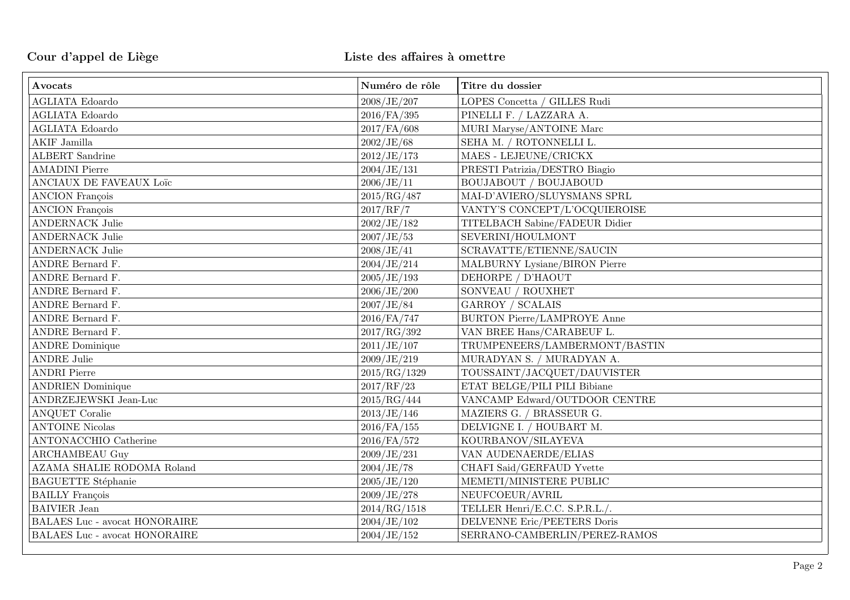| Avocats                              | Numéro de rôle | Titre du dossier                   |
|--------------------------------------|----------------|------------------------------------|
| <b>AGLIATA Edoardo</b>               | 2008/JE/207    | LOPES Concetta / GILLES Rudi       |
| <b>AGLIATA</b> Edoardo               | $2016$ /FA/395 | PINELLI F. / LAZZARA A.            |
| <b>AGLIATA Edoardo</b>               | 2017/FA/608    | MURI Maryse/ANTOINE Marc           |
| AKIF Jamilla                         | 2002/JE/68     | SEHA M. / ROTONNELLI L.            |
| <b>ALBERT</b> Sandrine               | 2012/JE/173    | MAES - LEJEUNE/CRICKX              |
| <b>AMADINI Pierre</b>                | 2004/JE/131    | PRESTI Patrizia/DESTRO Biagio      |
| ANCIAUX DE FAVEAUX Loïc              | 2006/JE/11     | <b>BOUJABOUT / BOUJABOUD</b>       |
| <b>ANCION</b> François               | 2015/RG/487    | MAI-D'AVIERO/SLUYSMANS SPRL        |
| <b>ANCION François</b>               | 2017/RF/7      | VANTY'S CONCEPT/L'OCQUIEROISE      |
| <b>ANDERNACK Julie</b>               | 2002/JE/182    | TITELBACH Sabine/FADEUR Didier     |
| $\operatorname{ANDERNACK}$ Julie     | 2007/JE/53     | SEVERINI/HOULMONT                  |
| <b>ANDERNACK Julie</b>               | 2008/JE/41     | SCRAVATTE/ETIENNE/SAUCIN           |
| ANDRE Bernard F.                     | 2004/JE/214    | MALBURNY Lysiane/BIRON Pierre      |
| ANDRE Bernard F.                     | 2005/JE/193    | DEHORPE / D'HAOUT                  |
| ANDRE Bernard F.                     | 2006/JE/200    | SONVEAU / ROUXHET                  |
| ANDRE Bernard F.                     | 2007/JE/84     | <b>GARROY / SCALAIS</b>            |
| ANDRE Bernard F.                     | 2016/FA/747    | <b>BURTON Pierre/LAMPROYE Anne</b> |
| ANDRE Bernard F.                     | 2017/RG/392    | VAN BREE Hans/CARABEUF L.          |
| <b>ANDRE</b> Dominique               | 2011/JE/107    | TRUMPENEERS/LAMBERMONT/BASTIN      |
| <b>ANDRE Julie</b>                   | 2009/JE/219    | MURADYAN S. / MURADYAN A.          |
| <b>ANDRI</b> Pierre                  | 2015/RG/1329   | TOUSSAINT/JACQUET/DAUVISTER        |
| <b>ANDRIEN</b> Dominique             | 2017/RF/23     | ETAT BELGE/PILI PILI Bibiane       |
| ANDRZEJEWSKI Jean-Luc                | 2015/RG/444    | VANCAMP Edward/OUTDOOR CENTRE      |
| <b>ANQUET Coralie</b>                | 2013/JE/146    | MAZIERS G. / BRASSEUR G.           |
| <b>ANTOINE Nicolas</b>               | $2016$ /FA/155 | DELVIGNE I. / HOUBART M.           |
| <b>ANTONACCHIO Catherine</b>         | 2016/FA/572    | KOURBANOV/SILAYEVA                 |
| <b>ARCHAMBEAU Guy</b>                | 2009/JE/231    | VAN AUDENAERDE/ELIAS               |
| AZAMA SHALIE RODOMA Roland           | 2004/JE/78     | CHAFI Said/GERFAUD Yvette          |
| <b>BAGUETTE</b> Stéphanie            | 2005/JE/120    | MEMETI/MINISTERE PUBLIC            |
| <b>BAILLY</b> François               | 2009/JE/278    | NEUFCOEUR/AVRIL                    |
| <b>BAIVIER</b> Jean                  | 2014/RG/1518   | TELLER Henri/E.C.C. S.P.R.L./.     |
| <b>BALAES Luc - avocat HONORAIRE</b> | 2004/JE/102    | DELVENNE Eric/PEETERS Doris        |
| BALAES Luc - avocat HONORAIRE        | 2004/JE/152    | SERRANO-CAMBERLIN/PEREZ-RAMOS      |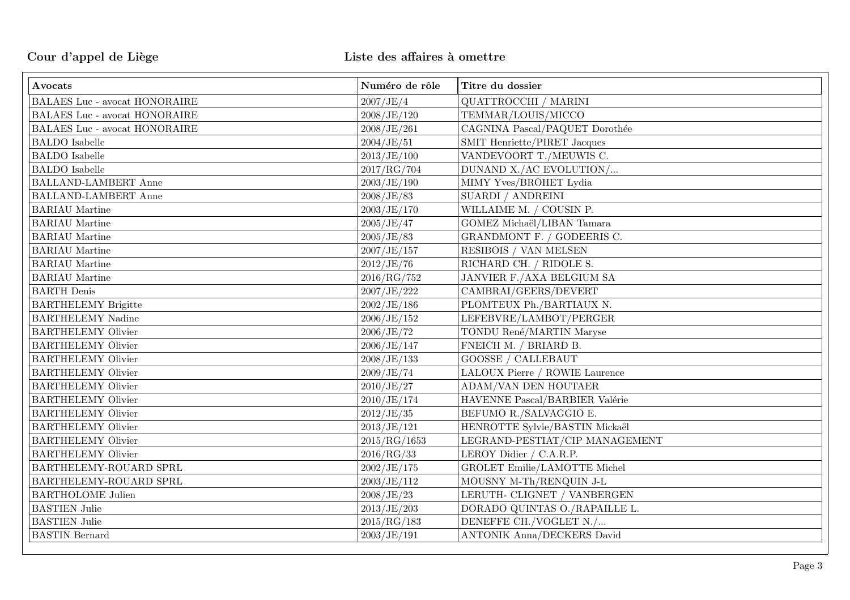| Avocats                              | Numéro de rôle | Titre du dossier                  |
|--------------------------------------|----------------|-----------------------------------|
| BALAES Luc - avocat HONORAIRE        | 2007/JE/4      | QUATTROCCHI / MARINI              |
| <b>BALAES Luc - avocat HONORAIRE</b> | 2008/JE/120    | TEMMAR/LOUIS/MICCO                |
| BALAES Luc - avocat HONORAIRE        | 2008/JE/261    | CAGNINA Pascal/PAQUET Dorothée    |
| <b>BALDO</b> Isabelle                | 2004/JE/51     | SMIT Henriette/PIRET Jacques      |
| <b>BALDO</b> Isabelle                | 2013/JE/100    | VANDEVOORT T./MEUWIS C.           |
| <b>BALDO</b> Isabelle                | 2017/RG/704    | DUNAND X./AC EVOLUTION/           |
| BALLAND-LAMBERT Anne                 | 2003/JE/190    | MIMY Yves/BROHET Lydia            |
| <b>BALLAND-LAMBERT Anne</b>          | 2008/JE/83     | SUARDI / ANDREINI                 |
| <b>BARIAU</b> Martine                | 2003/JE/170    | WILLAIME M. / COUSIN P.           |
| <b>BARIAU</b> Martine                | 2005/JE/47     | GOMEZ Michaël/LIBAN Tamara        |
| <b>BARIAU</b> Martine                | 2005/JE/83     | GRANDMONT F. / GODEERIS C.        |
| <b>BARIAU</b> Martine                | 2007/JE/157    | RESIBOIS / VAN MELSEN             |
| <b>BARIAU</b> Martine                | 2012/JE/76     | RICHARD CH. / RIDOLE S.           |
| <b>BARIAU</b> Martine                | 2016/RG/752    | JANVIER F./AXA BELGIUM SA         |
| <b>BARTH</b> Denis                   | 2007/JE/222    | CAMBRAI/GEERS/DEVERT              |
| <b>BARTHELEMY Brigitte</b>           | 2002/JE/186    | PLOMTEUX Ph./BARTIAUX N.          |
| <b>BARTHELEMY Nadine</b>             | 2006/JE/152    | LEFEBVRE/LAMBOT/PERGER            |
| <b>BARTHELEMY Olivier</b>            | 2006/JE/72     | TONDU René/MARTIN Maryse          |
| <b>BARTHELEMY Olivier</b>            | 2006/JE/147    | FNEICH M. / BRIARD B.             |
| <b>BARTHELEMY Olivier</b>            | 2008/JE/133    | <b>GOOSSE / CALLEBAUT</b>         |
| <b>BARTHELEMY Olivier</b>            | 2009/JE/74     | LALOUX Pierre / ROWIE Laurence    |
| <b>BARTHELEMY Olivier</b>            | 2010/JE/27     | <b>ADAM/VAN DEN HOUTAER</b>       |
| <b>BARTHELEMY Olivier</b>            | 2010/JE/174    | HAVENNE Pascal/BARBIER Valérie    |
| <b>BARTHELEMY Olivier</b>            | 2012/JE/35     | BEFUMO R./SALVAGGIO E.            |
| <b>BARTHELEMY Olivier</b>            | 2013/JE/121    | HENROTTE Sylvie/BASTIN Mickaël    |
| <b>BARTHELEMY Olivier</b>            | 2015/RG/1653   | LEGRAND-PESTIAT/CIP MANAGEMENT    |
| <b>BARTHELEMY Olivier</b>            | 2016/RG/33     | LEROY Didier / C.A.R.P.           |
| BARTHELEMY-ROUARD SPRL               | 2002/JE/175    | GROLET Emilie/LAMOTTE Michel      |
| BARTHELEMY-ROUARD SPRL               | 2003/JE/112    | MOUSNY M-Th/RENQUIN J-L           |
| <b>BARTHOLOME Julien</b>             | 2008/JE/23     | LERUTH- CLIGNET / VANBERGEN       |
| <b>BASTIEN Julie</b>                 | 2013/JE/203    | DORADO QUINTAS O./RAPAILLE L.     |
| <b>BASTIEN Julie</b>                 | 2015/RG/183    | DENEFFE CH./VOGLET N./            |
| <b>BASTIN</b> Bernard                | 2003/JE/191    | <b>ANTONIK Anna/DECKERS David</b> |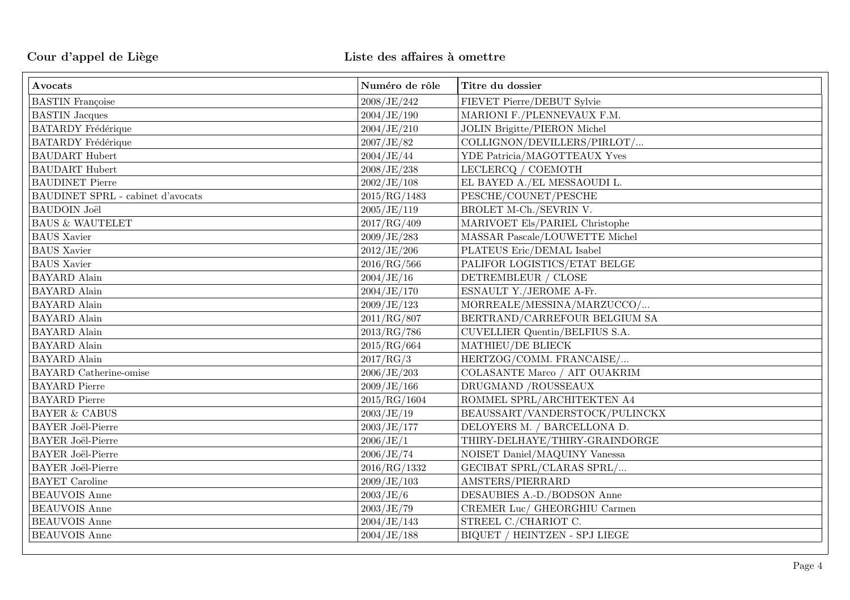| Avocats                           | Numéro de rôle | Titre du dossier                    |
|-----------------------------------|----------------|-------------------------------------|
| <b>BASTIN</b> Françoise           | 2008/JE/242    | FIEVET Pierre/DEBUT Sylvie          |
| <b>BASTIN</b> Jacques             | 2004/JE/190    | MARIONI F./PLENNEVAUX F.M.          |
| <b>BATARDY</b> Frédérique         | 2004/JE/210    | <b>JOLIN Brigitte/PIERON Michel</b> |
| <b>BATARDY</b> Frédérique         | 2007/JE/82     | COLLIGNON/DEVILLERS/PIRLOT/         |
| <b>BAUDART</b> Hubert             | 2004/JE/44     | YDE Patricia/MAGOTTEAUX Yves        |
| <b>BAUDART</b> Hubert             | 2008/JE/238    | LECLERCQ / COEMOTH                  |
| <b>BAUDINET Pierre</b>            | 2002/JE/108    | EL BAYED A./EL MESSAOUDI L.         |
| BAUDINET SPRL - cabinet d'avocats | 2015/RG/1483   | PESCHE/COUNET/PESCHE                |
| <b>BAUDOIN</b> Joël               | 2005/JE/119    | BROLET M-Ch./SEVRIN V.              |
| <b>BAUS &amp; WAUTELET</b>        | 2017/RG/409    | MARIVOET Els/PARIEL Christophe      |
| <b>BAUS</b> Xavier                | 2009/JE/283    | MASSAR Pascale/LOUWETTE Michel      |
| <b>BAUS</b> Xavier                | 2012/JE/206    | PLATEUS Eric/DEMAL Isabel           |
| <b>BAUS</b> Xavier                | 2016/RG/566    | PALIFOR LOGISTICS/ETAT BELGE        |
| <b>BAYARD</b> Alain               | 2004/JE/16     | DETREMBLEUR / CLOSE                 |
| <b>BAYARD</b> Alain               | 2004/JE/170    | ESNAULT Y./JEROME A-Fr.             |
| <b>BAYARD</b> Alain               | 2009/JE/123    | MORREALE/MESSINA/MARZUCCO/          |
| <b>BAYARD</b> Alain               | 2011/RG/807    | BERTRAND/CARREFOUR BELGIUM SA       |
| <b>BAYARD</b> Alain               | 2013/RG/786    | CUVELLIER Quentin/BELFIUS S.A.      |
| <b>BAYARD</b> Alain               | 2015/RG/664    | MATHIEU/DE BLIECK                   |
| <b>BAYARD</b> Alain               | 2017/RG/3      | HERTZOG/COMM. FRANCAISE/            |
| <b>BAYARD</b> Catherine-omise     | 2006/JE/203    | COLASANTE Marco / AIT OUAKRIM       |
| <b>BAYARD</b> Pierre              | 2009/JE/166    | DRUGMAND /ROUSSEAUX                 |
| <b>BAYARD</b> Pierre              | 2015/RG/1604   | ROMMEL SPRL/ARCHITEKTEN A4          |
| <b>BAYER &amp; CABUS</b>          | 2003/JE/19     | BEAUSSART/VANDERSTOCK/PULINCKX      |
| <b>BAYER Joël-Pierre</b>          | 2003/JE/177    | DELOYERS M. / BARCELLONA D.         |
| <b>BAYER Joël-Pierre</b>          | 2006/JE/1      | THIRY-DELHAYE/THIRY-GRAINDORGE      |
| <b>BAYER Joël-Pierre</b>          | 2006/JE/74     | NOISET Daniel/MAQUINY Vanessa       |
| <b>BAYER</b> Joël-Pierre          | 2016/RG/1332   | GECIBAT SPRL/CLARAS SPRL/           |
| <b>BAYET</b> Caroline             | 2009/JE/103    | AMSTERS/PIERRARD                    |
| <b>BEAUVOIS Anne</b>              | 2003/JE/6      | DESAUBIES A.-D./BODSON Anne         |
| <b>BEAUVOIS</b> Anne              | 2003/JE/79     | CREMER Luc/ GHEORGHIU Carmen        |
| <b>BEAUVOIS</b> Anne              | 2004/JE/143    | STREEL C./CHARIOT C.                |
| <b>BEAUVOIS</b> Anne              | 2004/JE/188    | BIQUET / HEINTZEN - SPJ LIEGE       |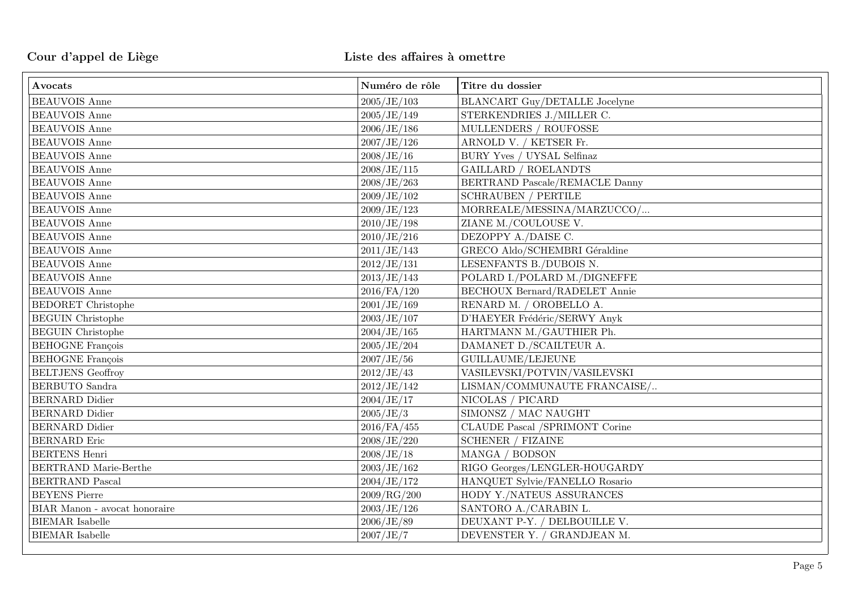| Avocats                       | Numéro de rôle | Titre du dossier                                      |
|-------------------------------|----------------|-------------------------------------------------------|
| <b>BEAUVOIS Anne</b>          | 2005/JE/103    | BLANCART Guy/DETALLE Jocelyne                         |
| <b>BEAUVOIS</b> Anne          | 2005/JE/149    | STERKENDRIES J./MILLER C.                             |
| <b>BEAUVOIS</b> Anne          | 2006/JE/186    | MULLENDERS / ROUFOSSE                                 |
| <b>BEAUVOIS</b> Anne          | 2007/JE/126    | ARNOLD V. / KETSER Fr.                                |
| <b>BEAUVOIS</b> Anne          | 2008/JE/16     | BURY Yves / UYSAL Selfinaz                            |
| <b>BEAUVOIS</b> Anne          | 2008/JE/115    | <b>GAILLARD / ROELANDTS</b>                           |
| <b>BEAUVOIS</b> Anne          | 2008/JE/263    | BERTRAND Pascale/REMACLE Danny                        |
| <b>BEAUVOIS Anne</b>          | 2009/JE/102    | $\operatorname{SCHRAUBEN}$ / $\operatorname{PERTILE}$ |
| <b>BEAUVOIS</b> Anne          | 2009/JE/123    | MORREALE/MESSINA/MARZUCCO/                            |
| <b>BEAUVOIS</b> Anne          | 2010/JE/198    | ZIANE M./COULOUSE V.                                  |
| <b>BEAUVOIS</b> Anne          | 2010/JE/216    | DEZOPPY A./DAISE C.                                   |
| <b>BEAUVOIS</b> Anne          | 2011/JE/143    | GRECO Aldo/SCHEMBRI Géraldine                         |
| <b>BEAUVOIS</b> Anne          | 2012/JE/131    | LESENFANTS B./DUBOIS N.                               |
| <b>BEAUVOIS</b> Anne          | 2013/JE/143    | POLARD I./POLARD M./DIGNEFFE                          |
| <b>BEAUVOIS</b> Anne          | 2016/FA/120    | <b>BECHOUX Bernard/RADELET Annie</b>                  |
| <b>BEDORET</b> Christophe     | 2001/JE/169    | RENARD M. / OROBELLO A.                               |
| <b>BEGUIN</b> Christophe      | 2003/JE/107    | D'HAEYER Frédéric/SERWY Anyk                          |
| <b>BEGUIN</b> Christophe      | 2004/JE/165    | HARTMANN M./GAUTHIER Ph.                              |
| <b>BEHOGNE</b> François       | 2005/JE/204    | DAMANET D./SCAILTEUR A.                               |
| <b>BEHOGNE</b> François       | 2007/JE/56     | GUILLAUME/LEJEUNE                                     |
| <b>BELTJENS</b> Geoffroy      | 2012/JE/43     | VASILEVSKI/POTVIN/VASILEVSKI                          |
| <b>BERBUTO</b> Sandra         | 2012/JE/142    | LISMAN/COMMUNAUTE FRANCAISE/                          |
| <b>BERNARD</b> Didier         | 2004/JE/17     | NICOLAS / PICARD                                      |
| <b>BERNARD</b> Didier         | 2005/JE/3      | SIMONSZ / MAC NAUGHT                                  |
| <b>BERNARD</b> Didier         | $2016$ /FA/455 | CLAUDE Pascal /SPRIMONT Corine                        |
| <b>BERNARD</b> Eric           | 2008/JE/220    | <b>SCHENER / FIZAINE</b>                              |
| <b>BERTENS Henri</b>          | 2008/JE/18     | MANGA / BODSON                                        |
| BERTRAND Marie-Berthe         | 2003/JE/162    | RIGO Georges/LENGLER-HOUGARDY                         |
| <b>BERTRAND Pascal</b>        | 2004/JE/172    | HANQUET Sylvie/FANELLO Rosario                        |
| <b>BEYENS</b> Pierre          | 2009/RG/200    | HODY Y./NATEUS ASSURANCES                             |
| BIAR Manon - avocat honoraire | 2003/JE/126    | SANTORO A./CARABIN L.                                 |
| <b>BIEMAR</b> Isabelle        | 2006/JE/89     | DEUXANT P-Y. / DELBOUILLE V.                          |
| <b>BIEMAR</b> Isabelle        | 2007/JE/7      | DEVENSTER Y. / GRANDJEAN M.                           |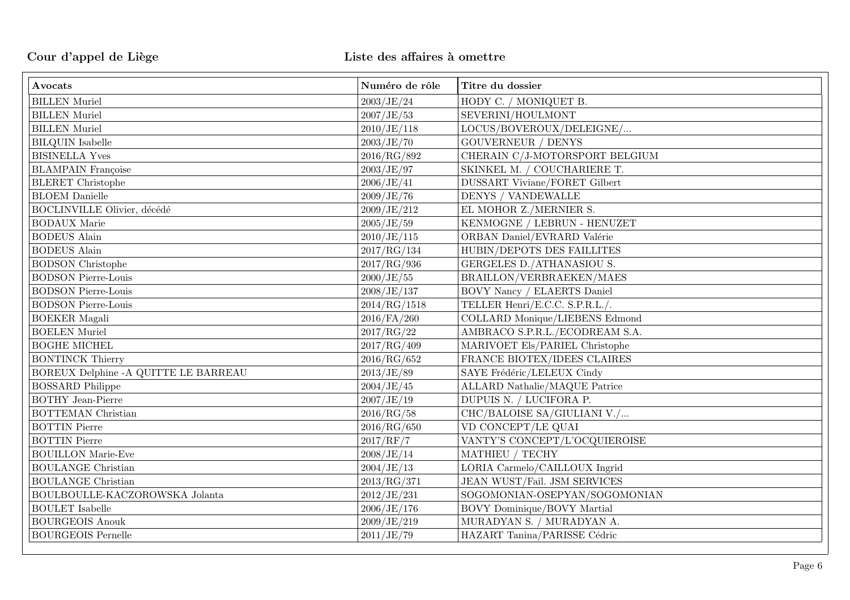| Avocats                               | Numéro de rôle | Titre du dossier                     |
|---------------------------------------|----------------|--------------------------------------|
| <b>BILLEN</b> Muriel                  | 2003/JE/24     | HODY C. / MONIQUET B.                |
| <b>BILLEN</b> Muriel                  | 2007/JE/53     | SEVERINI/HOULMONT                    |
| <b>BILLEN</b> Muriel                  | 2010/JE/118    | LOCUS/BOVEROUX/DELEIGNE/             |
| <b>BILQUIN</b> Isabelle               | 2003/JE/70     | <b>GOUVERNEUR / DENYS</b>            |
| <b>BISINELLA Yves</b>                 | 2016/RG/892    | CHERAIN C/J-MOTORSPORT BELGIUM       |
| <b>BLAMPAIN</b> Françoise             | 2003/JE/97     | SKINKEL M. / COUCHARIERE T.          |
| <b>BLERET</b> Christophe              | 2006/JE/41     | <b>DUSSART Viviane/FORET Gilbert</b> |
| <b>BLOEM</b> Danielle                 | 2009/JE/76     | DENYS / VANDEWALLE                   |
| <b>BOCLINVILLE Olivier</b> , décédé   | 2009/JE/212    | EL MOHOR Z./MERNIER S.               |
| <b>BODAUX</b> Marie                   | 2005/JE/59     | KENMOGNE / LEBRUN - HENUZET          |
| <b>BODEUS</b> Alain                   | 2010/JE/115    | ORBAN Daniel/EVRARD Valérie          |
| <b>BODEUS</b> Alain                   | 2017/RG/134    | HUBIN/DEPOTS DES FAILLITES           |
| <b>BODSON</b> Christophe              | 2017/RG/936    | GERGELES D./ATHANASIOU S.            |
| <b>BODSON Pierre-Louis</b>            | 2000/JE/55     | BRAILLON/VERBRAEKEN/MAES             |
| <b>BODSON Pierre-Louis</b>            | 2008/JE/137    | <b>BOVY Nancy / ELAERTS Daniel</b>   |
| <b>BODSON Pierre-Louis</b>            | 2014/RG/1518   | TELLER Henri/E.C.C. S.P.R.L./.       |
| <b>BOEKER</b> Magali                  | $2016$ /FA/260 | COLLARD Monique/LIEBENS Edmond       |
| <b>BOELEN</b> Muriel                  | 2017/RG/22     | AMBRACO S.P.R.L./ECODREAM S.A.       |
| <b>BOGHE MICHEL</b>                   | 2017/RG/409    | MARIVOET Els/PARIEL Christophe       |
| <b>BONTINCK Thierry</b>               | 2016/RG/652    | FRANCE BIOTEX/IDEES CLAIRES          |
| BOREUX Delphine - A QUITTE LE BARREAU | 2013/JE/89     | SAYE Frédéric/LELEUX Cindy           |
| <b>BOSSARD</b> Philippe               | 2004/JE/45     | <b>ALLARD Nathalie/MAQUE Patrice</b> |
| <b>BOTHY</b> Jean-Pierre              | 2007/JE/19     | DUPUIS N. / LUCIFORA P.              |
| <b>BOTTEMAN</b> Christian             | 2016/RG/58     | CHC/BALOISE SA/GIULIANI V./          |
| <b>BOTTIN</b> Pierre                  | 2016/RG/650    | VD CONCEPT/LE QUAI                   |
| <b>BOTTIN Pierre</b>                  | 2017/RF/7      | VANTY'S CONCEPT/L'OCQUIEROISE        |
| <b>BOUILLON Marie-Eve</b>             | 2008/JE/14     | MATHIEU / TECHY                      |
| <b>BOULANGE Christian</b>             | 2004/JE/13     | LORIA Carmelo/CAILLOUX Ingrid        |
| <b>BOULANGE Christian</b>             | 2013/RG/371    | JEAN WUST/Fail. JSM SERVICES         |
| BOULBOULLE-KACZOROWSKA Jolanta        | 2012/JE/231    | SOGOMONIAN-OSEPYAN/SOGOMONIAN        |
| <b>BOULET</b> Isabelle                | 2006/JE/176    | BOVY Dominique/BOVY Martial          |
| <b>BOURGEOIS Anouk</b>                | 2009/JE/219    | MURADYAN S. / MURADYAN A.            |
| <b>BOURGEOIS Pernelle</b>             | 2011/JE/79     | HAZART Tanina/PARISSE Cédric         |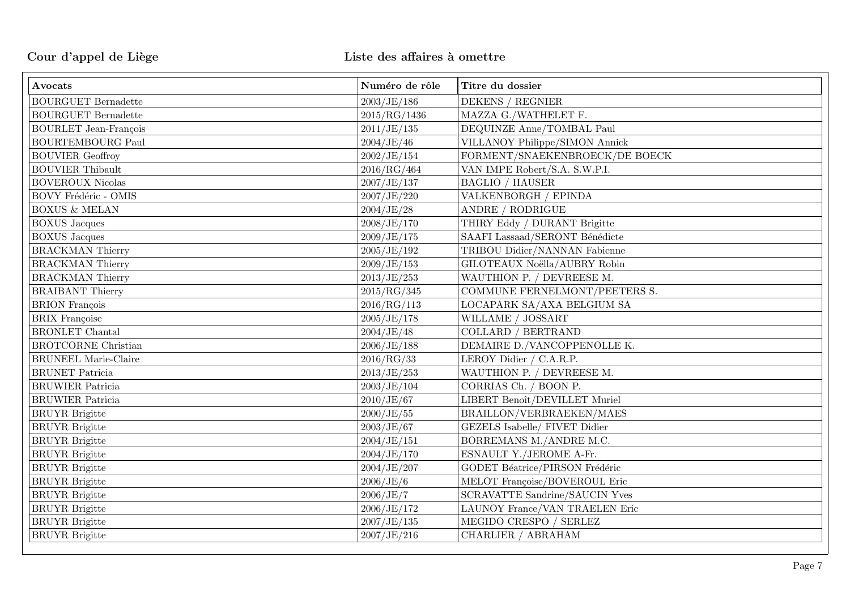| Avocats                      | Numéro de rôle | Titre du dossier                      |
|------------------------------|----------------|---------------------------------------|
| <b>BOURGUET Bernadette</b>   | 2003/JE/186    | DEKENS / REGNIER                      |
| <b>BOURGUET Bernadette</b>   | 2015/RG/1436   | MAZZA G./WATHELET F.                  |
| <b>BOURLET</b> Jean-François | 2011/JE/135    | DEQUINZE Anne/TOMBAL Paul             |
| <b>BOURTEMBOURG Paul</b>     | 2004/JE/46     | VILLANOY Philippe/SIMON Annick        |
| <b>BOUVIER Geoffroy</b>      | 2002/JE/154    | FORMENT/SNAEKENBROECK/DE BOECK        |
| <b>BOUVIER Thibault</b>      | 2016/RG/464    | VAN IMPE Robert/S.A. S.W.P.I.         |
| <b>BOVEROUX Nicolas</b>      | 2007/JE/137    | <b>BAGLIO / HAUSER</b>                |
| BOVY Frédéric - OMIS         | 2007/JE/220    | VALKENBORGH / EPINDA                  |
| <b>BOXUS &amp; MELAN</b>     | 2004/JE/28     | ANDRE / RODRIGUE                      |
| <b>BOXUS</b> Jacques         | 2008/JE/170    | THIRY Eddy / DURANT Brigitte          |
| <b>BOXUS</b> Jacques         | 2009/JE/175    | SAAFI Lassaad/SERONT Bénédicte        |
| <b>BRACKMAN Thierry</b>      | 2005/JE/192    | TRIBOU Didier/NANNAN Fabienne         |
| <b>BRACKMAN Thierry</b>      | 2009/JE/153    | GILOTEAUX Noëlla/AUBRY Robin          |
| <b>BRACKMAN Thierry</b>      | 2013/JE/253    | WAUTHION P. / DEVREESE M.             |
| <b>BRAIBANT</b> Thierry      | 2015/RG/345    | COMMUNE FERNELMONT/PEETERS S.         |
| <b>BRION</b> François        | 2016/RG/113    | LOCAPARK SA/AXA BELGIUM SA            |
| <b>BRIX</b> Françoise        | 2005/JE/178    | WILLAME / JOSSART                     |
| <b>BRONLET</b> Chantal       | 2004/JE/48     | <b>COLLARD</b> / BERTRAND             |
| <b>BROTCORNE Christian</b>   | 2006/JE/188    | DEMAIRE D./VANCOPPENOLLE K.           |
| <b>BRUNEEL Marie-Claire</b>  | 2016/RG/33     | LEROY Didier / C.A.R.P.               |
| <b>BRUNET</b> Patricia       | 2013/JE/253    | WAUTHION P. / DEVREESE M.             |
| <b>BRUWIER Patricia</b>      | 2003/JE/104    | CORRIAS Ch. / BOON P.                 |
| <b>BRUWIER Patricia</b>      | 2010/JE/67     | LIBERT Benoît/DEVILLET Muriel         |
| <b>BRUYR</b> Brigitte        | 2000/JE/55     | BRAILLON/VERBRAEKEN/MAES              |
| <b>BRUYR</b> Brigitte        | 2003/JE/67     | GEZELS Isabelle/ FIVET Didier         |
| <b>BRUYR</b> Brigitte        | 2004/JE/151    | BORREMANS M./ANDRE M.C.               |
| <b>BRUYR</b> Brigitte        | 2004/JE/170    | ESNAULT Y./JEROME A-Fr.               |
| <b>BRUYR</b> Brigitte        | 2004/JE/207    | GODET Béatrice/PIRSON Frédéric        |
| <b>BRUYR</b> Brigitte        | 2006/JE/6      | MELOT Françoise/BOVEROUL Eric         |
| <b>BRUYR</b> Brigitte        | 2006/JE/7      | <b>SCRAVATTE Sandrine/SAUCIN Yves</b> |
| <b>BRUYR</b> Brigitte        | 2006/JE/172    | LAUNOY France/VAN TRAELEN Eric        |
| <b>BRUYR</b> Brigitte        | 2007/JE/135    | MEGIDO CRESPO / SERLEZ                |
| <b>BRUYR</b> Brigitte        | 2007/JE/216    | CHARLIER / ABRAHAM                    |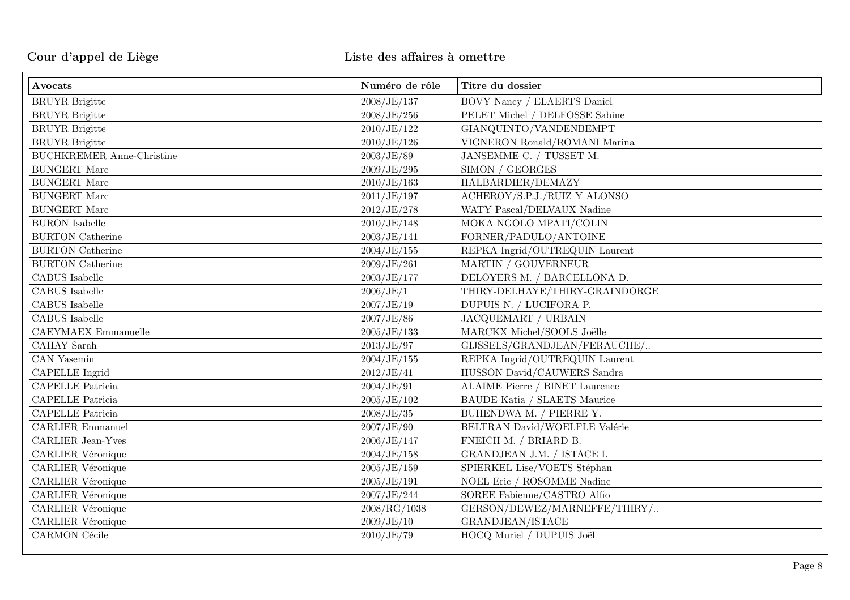# Cour d'appel de Liège le cour d'appel de Liège le cour d'appel de Liège des affaires à omettre

| Avocats                            | Numéro de rôle | Titre du dossier                      |
|------------------------------------|----------------|---------------------------------------|
| <b>BRUYR</b> Brigitte              | 2008/JE/137    | <b>BOVY Nancy / ELAERTS Daniel</b>    |
| <b>BRUYR</b> Brigitte              | 2008/JE/256    | PELET Michel / DELFOSSE Sabine        |
| <b>BRUYR</b> Brigitte              | 2010/JE/122    | GIANQUINTO/VANDENBEMPT                |
| <b>BRUYR</b> Brigitte              | 2010/JE/126    | VIGNERON Ronald/ROMANI Marina         |
| <b>BUCHKREMER Anne-Christine</b>   | 2003/JE/89     | JANSEMME C. / TUSSET M.               |
| <b>BUNGERT Marc</b>                | 2009/JE/295    | SIMON / GEORGES                       |
| <b>BUNGERT Marc</b>                | 2010/JE/163    | HALBARDIER/DEMAZY                     |
| <b>BUNGERT Marc</b>                | 2011/JE/197    | ACHEROY/S.P.J./RUIZ Y ALONSO          |
| <b>BUNGERT Marc</b>                | 2012/JE/278    | WATY Pascal/DELVAUX Nadine            |
| <b>BURON</b> Isabelle              | 2010/JE/148    | MOKA NGOLO MPATI/COLIN                |
| <b>BURTON</b> Catherine            | 2003/JE/141    | FORNER/PADULO/ANTOINE                 |
| <b>BURTON</b> Catherine            | 2004/JE/155    | REPKA Ingrid/OUTREQUIN Laurent        |
| <b>BURTON</b> Catherine            | 2009/JE/261    | MARTIN / GOUVERNEUR                   |
| <b>CABUS</b> Isabelle              | 2003/JE/177    | DELOYERS M. / BARCELLONA D.           |
| CABUS Isabelle                     | 2006/JE/1      | THIRY-DELHAYE/THIRY-GRAINDORGE        |
| CABUS Isabelle                     | 2007/JE/19     | DUPUIS N. / LUCIFORA P.               |
| <b>CABUS</b> Isabelle              | 2007/JE/86     | JACQUEMART / URBAIN                   |
| <b>CAEYMAEX Emmanuelle</b>         | 2005/JE/133    | MARCKX Michel/SOOLS Joëlle            |
| <b>CAHAY</b> Sarah                 | 2013/JE/97     | GIJSSELS/GRANDJEAN/FERAUCHE/          |
| CAN Yasemin                        | 2004/JE/155    | REPKA Ingrid/OUTREQUIN Laurent        |
| <b>CAPELLE</b> Ingrid              | 2012/JE/41     | HUSSON David/CAUWERS Sandra           |
| <b>CAPELLE Patricia</b>            | 2004/JE/91     | <b>ALAIME Pierre / BINET Laurence</b> |
| <b>CAPELLE Patricia</b>            | 2005/JE/102    | <b>BAUDE Katia / SLAETS Maurice</b>   |
| <b>CAPELLE Patricia</b>            | 2008/JE/35     | BUHENDWA M. / PIERRE Y.               |
| <b>CARLIER Emmanuel</b>            | 2007/JE/90     | BELTRAN David/WOELFLE Valérie         |
| $\operatorname{CARLIER}$ Jean-Yves | 2006/JE/147    | FNEICH M. / BRIARD B.                 |
| <b>CARLIER Véronique</b>           | 2004/JE/158    | GRANDJEAN J.M. / ISTACE I.            |
| <b>CARLIER Véronique</b>           | 2005/JE/159    | SPIERKEL Lise/VOETS Stéphan           |
| CARLIER Véronique                  | 2005/JE/191    | NOEL Eric / ROSOMME Nadine            |
| <b>CARLIER Véronique</b>           | 2007/JE/244    | SOREE Fabienne/CASTRO Alfio           |
| <b>CARLIER Véronique</b>           | 2008/RG/1038   | GERSON/DEWEZ/MARNEFFE/THIRY/          |
| <b>CARLIER Véronique</b>           | 2009/JE/10     | GRANDJEAN/ISTACE                      |
| <b>CARMON</b> Cécile               | 2010/JE/79     | HOCQ Muriel / DUPUIS Joël             |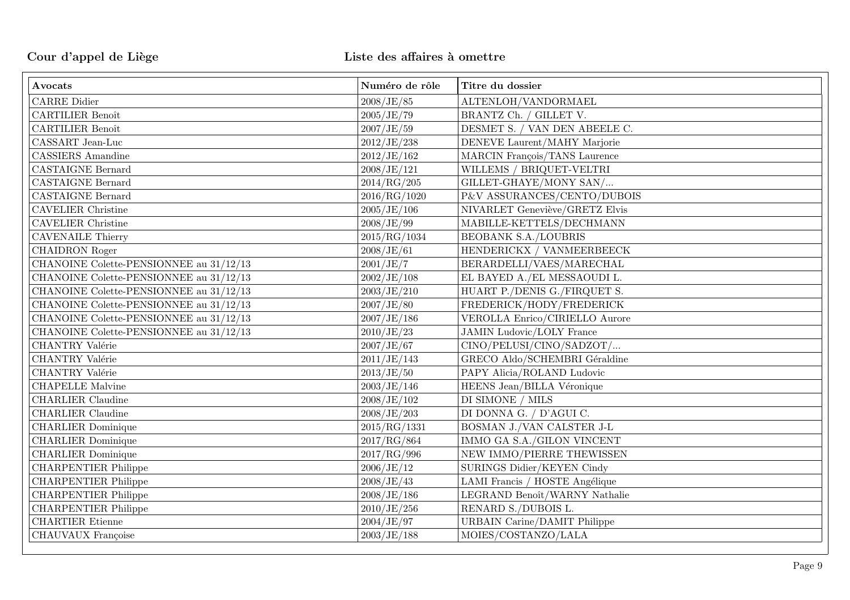| Avocats                                   | Numéro de rôle | Titre du dossier                      |
|-------------------------------------------|----------------|---------------------------------------|
| <b>CARRE Didier</b>                       | 2008/JE/85     | ALTENLOH/VANDORMAEL                   |
| <b>CARTILIER Benoît</b>                   | 2005/JE/79     | BRANTZ Ch. / GILLET V.                |
| <b>CARTILIER Benoît</b>                   | 2007/JE/59     | DESMET S. / VAN DEN ABEELE C.         |
| CASSART Jean-Luc                          | 2012/JE/238    | DENEVE Laurent/MAHY Marjorie          |
| <b>CASSIERS</b> Amandine                  | 2012/JE/162    | MARCIN François/TANS Laurence         |
| <b>CASTAIGNE Bernard</b>                  | 2008/JE/121    | WILLEMS / BRIQUET-VELTRI              |
| <b>CASTAIGNE Bernard</b>                  | 2014/RG/205    | GILLET-GHAYE/MONY SAN/                |
| <b>CASTAIGNE Bernard</b>                  | 2016/RG/1020   | P&V ASSURANCES/CENTO/DUBOIS           |
| <b>CAVELIER Christine</b>                 | 2005/JE/106    | NIVARLET Geneviève/GRETZ Elvis        |
| <b>CAVELIER Christine</b>                 | 2008/JE/99     | MABILLE-KETTELS/DECHMANN              |
| <b>CAVENAILE Thierry</b>                  | 2015/RG/1034   | <b>BEOBANK S.A./LOUBRIS</b>           |
| <b>CHAIDRON</b> Roger                     | 2008/JE/61     | HENDERICKX / VANMEERBEECK             |
| CHANOINE Colette-PENSIONNEE au $31/12/13$ | 2001/JE/7      | BERARDELLI/VAES/MARECHAL              |
| CHANOINE Colette-PENSIONNEE au $31/12/13$ | 2002/JE/108    | EL BAYED A./EL MESSAOUDI L.           |
| CHANOINE Colette-PENSIONNEE au 31/12/13   | 2003/JE/210    | HUART P./DENIS G./FIRQUET S.          |
| CHANOINE Colette-PENSIONNEE au 31/12/13   | 2007/JE/80     | FREDERICK/HODY/FREDERICK              |
| CHANOINE Colette-PENSIONNEE au $31/12/13$ | 2007/JE/186    | <b>VEROLLA Enrico/CIRIELLO Aurore</b> |
| CHANOINE Colette-PENSIONNEE au $31/12/13$ | 2010/JE/23     | <b>JAMIN Ludovic/LOLY France</b>      |
| CHANTRY Valérie                           | 2007/JE/67     | CINO/PELUSI/CINO/SADZOT/              |
| CHANTRY Valérie                           | 2011/JE/143    | GRECO Aldo/SCHEMBRI Géraldine         |
| CHANTRY Valérie                           | 2013/JE/50     | PAPY Alicia/ROLAND Ludovic            |
| CHAPELLE Malvine                          | 2003/JE/146    | HEENS Jean/BILLA Véronique            |
| <b>CHARLIER Claudine</b>                  | 2008/JE/102    | DI SIMONE / MILS                      |
| <b>CHARLIER</b> Claudine                  | 2008/JE/203    | DI DONNA G. / D'AGUI C.               |
| <b>CHARLIER Dominique</b>                 | 2015/RG/1331   | BOSMAN J./VAN CALSTER J-L             |
| <b>CHARLIER Dominique</b>                 | 2017/RG/864    | IMMO GA S.A./GILON VINCENT            |
| <b>CHARLIER Dominique</b>                 | 2017/RG/996    | NEW IMMO/PIERRE THEWISSEN             |
| <b>CHARPENTIER Philippe</b>               | 2006/JE/12     | SURINGS Didier/KEYEN Cindy            |
| <b>CHARPENTIER Philippe</b>               | 2008/JE/43     | LAMI Francis / HOSTE Angélique        |
| <b>CHARPENTIER Philippe</b>               | 2008/JE/186    | LEGRAND Benoît/WARNY Nathalie         |
| <b>CHARPENTIER Philippe</b>               | 2010/JE/256    | RENARD S./DUBOIS L.                   |
| <b>CHARTIER Etienne</b>                   | 2004/JE/97     | <b>URBAIN Carine/DAMIT Philippe</b>   |
| CHAUVAUX Françoise                        | 2003/JE/188    | MOIES/COSTANZO/LALA                   |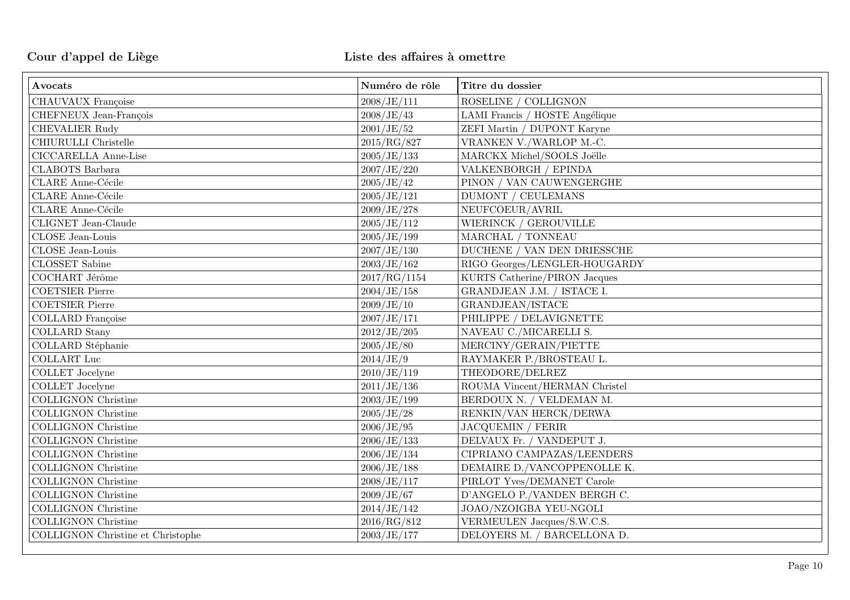| Avocats                           | Numéro de rôle | Titre du dossier               |
|-----------------------------------|----------------|--------------------------------|
| CHAUVAUX Françoise                | 2008/JE/111    | ROSELINE / COLLIGNON           |
| CHEFNEUX Jean-François            | 2008/JE/43     | LAMI Francis / HOSTE Angélique |
| <b>CHEVALIER Rudy</b>             | 2001/JE/52     | ZEFI Martin / DUPONT Karyne    |
| CHIURULLI Christelle              | 2015/RG/827    | VRANKEN V./WARLOP M.-C.        |
| CICCARELLA Anne-Lise              | 2005/JE/133    | MARCKX Michel/SOOLS Joëlle     |
| <b>CLABOTS</b> Barbara            | 2007/JE/220    | VALKENBORGH / EPINDA           |
| <b>CLARE</b> Anne-Cécile          | 2005/JE/42     | PINON / VAN CAUWENGERGHE       |
| <b>CLARE</b> Anne-Cécile          | 2005/JE/121    | <b>DUMONT / CEULEMANS</b>      |
| <b>CLARE</b> Anne-Cécile          | 2009/JE/278    | NEUFCOEUR/AVRIL                |
| CLIGNET Jean-Claude               | 2005/JE/112    | WIERINCK / GEROUVILLE          |
| CLOSE Jean-Louis                  | 2005/JE/199    | MARCHAL / TONNEAU              |
| CLOSE Jean-Louis                  | 2007/JE/130    | DUCHENE / VAN DEN DRIESSCHE    |
| <b>CLOSSET</b> Sabine             | 2003/JE/162    | RIGO Georges/LENGLER-HOUGARDY  |
| COCHART Jérôme                    | 2017/RG/1154   | KURTS Catherine/PIRON Jacques  |
| <b>COETSIER Pierre</b>            | 2004/JE/158    | GRANDJEAN J.M. / ISTACE I.     |
| <b>COETSIER Pierre</b>            | 2009/JE/10     | GRANDJEAN/ISTACE               |
| <b>COLLARD</b> Françoise          | 2007/JE/171    | PHILIPPE / DELAVIGNETTE        |
| <b>COLLARD</b> Stany              | 2012/JE/205    | NAVEAU C./MICARELLI S.         |
| COLLARD Stéphanie                 | 2005/JE/80     | MERCINY/GERAIN/PIETTE          |
| <b>COLLART</b> Luc                | 2014/JE/9      | RAYMAKER P./BROSTEAU L.        |
| COLLET Jocelyne                   | 2010/JE/119    | THEODORE/DELREZ                |
| <b>COLLET</b> Jocelyne            | 2011/JE/136    | ROUMA Vincent/HERMAN Christel  |
| <b>COLLIGNON Christine</b>        | 2003/JE/199    | BERDOUX N. / VELDEMAN M.       |
| <b>COLLIGNON Christine</b>        | 2005/JE/28     | RENKIN/VAN HERCK/DERWA         |
| <b>COLLIGNON Christine</b>        | 2006/JE/95     | JACQUEMIN / FERIR              |
| <b>COLLIGNON Christine</b>        | 2006/JE/133    | DELVAUX Fr. / VANDEPUT J.      |
| <b>COLLIGNON Christine</b>        | 2006/JE/134    | CIPRIANO CAMPAZAS/LEENDERS     |
| <b>COLLIGNON Christine</b>        | 2006/JE/188    | DEMAIRE D./VANCOPPENOLLE K.    |
| <b>COLLIGNON Christine</b>        | 2008/JE/117    | PIRLOT Yves/DEMANET Carole     |
| <b>COLLIGNON Christine</b>        | 2009/JE/67     | D'ANGELO P./VANDEN BERGH C.    |
| COLLIGNON Christine               | 2014/JE/142    | JOAO/NZOIGBA YEU-NGOLI         |
| <b>COLLIGNON Christine</b>        | 2016/RG/812    | VERMEULEN Jacques/S.W.C.S.     |
| COLLIGNON Christine et Christophe | 2003/JE/177    | DELOYERS M. / BARCELLONA D.    |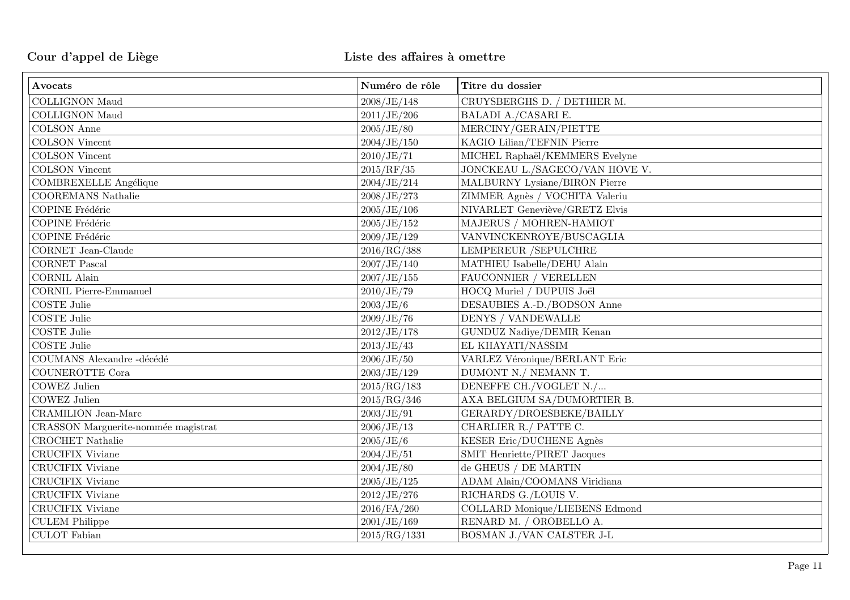| Avocats                             | Numéro de rôle | Titre du dossier               |
|-------------------------------------|----------------|--------------------------------|
| <b>COLLIGNON Maud</b>               | 2008/JE/148    | CRUYSBERGHS D. / DETHIER M.    |
| <b>COLLIGNON Maud</b>               | 2011/JE/206    | BALADI A./CASARI E.            |
| <b>COLSON</b> Anne                  | 2005/JE/80     | MERCINY/GERAIN/PIETTE          |
| <b>COLSON</b> Vincent               | 2004/JE/150    | KAGIO Lilian/TEFNIN Pierre     |
| <b>COLSON</b> Vincent               | 2010/JE/71     | MICHEL Raphaël/KEMMERS Evelyne |
| <b>COLSON</b> Vincent               | 2015/RF/35     | JONCKEAU L./SAGECO/VAN HOVE V. |
| <b>COMBREXELLE Angélique</b>        | 2004/JE/214    | MALBURNY Lysiane/BIRON Pierre  |
| <b>COOREMANS</b> Nathalie           | 2008/JE/273    | ZIMMER Agnès / VOCHITA Valeriu |
| COPINE Frédéric                     | 2005/JE/106    | NIVARLET Geneviève/GRETZ Elvis |
| <b>COPINE</b> Frédéric              | 2005/JE/152    | MAJERUS / MOHREN-HAMIOT        |
| COPINE Frédéric                     | 2009/JE/129    | VANVINCKENROYE/BUSCAGLIA       |
| <b>CORNET</b> Jean-Claude           | 2016/RG/388    | <b>LEMPEREUR /SEPULCHRE</b>    |
| <b>CORNET Pascal</b>                | 2007/JE/140    | MATHIEU Isabelle/DEHU Alain    |
| <b>CORNIL Alain</b>                 | 2007/JE/155    | FAUCONNIER / VERELLEN          |
| <b>CORNIL Pierre-Emmanuel</b>       | 2010/JE/79     | HOCQ Muriel / DUPUIS Joël      |
| <b>COSTE Julie</b>                  | 2003/JE/6      | DESAUBIES A.-D./BODSON Anne    |
| <b>COSTE Julie</b>                  | 2009/JE/76     | DENYS / VANDEWALLE             |
| <b>COSTE Julie</b>                  | 2012/JE/178    | GUNDUZ Nadiye/DEMIR Kenan      |
| <b>COSTE Julie</b>                  | 2013/JE/43     | EL KHAYATI/NASSIM              |
| COUMANS Alexandre -décédé           | 2006/JE/50     | VARLEZ Véronique/BERLANT Eric  |
| <b>COUNEROTTE Cora</b>              | 2003/JE/129    | DUMONT N./ NEMANN T.           |
| COWEZ Julien                        | 2015/RG/183    | DENEFFE CH./VOGLET N./         |
| <b>COWEZ Julien</b>                 | 2015/RG/346    | AXA BELGIUM SA/DUMORTIER B.    |
| <b>CRAMILION</b> Jean-Marc          | 2003/JE/91     | GERARDY/DROESBEKE/BAILLY       |
| CRASSON Marguerite-nommée magistrat | 2006/JE/13     | CHARLIER R./ PATTE C.          |
| CROCHET Nathalie                    | 2005/JE/6      | KESER Eric/DUCHENE Agnès       |
| <b>CRUCIFIX Viviane</b>             | 2004/JE/51     | SMIT Henriette/PIRET Jacques   |
| <b>CRUCIFIX Viviane</b>             | 2004/JE/80     | de GHEUS / DE MARTIN           |
| CRUCIFIX Viviane                    | 2005/JE/125    | ADAM Alain/COOMANS Viridiana   |
| CRUCIFIX Viviane                    | 2012/JE/276    | RICHARDS G./LOUIS V.           |
| CRUCIFIX Viviane                    | 2016/FA/260    | COLLARD Monique/LIEBENS Edmond |
| <b>CULEM Philippe</b>               | 2001/JE/169    | RENARD M. / OROBELLO A.        |
| <b>CULOT</b> Fabian                 | 2015/RG/1331   | BOSMAN J./VAN CALSTER J-L      |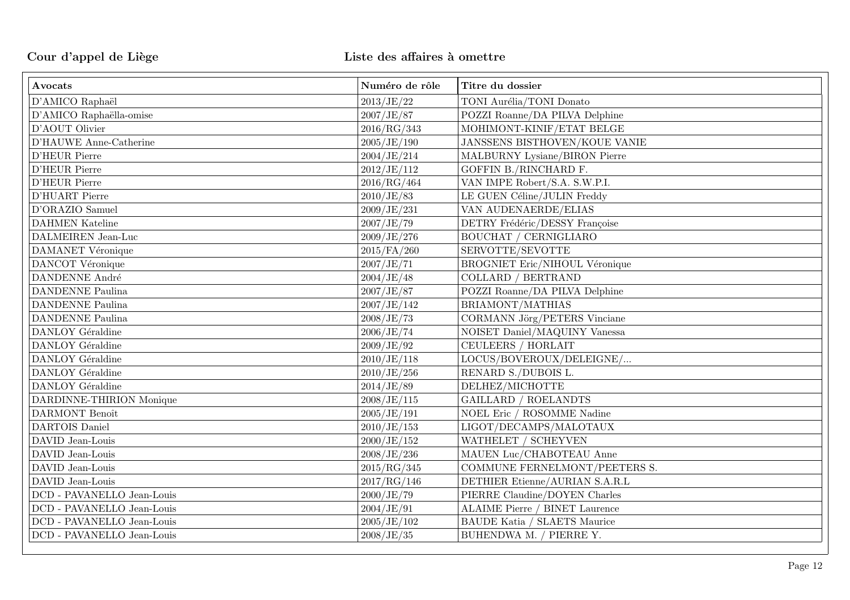| Avocats                    | Numéro de rôle | Titre du dossier                      |
|----------------------------|----------------|---------------------------------------|
| D'AMICO Raphaël            | 2013/JE/22     | TONI Aurélia/TONI Donato              |
| D'AMICO Raphaëlla-omise    | 2007/JE/87     | POZZI Roanne/DA PILVA Delphine        |
| D'AOUT Olivier             | 2016/RG/343    | MOHIMONT-KINIF/ETAT BELGE             |
| D'HAUWE Anne-Catherine     | 2005/JE/190    | JANSSENS BISTHOVEN/KOUE VANIE         |
| D'HEUR Pierre              | 2004/JE/214    | MALBURNY Lysiane/BIRON Pierre         |
| D'HEUR Pierre              | 2012/JE/112    | GOFFIN B./RINCHARD F.                 |
| D'HEUR Pierre              | 2016/RG/464    | VAN IMPE Robert/S.A. S.W.P.I.         |
| D'HUART Pierre             | 2010/JE/83     | LE GUEN Céline/JULIN Freddy           |
| D'ORAZIO Samuel            | 2009/JE/231    | VAN AUDENAERDE/ELIAS                  |
| <b>DAHMEN</b> Kateline     | 2007/JE/79     | DETRY Frédéric/DESSY Françoise        |
| DALMEIREN Jean-Luc         | 2009/JE/276    | <b>BOUCHAT / CERNIGLIARO</b>          |
| DAMANET Véronique          | 2015/FA/260    | SERVOTTE/SEVOTTE                      |
| DANCOT Véronique           | 2007/JE/71     | <b>BROGNIET Eric/NIHOUL Véronique</b> |
| <b>DANDENNE</b> André      | 2004/JE/48     | COLLARD / BERTRAND                    |
| <b>DANDENNE Paulina</b>    | 2007/JE/87     | POZZI Roanne/DA PILVA Delphine        |
| <b>DANDENNE Paulina</b>    | 2007/JE/142    | BRIAMONT/MATHIAS                      |
| <b>DANDENNE Paulina</b>    | 2008/JE/73     | CORMANN Jörg/PETERS Vinciane          |
| DANLOY Géraldine           | 2006/JE/74     | NOISET Daniel/MAQUINY Vanessa         |
| DANLOY Géraldine           | 2009/JE/92     | CEULEERS / HORLAIT                    |
| DANLOY Géraldine           | 2010/JE/118    | LOCUS/BOVEROUX/DELEIGNE/              |
| DANLOY Géraldine           | 2010/JE/256    | RENARD S./DUBOIS L.                   |
| DANLOY Géraldine           | 2014/JE/89     | DELHEZ/MICHOTTE                       |
| DARDINNE-THIRION Monique   | 2008/JE/115    | <b>GAILLARD / ROELANDTS</b>           |
| DARMONT Benoît             | 2005/JE/191    | NOEL Eric / ROSOMME Nadine            |
| DARTOIS Daniel             | 2010/JE/153    | LIGOT/DECAMPS/MALOTAUX                |
| DAVID Jean-Louis           | 2000/JE/152    | WATHELET / SCHEYVEN                   |
| DAVID Jean-Louis           | 2008/JE/236    | MAUEN Luc/CHABOTEAU Anne              |
| DAVID Jean-Louis           | 2015/RG/345    | COMMUNE FERNELMONT/PEETERS S.         |
| DAVID Jean-Louis           | 2017/RG/146    | DETHIER Etienne/AURIAN S.A.R.L        |
| DCD - PAVANELLO Jean-Louis | 2000/JE/79     | PIERRE Claudine/DOYEN Charles         |
| DCD - PAVANELLO Jean-Louis | 2004/JE/91     | <b>ALAIME Pierre / BINET Laurence</b> |
| DCD - PAVANELLO Jean-Louis | 2005/JE/102    | <b>BAUDE Katia / SLAETS Maurice</b>   |
| DCD - PAVANELLO Jean-Louis | 2008/JE/35     | BUHENDWA M. / PIERRE Y.               |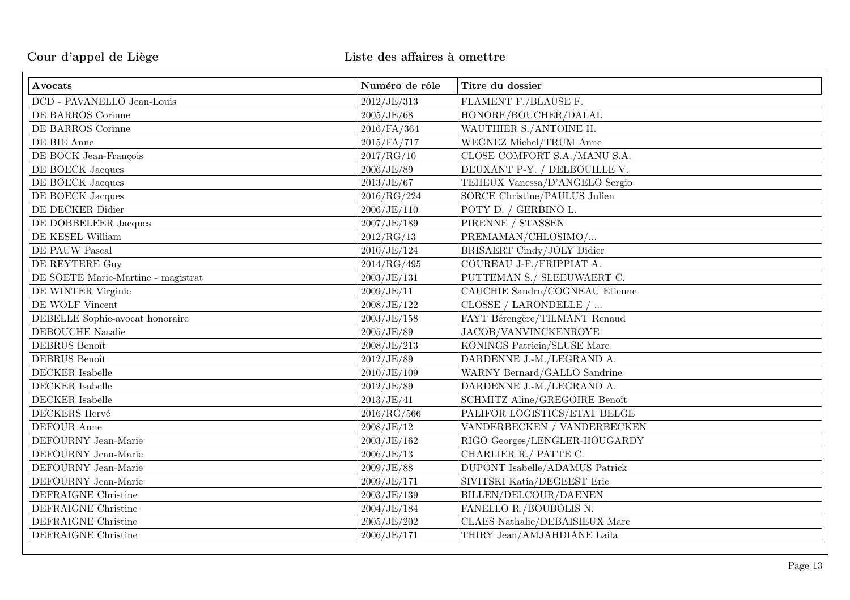| Avocats                            | Numéro de rôle | Titre du dossier                  |
|------------------------------------|----------------|-----------------------------------|
| DCD - PAVANELLO Jean-Louis         | 2012/JE/313    | FLAMENT F./BLAUSE F.              |
| DE BARROS Corinne                  | 2005/JE/68     | HONORE/BOUCHER/DALAL              |
| DE BARROS Corinne                  | 2016/FA/364    | WAUTHIER S./ANTOINE H.            |
| $\rm{DE}$ BIE Anne                 | 2015/FA/717    | WEGNEZ Michel/TRUM Anne           |
| DE BOCK Jean-François              | 2017/RG/10     | CLOSE COMFORT S.A./MANU S.A.      |
| DE BOECK Jacques                   | 2006/JE/89     | DEUXANT P-Y. / DELBOUILLE V.      |
| DE BOECK Jacques                   | 2013/JE/67     | TEHEUX Vanessa/D'ANGELO Sergio    |
| DE BOECK Jacques                   | 2016/RG/224    | SORCE Christine/PAULUS Julien     |
| DE DECKER Didier                   | 2006/JE/110    | POTY D. / GERBINO L.              |
| DE DOBBELEER Jacques               | 2007/JE/189    | PIRENNE / STASSEN                 |
| DE KESEL William                   | 2012/RG/13     | PREMAMAN/CHLOSIMO/                |
| DE PAUW Pascal                     | 2010/JE/124    | <b>BRISAERT Cindy/JOLY Didier</b> |
| DE REYTERE Guy                     | 2014/RG/495    | COUREAU J-F./FRIPPIAT A.          |
| DE SOETE Marie-Martine - magistrat | 2003/JE/131    | PUTTEMAN S./ SLEEUWAERT C.        |
| DE WINTER Virginie                 | 2009/JE/11     | CAUCHIE Sandra/COGNEAU Etienne    |
| DE WOLF Vincent                    | 2008/JE/122    | CLOSSE / LARONDELLE /             |
| DEBELLE Sophie-avocat honoraire    | 2003/JE/158    | FAYT Bérengère/TILMANT Renaud     |
| DEBOUCHE Natalie                   | 2005/JE/89     | JACOB/VANVINCKENROYE              |
| DEBRUS Benoît                      | 2008/JE/213    | KONINGS Patricia/SLUSE Marc       |
| DEBRUS Benoît                      | 2012/JE/89     | DARDENNE J.-M./LEGRAND A.         |
| DECKER Isabelle                    | 2010/JE/109    | WARNY Bernard/GALLO Sandrine      |
| DECKER Isabelle                    | 2012/JE/89     | DARDENNE J.-M./LEGRAND A.         |
| DECKER Isabelle                    | 2013/JE/41     | SCHMITZ Aline/GREGOIRE Benoît     |
| <b>DECKERS Hervé</b>               | 2016/RG/566    | PALIFOR LOGISTICS/ETAT BELGE      |
| DEFOUR Anne                        | 2008/JE/12     | VANDERBECKEN / VANDERBECKEN       |
| DEFOURNY Jean-Marie                | 2003/JE/162    | RIGO Georges/LENGLER-HOUGARDY     |
| DEFOURNY Jean-Marie                | 2006/JE/13     | CHARLIER R./ PATTE C.             |
| DEFOURNY Jean-Marie                | 2009/JE/88     | DUPONT Isabelle/ADAMUS Patrick    |
| DEFOURNY Jean-Marie                | 2009/JE/171    | SIVITSKI Katia/DEGEEST Eric       |
| DEFRAIGNE Christine                | 2003/JE/139    | BILLEN/DELCOUR/DAENEN             |
| DEFRAIGNE Christine                | 2004/JE/184    | FANELLO R./BOUBOLIS N.            |
| DEFRAIGNE Christine                | 2005/JE/202    | CLAES Nathalie/DEBAISIEUX Marc    |
| DEFRAIGNE Christine                | 2006/JE/171    | THIRY Jean/AMJAHDIANE Laila       |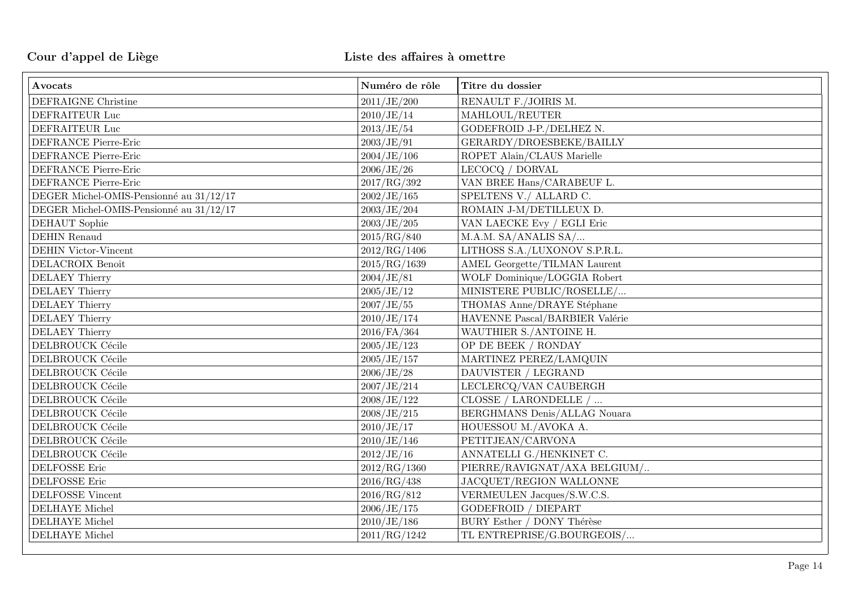| Avocats                                   | Numéro de rôle | Titre du dossier                     |
|-------------------------------------------|----------------|--------------------------------------|
| DEFRAIGNE Christine                       | 2011/JE/200    | RENAULT F./JOIRIS M.                 |
| DEFRAITEUR Luc                            | 2010/JE/14     | MAHLOUL/REUTER                       |
| DEFRAITEUR Luc                            | 2013/JE/54     | GODEFROID J-P./DELHEZ N.             |
| DEFRANCE Pierre-Eric                      | 2003/JE/91     | GERARDY/DROESBEKE/BAILLY             |
| DEFRANCE Pierre-Eric                      | 2004/JE/106    | ROPET Alain/CLAUS Marielle           |
| DEFRANCE Pierre-Eric                      | 2006/JE/26     | LECOCQ / DORVAL                      |
| DEFRANCE Pierre-Eric                      | 2017/RG/392    | VAN BREE Hans/CARABEUF L.            |
| DEGER Michel-OMIS-Pensionné au 31/12/17   | 2002/JE/165    | SPELTENS V./ ALLARD C.               |
| DEGER Michel-OMIS-Pensionné au $31/12/17$ | 2003/JE/204    | ROMAIN J-M/DETILLEUX D.              |
| $\operatorname{DEHAUT}$ Sophie            | 2003/JE/205    | VAN LAECKE Evy / EGLI Eric           |
| <b>DEHIN</b> Renaud                       | 2015/RG/840    | M.A.M. SA/ANALIS SA/                 |
| <b>DEHIN Victor-Vincent</b>               | 2012/RG/1406   | LITHOSS S.A./LUXONOV S.P.R.L.        |
| DELACROIX Benoît                          | 2015/RG/1639   | <b>AMEL Georgette/TILMAN Laurent</b> |
| <b>DELAEY Thierry</b>                     | 2004/JE/81     | WOLF Dominique/LOGGIA Robert         |
| <b>DELAEY Thierry</b>                     | 2005/JE/12     | MINISTERE PUBLIC/ROSELLE/            |
| <b>DELAEY Thierry</b>                     | 2007/JE/55     | THOMAS Anne/DRAYE Stéphane           |
| DELAEY Thierry                            | 2010/JE/174    | HAVENNE Pascal/BARBIER Valérie       |
| DELAEY Thierry                            | 2016/FA/364    | WAUTHIER S./ANTOINE H.               |
| DELBROUCK Cécile                          | 2005/JE/123    | OP DE BEEK / RONDAY                  |
| DELBROUCK Cécile                          | 2005/JE/157    | MARTINEZ PEREZ/LAMQUIN               |
| DELBROUCK Cécile                          | 2006/JE/28     | DAUVISTER / LEGRAND                  |
| DELBROUCK Cécile                          | 2007/JE/214    | LECLERCQ/VAN CAUBERGH                |
| DELBROUCK Cécile                          | 2008/JE/122    | CLOSSE / LARONDELLE /                |
| DELBROUCK Cécile                          | 2008/JE/215    | BERGHMANS Denis/ALLAG Nouara         |
| DELBROUCK Cécile                          | 2010/JE/17     | HOUESSOU M./AVOKA A.                 |
| DELBROUCK Cécile                          | 2010/JE/146    | PETITJEAN/CARVONA                    |
| DELBROUCK Cécile                          | 2012/JE/16     | ANNATELLI G./HENKINET C.             |
| DELFOSSE Eric                             | 2012/RG/1360   | PIERRE/RAVIGNAT/AXA BELGIUM/         |
| DELFOSSE Eric                             | 2016/RG/438    | JACQUET/REGION WALLONNE              |
| <b>DELFOSSE Vincent</b>                   | 2016/RG/812    | VERMEULEN Jacques/S.W.C.S.           |
| <b>DELHAYE</b> Michel                     | 2006/JE/175    | <b>GODEFROID</b> / DIEPART           |
| DELHAYE Michel                            | 2010/JE/186    | BURY Esther / DONY Thérèse           |
| DELHAYE Michel                            | 2011/RG/1242   | TL ENTREPRISE/G.BOURGEOIS/           |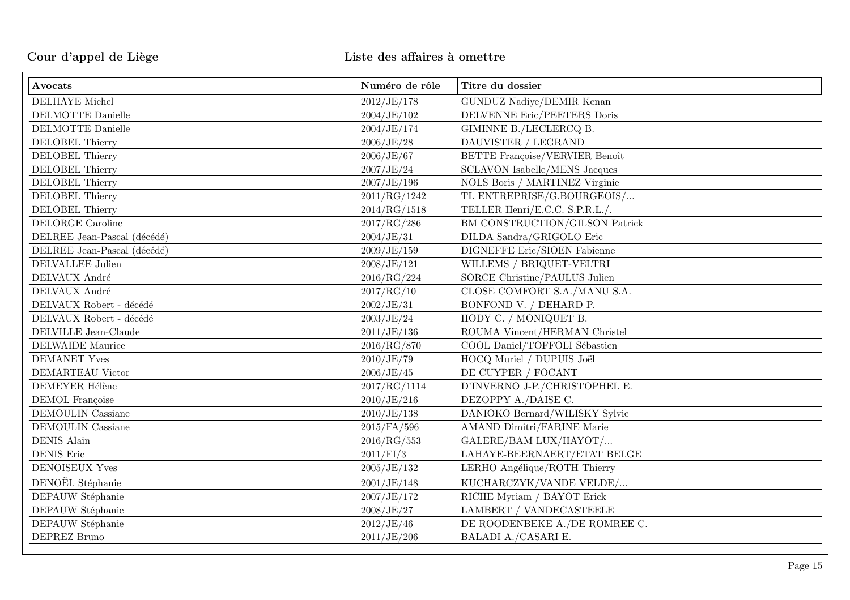| Avocats                     | Numéro de rôle | Titre du dossier                      |
|-----------------------------|----------------|---------------------------------------|
| <b>DELHAYE</b> Michel       | 2012/JE/178    | GUNDUZ Nadiye/DEMIR Kenan             |
| <b>DELMOTTE Danielle</b>    | 2004/JE/102    | DELVENNE Eric/PEETERS Doris           |
| DELMOTTE Danielle           | 2004/JE/174    | GIMINNE B./LECLERCQ B.                |
| <b>DELOBEL Thierry</b>      | 2006/JE/28     | DAUVISTER / LEGRAND                   |
| <b>DELOBEL Thierry</b>      | 2006/JE/67     | <b>BETTE Françoise/VERVIER Benoît</b> |
| <b>DELOBEL Thierry</b>      | 2007/JE/24     | <b>SCLAVON Isabelle/MENS Jacques</b>  |
| <b>DELOBEL Thierry</b>      | 2007/JE/196    | NOLS Boris / MARTINEZ Virginie        |
| <b>DELOBEL Thierry</b>      | 2011/RG/1242   | TL ENTREPRISE/G.BOURGEOIS/            |
| DELOBEL Thierry             | 2014/RG/1518   | TELLER Henri/E.C.C. S.P.R.L./.        |
| DELORGE Caroline            | 2017/RG/286    | BM CONSTRUCTION/GILSON Patrick        |
| DELREE Jean-Pascal (décédé) | 2004/JE/31     | DILDA Sandra/GRIGOLO Eric             |
| DELREE Jean-Pascal (décédé) | 2009/JE/159    | DIGNEFFE Eric/SIOEN Fabienne          |
| DELVALLEE Julien            | 2008/JE/121    | WILLEMS / BRIQUET-VELTRI              |
| DELVAUX André               | 2016/RG/224    | SORCE Christine/PAULUS Julien         |
| DELVAUX André               | 2017/RG/10     | CLOSE COMFORT S.A./MANU S.A.          |
| DELVAUX Robert - décédé     | 2002/JE/31     | BONFOND V. / DEHARD P.                |
| DELVAUX Robert - décédé     | 2003/JE/24     | HODY C. / MONIQUET B.                 |
| DELVILLE Jean-Claude        | 2011/JE/136    | ROUMA Vincent/HERMAN Christel         |
| <b>DELWAIDE</b> Maurice     | 2016/RG/870    | COOL Daniel/TOFFOLI Sébastien         |
| <b>DEMANET Yves</b>         | 2010/JE/79     | HOCQ Muriel / DUPUIS Joël             |
| DEMARTEAU Victor            | 2006/JE/45     | DE CUYPER / FOCANT                    |
| DEMEYER Hélène              | 2017/RG/1114   | D'INVERNO J-P./CHRISTOPHEL E.         |
| <b>DEMOL</b> Françoise      | 2010/JE/216    | DEZOPPY A./DAISE C.                   |
| DEMOULIN Cassiane           | 2010/JE/138    | DANIOKO Bernard/WILISKY Sylvie        |
| <b>DEMOULIN</b> Cassiane    | 2015/FA/596    | AMAND Dimitri/FARINE Marie            |
| <b>DENIS Alain</b>          | 2016/RG/553    | GALERE/BAM LUX/HAYOT/                 |
| <b>DENIS Eric</b>           | 2011/FI/3      | LAHAYE-BEERNAERT/ETAT BELGE           |
| <b>DENOISEUX Yves</b>       | 2005/JE/132    | LERHO Angélique/ROTH Thierry          |
| DENOËL Stéphanie            | 2001/JE/148    | KUCHARCZYK/VANDE VELDE/               |
| DEPAUW Stéphanie            | 2007/JE/172    | RICHE Myriam / BAYOT Erick            |
| DEPAUW Stéphanie            | 2008/JE/27     | <b>LAMBERT / VANDECASTEELE</b>        |
| DEPAUW Stéphanie            | 2012/JE/46     | DE ROODENBEKE A./DE ROMREE C.         |
| DEPREZ Bruno                | 2011/JE/206    | BALADI A./CASARI E.                   |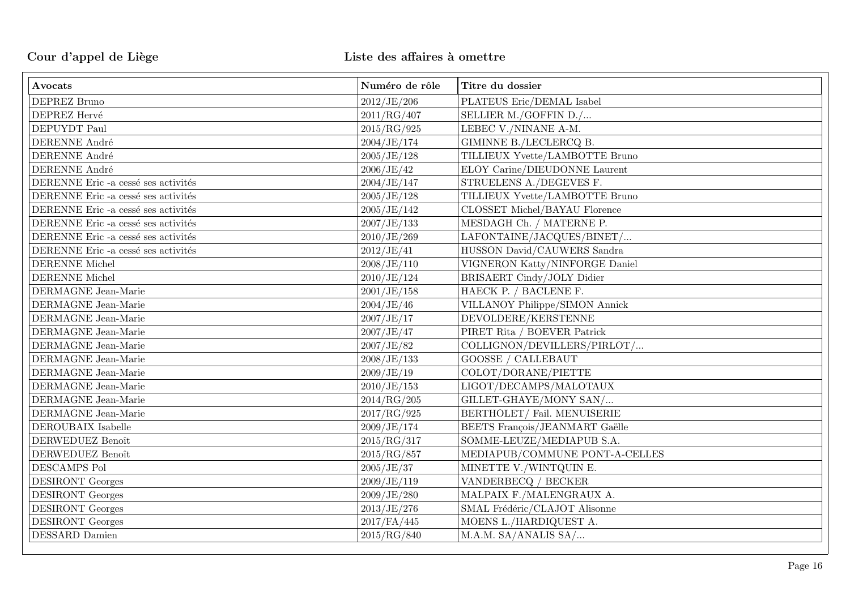| Avocats                             | Numéro de rôle | Titre du dossier               |
|-------------------------------------|----------------|--------------------------------|
| DEPREZ Bruno                        | 2012/JE/206    | PLATEUS Eric/DEMAL Isabel      |
| DEPREZ Hervé                        | 2011/RG/407    | SELLIER M./GOFFIN D./          |
| DEPUYDT Paul                        | 2015/RG/925    | LEBEC V./NINANE A-M.           |
| DERENNE André                       | 2004/JE/174    | GIMINNE B./LECLERCQ B.         |
| DERENNE André                       | 2005/JE/128    | TILLIEUX Yvette/LAMBOTTE Bruno |
| DERENNE André                       | 2006/JE/42     | ELOY Carine/DIEUDONNE Laurent  |
| DERENNE Eric -a cessé ses activités | 2004/JE/147    | STRUELENS A./DEGEVES F.        |
| DERENNE Eric -a cessé ses activités | 2005/JE/128    | TILLIEUX Yvette/LAMBOTTE Bruno |
| DERENNE Eric -a cessé ses activités | 2005/JE/142    | CLOSSET Michel/BAYAU Florence  |
| DERENNE Eric -a cessé ses activités | 2007/JE/133    | MESDAGH Ch. / MATERNE P.       |
| DERENNE Eric -a cessé ses activités | 2010/JE/269    | LAFONTAINE/JACQUES/BINET/      |
| DERENNE Eric -a cessé ses activités | 2012/JE/41     | HUSSON David/CAUWERS Sandra    |
| DERENNE Michel                      | 2008/JE/110    | VIGNERON Katty/NINFORGE Daniel |
| DERENNE Michel                      | 2010/JE/124    | BRISAERT Cindy/JOLY Didier     |
| DERMAGNE Jean-Marie                 | 2001/JE/158    | HAECK P. / BACLENE F.          |
| DERMAGNE Jean-Marie                 | 2004/JE/46     | VILLANOY Philippe/SIMON Annick |
| DERMAGNE Jean-Marie                 | 2007/JE/17     | DEVOLDERE/KERSTENNE            |
| DERMAGNE Jean-Marie                 | 2007/JE/47     | PIRET Rita / BOEVER Patrick    |
| DERMAGNE Jean-Marie                 | 2007/JE/82     | COLLIGNON/DEVILLERS/PIRLOT/    |
| DERMAGNE Jean-Marie                 | 2008/JE/133    | <b>GOOSSE / CALLEBAUT</b>      |
| DERMAGNE Jean-Marie                 | 2009/JE/19     | COLOT/DORANE/PIETTE            |
| DERMAGNE Jean-Marie                 | 2010/JE/153    | LIGOT/DECAMPS/MALOTAUX         |
| DERMAGNE Jean-Marie                 | 2014/RG/205    | GILLET-GHAYE/MONY SAN/         |
| DERMAGNE Jean-Marie                 | 2017/RG/925    | BERTHOLET/Fail. MENUISERIE     |
| DEROUBAIX Isabelle                  | 2009/JE/174    | BEETS François/JEANMART Gaëlle |
| DERWEDUEZ Benoît                    | 2015/RG/317    | SOMME-LEUZE/MEDIAPUB S.A.      |
| DERWEDUEZ Benoît                    | 2015/RG/857    | MEDIAPUB/COMMUNE PONT-A-CELLES |
| DESCAMPS Pol                        | 2005/JE/37     | MINETTE V./WINTQUIN E.         |
| <b>DESIRONT</b> Georges             | 2009/JE/119    | VANDERBECQ / BECKER            |
| <b>DESIRONT</b> Georges             | 2009/JE/280    | MALPAIX F./MALENGRAUX A.       |
| <b>DESIRONT</b> Georges             | 2013/JE/276    | SMAL Frédéric/CLAJOT Alisonne  |
| DESIRONT Georges                    | 2017/FA/445    | MOENS L./HARDIQUEST A.         |
| DESSARD Damien                      | 2015/RG/840    | M.A.M. SA/ANALIS SA/           |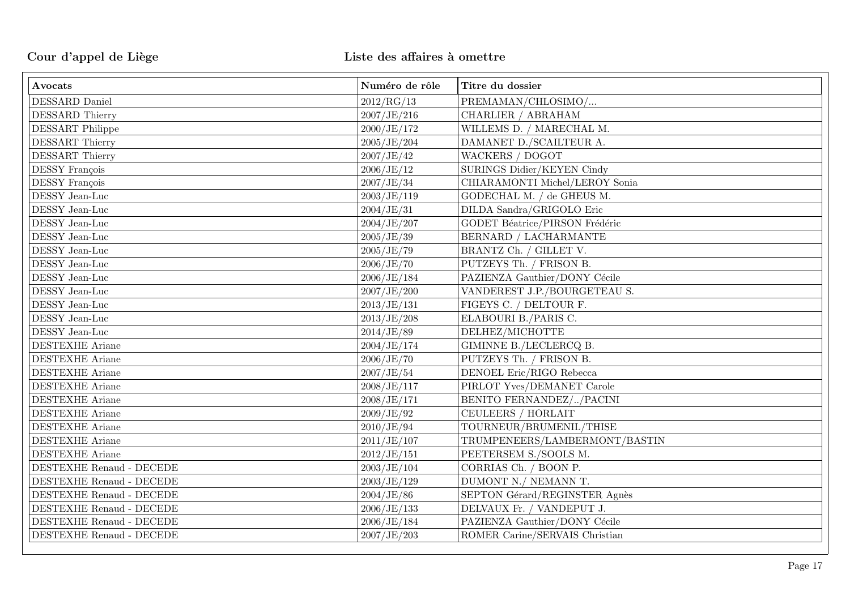| Avocats                  | Numéro de rôle | Titre du dossier               |
|--------------------------|----------------|--------------------------------|
| DESSARD Daniel           | 2012/RG/13     | PREMAMAN/CHLOSIMO/             |
| DESSARD Thierry          | 2007/JE/216    | CHARLIER / ABRAHAM             |
| <b>DESSART</b> Philippe  | 2000/JE/172    | WILLEMS D. / MARECHAL M.       |
| DESSART Thierry          | 2005/JE/204    | DAMANET D./SCAILTEUR A.        |
| DESSART Thierry          | 2007/JE/42     | <b>WACKERS / DOGOT</b>         |
| <b>DESSY François</b>    | 2006/JE/12     | SURINGS Didier/KEYEN Cindy     |
| DESSY François           | 2007/JE/34     | CHIARAMONTI Michel/LEROY Sonia |
| DESSY Jean-Luc           | 2003/JE/119    | GODECHAL M. / de GHEUS M.      |
| DESSY Jean-Luc           | 2004/JE/31     | DILDA Sandra/GRIGOLO Eric      |
| DESSY Jean-Luc           | 2004/JE/207    | GODET Béatrice/PIRSON Frédéric |
| DESSY Jean-Luc           | 2005/JE/39     | BERNARD / LACHARMANTE          |
| DESSY Jean-Luc           | 2005/JE/79     | BRANTZ Ch. / GILLET V.         |
| DESSY Jean-Luc           | 2006/JE/70     | PUTZEYS Th. / FRISON B.        |
| DESSY Jean-Luc           | 2006/JE/184    | PAZIENZA Gauthier/DONY Cécile  |
| DESSY Jean-Luc           | 2007/JE/200    | VANDEREST J.P./BOURGETEAU S.   |
| DESSY Jean-Luc           | 2013/JE/131    | FIGEYS C. / DELTOUR F.         |
| DESSY Jean-Luc           | 2013/JE/208    | ELABOURI B./PARIS C.           |
| DESSY Jean-Luc           | 2014/JE/89     | DELHEZ/MICHOTTE                |
| <b>DESTEXHE Ariane</b>   | 2004/JE/174    | GIMINNE B./LECLERCQ B.         |
| <b>DESTEXHE Ariane</b>   | 2006/JE/70     | PUTZEYS Th. / FRISON B.        |
| <b>DESTEXHE Ariane</b>   | 2007/JE/54     | DENOEL Eric/RIGO Rebecca       |
| <b>DESTEXHE Ariane</b>   | 2008/JE/117    | PIRLOT Yves/DEMANET Carole     |
| <b>DESTEXHE Ariane</b>   | 2008/JE/171    | BENITO FERNANDEZ//PACINI       |
| <b>DESTEXHE</b> Ariane   | 2009/JE/92     | CEULEERS / HORLAIT             |
| <b>DESTEXHE Ariane</b>   | 2010/JE/94     | TOURNEUR/BRUMENIL/THISE        |
| <b>DESTEXHE Ariane</b>   | 2011/JE/107    | TRUMPENEERS/LAMBERMONT/BASTIN  |
| <b>DESTEXHE Ariane</b>   | 2012/JE/151    | PEETERSEM S./SOOLS M.          |
| DESTEXHE Renaud - DECEDE | 2003/JE/104    | CORRIAS Ch. / BOON P.          |
| DESTEXHE Renaud - DECEDE | 2003/JE/129    | DUMONT N./ NEMANN T.           |
| DESTEXHE Renaud - DECEDE | 2004/JE/86     | SEPTON Gérard/REGINSTER Agnès  |
| DESTEXHE Renaud - DECEDE | 2006/JE/133    | DELVAUX Fr. / VANDEPUT J.      |
| DESTEXHE Renaud - DECEDE | 2006/JE/184    | PAZIENZA Gauthier/DONY Cécile  |
| DESTEXHE Renaud - DECEDE | 2007/JE/203    | ROMER Carine/SERVAIS Christian |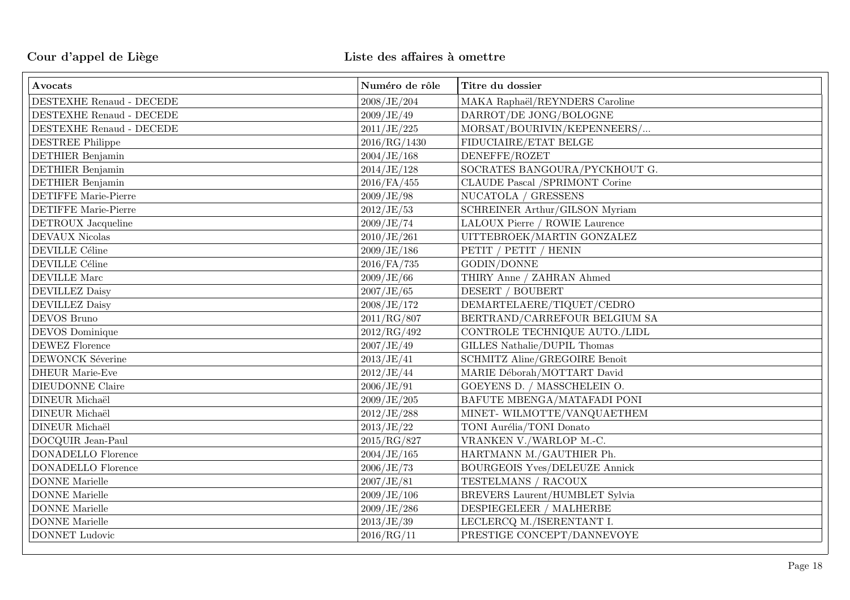| Avocats                       | Numéro de rôle | Titre du dossier                     |
|-------------------------------|----------------|--------------------------------------|
| DESTEXHE Renaud - DECEDE      | 2008/JE/204    | MAKA Raphaël/REYNDERS Caroline       |
| DESTEXHE Renaud - DECEDE      | 2009/JE/49     | DARROT/DE JONG/BOLOGNE               |
| DESTEXHE Renaud - DECEDE      | 2011/JE/225    | MORSAT/BOURIVIN/KEPENNEERS/          |
| <b>DESTREE Philippe</b>       | 2016/RG/1430   | FIDUCIAIRE/ETAT BELGE                |
| DETHIER Benjamin              | 2004/JE/168    | DENEFFE/ROZET                        |
| DETHIER Benjamin              | 2014/JE/128    | SOCRATES BANGOURA/PYCKHOUT G.        |
| <b>DETHIER</b> Benjamin       | 2016/FA/455    | CLAUDE Pascal /SPRIMONT Corine       |
| <b>DETIFFE Marie-Pierre</b>   | 2009/JE/98     | NUCATOLA / GRESSENS                  |
| <b>DETIFFE Marie-Pierre</b>   | 2012/JE/53     | SCHREINER Arthur/GILSON Myriam       |
| DETROUX Jacqueline            | 2009/JE/74     | LALOUX Pierre / ROWIE Laurence       |
| DEVAUX Nicolas                | 2010/JE/261    | UITTEBROEK/MARTIN GONZALEZ           |
| DEVILLE Céline                | 2009/JE/186    | PETIT / PETIT / HENIN                |
| <b>DEVILLE Céline</b>         | $2016$ /FA/735 | GODIN/DONNE                          |
| $\operatorname{DEVILLE}$ Marc | 2009/JE/66     | THIRY Anne / ZAHRAN Ahmed            |
| <b>DEVILLEZ Daisy</b>         | 2007/JE/65     | DESERT / BOUBERT                     |
| <b>DEVILLEZ Daisy</b>         | 2008/JE/172    | DEMARTELAERE/TIQUET/CEDRO            |
| DEVOS Bruno                   | 2011/RG/807    | BERTRAND/CARREFOUR BELGIUM SA        |
| DEVOS Dominique               | 2012/RG/492    | CONTROLE TECHNIQUE AUTO./LIDL        |
| <b>DEWEZ</b> Florence         | 2007/JE/49     | GILLES Nathalie/DUPIL Thomas         |
| DEWONCK Séverine              | 2013/JE/41     | <b>SCHMITZ Aline/GREGOIRE Benoît</b> |
| <b>DHEUR Marie-Eve</b>        | 2012/JE/44     | MARIE Déborah/MOTTART David          |
| DIEUDONNE Claire              | 2006/JE/91     | GOEYENS D. / MASSCHELEIN O.          |
| DINEUR Michaël                | 2009/JE/205    | BAFUTE MBENGA/MATAFADI PONI          |
| DINEUR Michaël                | 2012/JE/288    | MINET-WILMOTTE/VANQUAETHEM           |
| DINEUR Michaël                | 2013/JE/22     | TONI Aurélia/TONI Donato             |
| DOCQUIR Jean-Paul             | 2015/RG/827    | VRANKEN V./WARLOP M.-C.              |
| <b>DONADELLO</b> Florence     | 2004/JE/165    | HARTMANN M./GAUTHIER Ph.             |
| <b>DONADELLO</b> Florence     | 2006/JE/73     | <b>BOURGEOIS Yves/DELEUZE Annick</b> |
| <b>DONNE</b> Marielle         | 2007/JE/81     | TESTELMANS / RACOUX                  |
| <b>DONNE</b> Marielle         | 2009/JE/106    | BREVERS Laurent/HUMBLET Sylvia       |
| <b>DONNE</b> Marielle         | 2009/JE/286    | DESPIEGELEER / MALHERBE              |
| <b>DONNE</b> Marielle         | 2013/JE/39     | LECLERCQ M./ISERENTANT I.            |
| DONNET Ludovic                | 2016/RG/11     | PRESTIGE CONCEPT/DANNEVOYE           |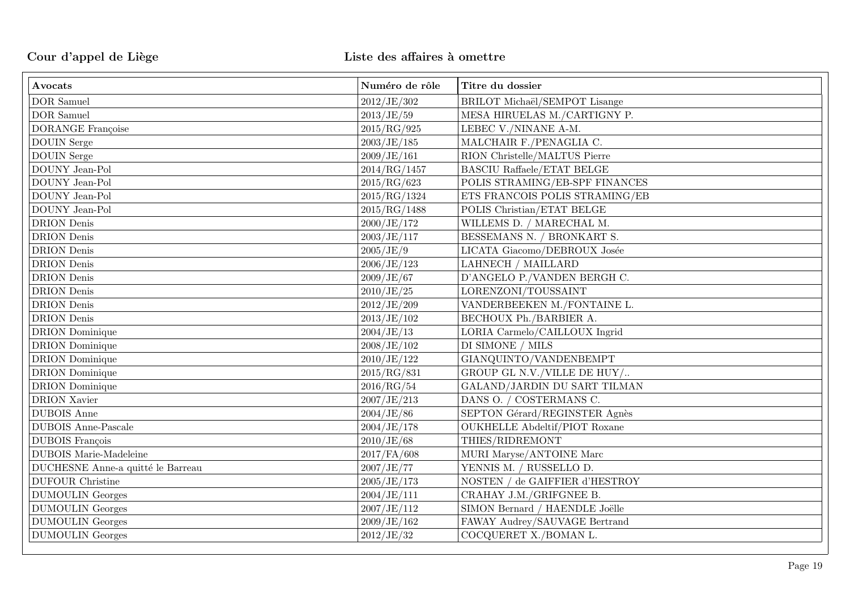| Avocats                           | Numéro de rôle | Titre du dossier                     |
|-----------------------------------|----------------|--------------------------------------|
| <b>DOR</b> Samuel                 | 2012/JE/302    | BRILOT Michaël/SEMPOT Lisange        |
| <b>DOR</b> Samuel                 | 2013/JE/59     | MESA HIRUELAS M./CARTIGNY P.         |
| <b>DORANGE</b> Françoise          | 2015/RG/925    | LEBEC V./NINANE A-M.                 |
| <b>DOUIN</b> Serge                | 2003/JE/185    | MALCHAIR F./PENAGLIA C.              |
| $\operatorname{DOUIN}$ Serge      | 2009/JE/161    | RION Christelle/MALTUS Pierre        |
| DOUNY Jean-Pol                    | 2014/RG/1457   | <b>BASCIU Raffaele/ETAT BELGE</b>    |
| DOUNY Jean-Pol                    | 2015/RG/623    | POLIS STRAMING/EB-SPF FINANCES       |
| DOUNY Jean-Pol                    | 2015/RG/1324   | ETS FRANCOIS POLIS STRAMING/EB       |
| DOUNY Jean-Pol                    | 2015/RG/1488   | POLIS Christian/ETAT BELGE           |
| <b>DRION</b> Denis                | 2000/JE/172    | WILLEMS D. / MARECHAL M.             |
| <b>DRION</b> Denis                | 2003/JE/117    | BESSEMANS N. / BRONKART S.           |
| <b>DRION</b> Denis                | 2005/JE/9      | LICATA Giacomo/DEBROUX Josée         |
| <b>DRION</b> Denis                | 2006/JE/123    | LAHNECH / MAILLARD                   |
| <b>DRION</b> Denis                | 2009/JE/67     | D'ANGELO P./VANDEN BERGH C.          |
| <b>DRION</b> Denis                | 2010/JE/25     | LORENZONI/TOUSSAINT                  |
| <b>DRION</b> Denis                | 2012/JE/209    | VANDERBEEKEN M./FONTAINE L.          |
| <b>DRION</b> Denis                | 2013/JE/102    | BECHOUX Ph./BARBIER A.               |
| <b>DRION</b> Dominique            | 2004/JE/13     | LORIA Carmelo/CAILLOUX Ingrid        |
| <b>DRION</b> Dominique            | 2008/JE/102    | DI SIMONE / MILS                     |
| <b>DRION</b> Dominique            | 2010/JE/122    | GIANQUINTO/VANDENBEMPT               |
| <b>DRION</b> Dominique            | 2015/RG/831    | GROUP GL N.V./VILLE DE HUY/          |
| <b>DRION</b> Dominique            | 2016/RG/54     | GALAND/JARDIN DU SART TILMAN         |
| <b>DRION</b> Xavier               | 2007/JE/213    | DANS O. / COSTERMANS C.              |
| <b>DUBOIS</b> Anne                | 2004/JE/86     | SEPTON Gérard/REGINSTER Agnès        |
| <b>DUBOIS</b> Anne-Pascale        | 2004/JE/178    | <b>OUKHELLE Abdeltif/PIOT Roxane</b> |
| <b>DUBOIS</b> François            | 2010/JE/68     | THIES/RIDREMONT                      |
| <b>DUBOIS</b> Marie-Madeleine     | 2017/FA/608    | MURI Maryse/ANTOINE Marc             |
| DUCHESNE Anne-a quitté le Barreau | 2007/JE/77     | YENNIS M. / RUSSELLO D.              |
| <b>DUFOUR Christine</b>           | 2005/JE/173    | NOSTEN / de GAIFFIER d'HESTROY       |
| <b>DUMOULIN</b> Georges           | 2004/JE/111    | CRAHAY J.M./GRIFGNEE B.              |
| <b>DUMOULIN</b> Georges           | 2007/JE/112    | SIMON Bernard / HAENDLE Joëlle       |
| <b>DUMOULIN</b> Georges           | 2009/JE/162    | FAWAY Audrey/SAUVAGE Bertrand        |
| <b>DUMOULIN</b> Georges           | 2012/JE/32     | COCQUERET X./BOMAN L.                |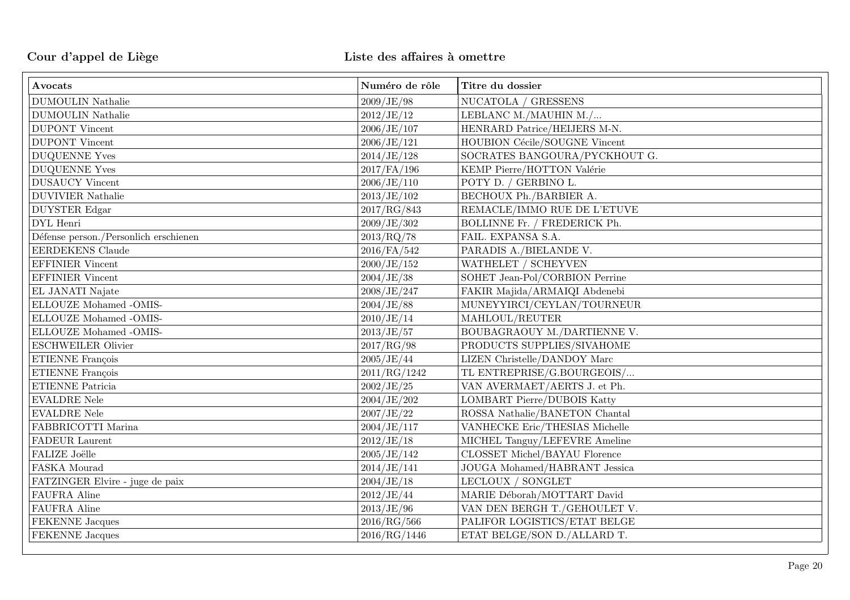| Avocats                               | Numéro de rôle | Titre du dossier               |
|---------------------------------------|----------------|--------------------------------|
| <b>DUMOULIN Nathalie</b>              | 2009/JE/98     | NUCATOLA / GRESSENS            |
| <b>DUMOULIN Nathalie</b>              | 2012/JE/12     | LEBLANC M./MAUHIN M./          |
| <b>DUPONT</b> Vincent                 | 2006/JE/107    | HENRARD Patrice/HEIJERS M-N.   |
| <b>DUPONT</b> Vincent                 | 2006/JE/121    | HOUBION Cécile/SOUGNE Vincent  |
| <b>DUQUENNE Yves</b>                  | 2014/JE/128    | SOCRATES BANGOURA/PYCKHOUT G.  |
| <b>DUQUENNE Yves</b>                  | $2017$ /FA/196 | KEMP Pierre/HOTTON Valérie     |
| <b>DUSAUCY Vincent</b>                | 2006/JE/110    | POTY D. / GERBINO L.           |
| <b>DUVIVIER Nathalie</b>              | 2013/JE/102    | BECHOUX Ph./BARBIER A.         |
| <b>DUYSTER</b> Edgar                  | 2017/RG/843    | REMACLE/IMMO RUE DE L'ETUVE    |
| DYL Henri                             | 2009/JE/302    | BOLLINNE Fr. / FREDERICK Ph.   |
| Défense person./Personlich erschienen | 2013/RQ/78     | FAIL. EXPANSA S.A.             |
| <b>EERDEKENS</b> Claude               | 2016/FA/542    | PARADIS A./BIELANDE V.         |
| <b>EFFINIER</b> Vincent               | 2000/JE/152    | WATHELET / SCHEYVEN            |
| <b>EFFINIER</b> Vincent               | 2004/JE/38     | SOHET Jean-Pol/CORBION Perrine |
| EL JANATI Najate                      | 2008/JE/247    | FAKIR Majida/ARMAIQI Abdenebi  |
| ELLOUZE Mohamed -OMIS-                | 2004/JE/88     | MUNEYYIRCI/CEYLAN/TOURNEUR     |
| ELLOUZE Mohamed -OMIS-                | 2010/JE/14     | MAHLOUL/REUTER                 |
| ELLOUZE Mohamed -OMIS-                | 2013/JE/57     | BOUBAGRAOUY M./DARTIENNE V.    |
| <b>ESCHWEILER Olivier</b>             | 2017/RG/98     | PRODUCTS SUPPLIES/SIVAHOME     |
| ETIENNE François                      | 2005/JE/44     | LIZEN Christelle/DANDOY Marc   |
| ETIENNE François                      | 2011/RG/1242   | TL ENTREPRISE/G.BOURGEOIS/     |
| <b>ETIENNE Patricia</b>               | 2002/JE/25     | VAN AVERMAET/AERTS J. et Ph.   |
| <b>EVALDRE Nele</b>                   | 2004/JE/202    | LOMBART Pierre/DUBOIS Katty    |
| <b>EVALDRE Nele</b>                   | 2007/JE/22     | ROSSA Nathalie/BANETON Chantal |
| FABBRICOTTI Marina                    | 2004/JE/117    | VANHECKE Eric/THESIAS Michelle |
| FADEUR Laurent                        | 2012/JE/18     | MICHEL Tanguy/LEFEVRE Ameline  |
| <b>FALIZE Joëlle</b>                  | 2005/JE/142    | CLOSSET Michel/BAYAU Florence  |
| FASKA Mourad                          | 2014/JE/141    | JOUGA Mohamed/HABRANT Jessica  |
| FATZINGER Elvire - juge de paix       | 2004/JE/18     | LECLOUX / SONGLET              |
| FAUFRA Aline                          | 2012/JE/44     | MARIE Déborah/MOTTART David    |
| <b>FAUFRA Aline</b>                   | 2013/JE/96     | VAN DEN BERGH T./GEHOULET V.   |
| <b>FEKENNE</b> Jacques                | 2016/RG/566    | PALIFOR LOGISTICS/ETAT BELGE   |
| FEKENNE Jacques                       | 2016/RG/1446   | ETAT BELGE/SON D./ALLARD T.    |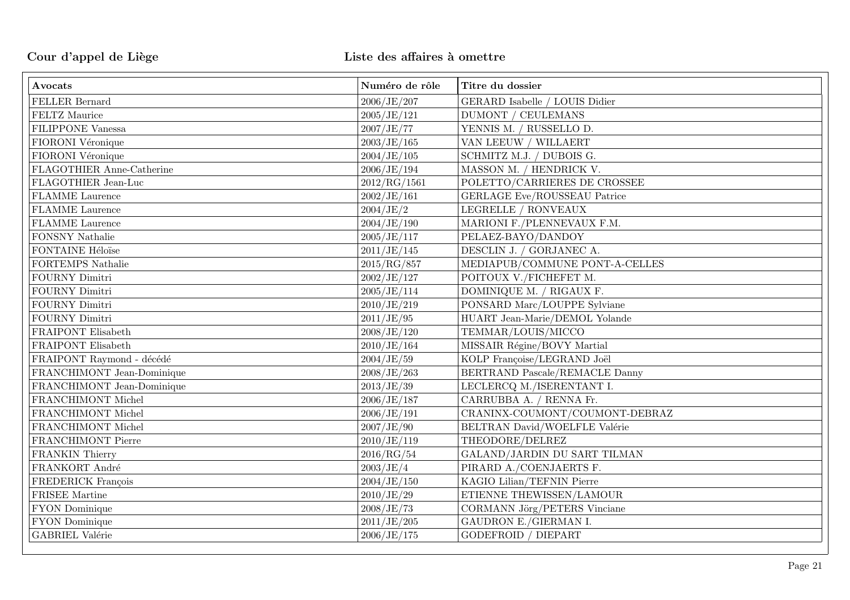| Avocats                    | Numéro de rôle | Titre du dossier                            |
|----------------------------|----------------|---------------------------------------------|
| FELLER Bernard             | 2006/JE/207    | GERARD Isabelle / LOUIS Didier              |
| FELTZ Maurice              | 2005/JE/121    | <b>DUMONT / CEULEMANS</b>                   |
| FILIPPONE Vanessa          | 2007/JE/77     | YENNIS M. / RUSSELLO D.                     |
| FIORONI Véronique          | 2003/JE/165    | VAN LEEUW / WILLAERT                        |
| FIORONI Véronique          | 2004/JE/105    | SCHMITZ M.J. / DUBOIS G.                    |
| FLAGOTHIER Anne-Catherine  | 2006/JE/194    | MASSON M. / HENDRICK V.                     |
| FLAGOTHIER Jean-Luc        | 2012/RG/1561   | POLETTO/CARRIERES DE CROSSEE                |
| <b>FLAMME</b> Laurence     | 2002/JE/161    | GERLAGE Eve/ROUSSEAU Patrice                |
| <b>FLAMME</b> Laurence     | 2004/JE/2      | LEGRELLE / RONVEAUX                         |
| <b>FLAMME</b> Laurence     | 2004/JE/190    | MARIONI F./PLENNEVAUX F.M.                  |
| FONSNY Nathalie            | 2005/JE/117    | PELAEZ-BAYO/DANDOY                          |
| FONTAINE Héloïse           | 2011/JE/145    | DESCLIN J. / GORJANEC A.                    |
| FORTEMPS Nathalie          | 2015/RG/857    | MEDIAPUB/COMMUNE PONT-A-CELLES              |
| FOURNY Dimitri             | 2002/JE/127    | POITOUX V./FICHEFET M.                      |
| FOURNY Dimitri             | 2005/JE/114    | DOMINIQUE M. / RIGAUX F.                    |
| FOURNY Dimitri             | 2010/JE/219    | PONSARD Marc/LOUPPE Sylviane                |
| FOURNY Dimitri             | 2011/JE/95     | HUART Jean-Marie/DEMOL Yolande              |
| FRAIPONT Elisabeth         | 2008/JE/120    | TEMMAR/LOUIS/MICCO                          |
| FRAIPONT Elisabeth         | 2010/JE/164    | MISSAIR Régine/BOVY Martial                 |
| FRAIPONT Raymond - décédé  | 2004/JE/59     | KOLP Françoise/LEGRAND Joël                 |
| FRANCHIMONT Jean-Dominique | 2008/JE/263    | BERTRAND Pascale/REMACLE Danny              |
| FRANCHIMONT Jean-Dominique | 2013/JE/39     | LECLERCQ M./ISERENTANT I.                   |
| FRANCHIMONT Michel         | 2006/JE/187    | CARRUBBA A. / RENNA Fr.                     |
| FRANCHIMONT Michel         | 2006/JE/191    | CRANINX-COUMONT/COUMONT-DEBRAZ              |
| FRANCHIMONT Michel         | 2007/JE/90     | BELTRAN David/WOELFLE Valérie               |
| FRANCHIMONT Pierre         | 2010/JE/119    | THEODORE/DELREZ                             |
| FRANKIN Thierry            | 2016/RG/54     | GALAND/JARDIN DU SART TILMAN                |
| FRANKORT André             | 2003/JE/4      | PIRARD A./COENJAERTS F.                     |
| FREDERICK François         | 2004/JE/150    | $\operatorname{KAGIO}$ Lilian/TEFNIN Pierre |
| FRISEE Martine             | 2010/JE/29     | ETIENNE THEWISSEN/LAMOUR                    |
| FYON Dominique             | 2008/JE/73     | CORMANN Jörg/PETERS Vinciane                |
| FYON Dominique             | 2011/JE/205    | <b>GAUDRON E./GIERMAN I.</b>                |
| GABRIEL Valérie            | 2006/JE/175    | <b>GODEFROID / DIEPART</b>                  |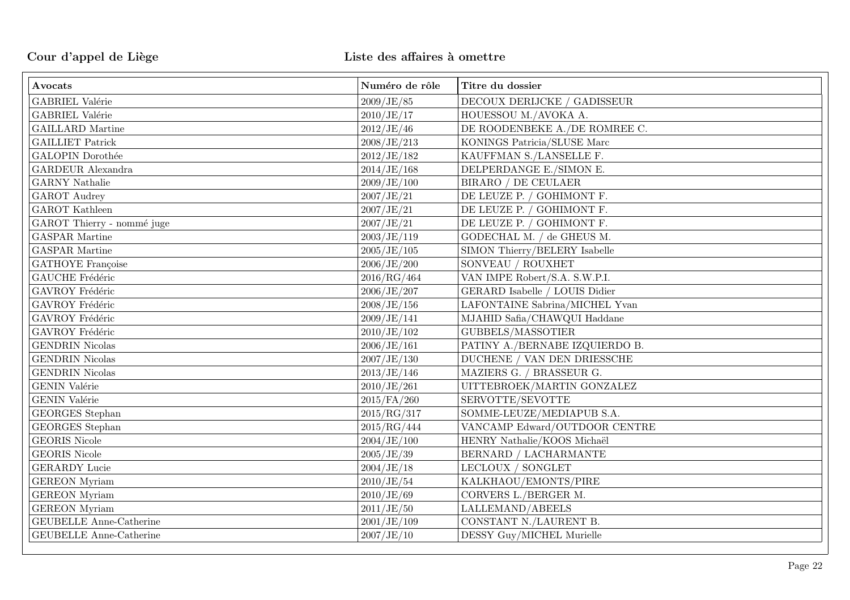| Avocats                        | Numéro de rôle | Titre du dossier                                   |
|--------------------------------|----------------|----------------------------------------------------|
| GABRIEL Valérie                | 2009/JE/85     | DECOUX DERIJCKE / GADISSEUR                        |
| GABRIEL Valérie                | 2010/JE/17     | HOUESSOU M./AVOKA A.                               |
| <b>GAILLARD</b> Martine        | 2012/JE/46     | DE ROODENBEKE A./DE ROMREE C.                      |
| <b>GAILLIET Patrick</b>        | 2008/JE/213    | KONINGS Patricia/SLUSE Marc                        |
| GALOPIN Dorothée               | 2012/JE/182    | KAUFFMAN S./LANSELLE F.                            |
| <b>GARDEUR</b> Alexandra       | 2014/JE/168    | DELPERDANGE E./SIMON E.                            |
| <b>GARNY</b> Nathalie          | 2009/JE/100    | BIRARO / DE CEULAER                                |
| <b>GAROT</b> Audrey            | 2007/JE/21     | DE LEUZE P. / GOHIMONT F.                          |
| GAROT Kathleen                 | 2007/JE/21     | DE LEUZE P. / GOHIMONT F.                          |
| GAROT Thierry - nommé juge     | 2007/JE/21     | DE LEUZE P. / GOHIMONT F.                          |
| <b>GASPAR Martine</b>          | 2003/JE/119    | GODECHAL M. / de GHEUS M.                          |
| <b>GASPAR Martine</b>          | 2005/JE/105    | SIMON Thierry/BELERY Isabelle                      |
| <b>GATHOYE</b> Françoise       | 2006/JE/200    | SONVEAU / ROUXHET                                  |
| GAUCHE Frédéric                | 2016/RG/464    | VAN IMPE Robert/S.A. S.W.P.I.                      |
| GAVROY Frédéric                | 2006/JE/207    | GERARD Isabelle / LOUIS Didier                     |
| GAVROY Frédéric                | 2008/JE/156    | LAFONTAINE Sabrina/MICHEL Yvan                     |
| GAVROY Frédéric                | 2009/JE/141    | MJAHID Safia/CHAWQUI Haddane                       |
| GAVROY Frédéric                | 2010/JE/102    | GUBBELS/MASSOTIER                                  |
| <b>GENDRIN</b> Nicolas         | 2006/JE/161    | PATINY A./BERNABE IZQUIERDO B.                     |
| <b>GENDRIN</b> Nicolas         | 2007/JE/130    | DUCHENE / VAN DEN DRIESSCHE                        |
| <b>GENDRIN</b> Nicolas         | 2013/JE/146    | MAZIERS G. / BRASSEUR G.                           |
| <b>GENIN Valérie</b>           | 2010/JE/261    | UITTEBROEK/MARTIN GONZALEZ                         |
| GENIN Valérie                  | $2015$ /FA/260 | SERVOTTE/SEVOTTE                                   |
| <b>GEORGES</b> Stephan         | 2015/RG/317    | SOMME-LEUZE/MEDIAPUB S.A.                          |
| GEORGES Stephan                | 2015/RG/444    | VANCAMP Edward/OUTDOOR CENTRE                      |
| <b>GEORIS</b> Nicole           | 2004/JE/100    | HENRY Nathalie/KOOS Michaël                        |
| GEORIS Nicole                  | 2005/JE/39     | BERNARD / LACHARMANTE                              |
| <b>GERARDY Lucie</b>           | 2004/JE/18     | LECLOUX / SONGLET                                  |
| <b>GEREON</b> Myriam           | 2010/JE/54     | KALKHAOU/EMONTS/PIRE                               |
| <b>GEREON</b> Myriam           | 2010/JE/69     | CORVERS L./BERGER M.                               |
| <b>GEREON</b> Myriam           | 2011/JE/50     | $\operatorname{LALLEMAND} / \operatorname{ABEELS}$ |
| <b>GEUBELLE Anne-Catherine</b> | 2001/JE/109    | CONSTANT N./LAURENT B.                             |
| <b>GEUBELLE Anne-Catherine</b> | 2007/JE/10     | DESSY Guy/MICHEL Murielle                          |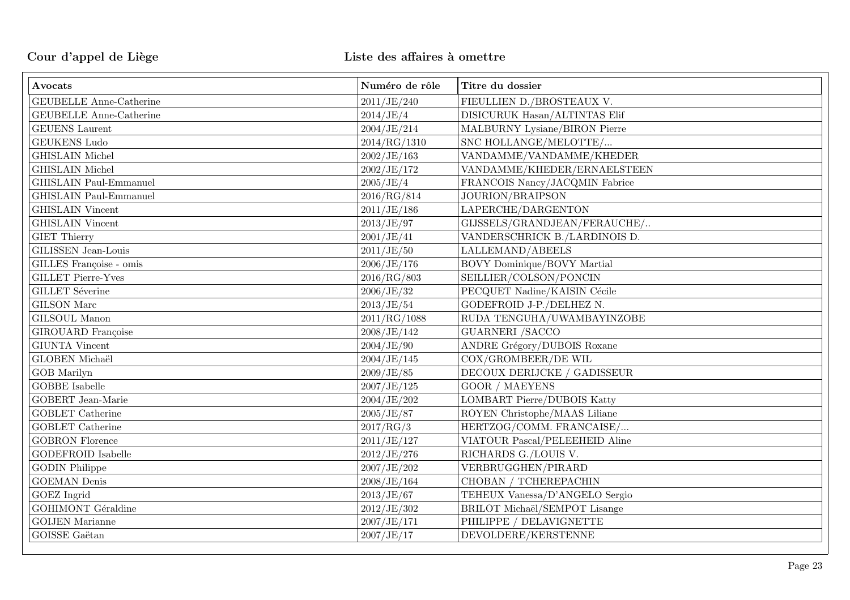| Avocats                        | Numéro de rôle | Titre du dossier                   |
|--------------------------------|----------------|------------------------------------|
| <b>GEUBELLE Anne-Catherine</b> | 2011/JE/240    | FIEULLIEN D./BROSTEAUX V.          |
| <b>GEUBELLE Anne-Catherine</b> | 2014/JE/4      | DISICURUK Hasan/ALTINTAS Elif      |
| <b>GEUENS</b> Laurent          | 2004/JE/214    | MALBURNY Lysiane/BIRON Pierre      |
| GEUKENS Ludo                   | 2014/RG/1310   | SNC HOLLANGE/MELOTTE/              |
| <b>GHISLAIN</b> Michel         | 2002/JE/163    | VANDAMME/VANDAMME/KHEDER           |
| <b>GHISLAIN</b> Michel         | 2002/JE/172    | VANDAMME/KHEDER/ERNAELSTEEN        |
| <b>GHISLAIN Paul-Emmanuel</b>  | 2005/JE/4      | FRANCOIS Nancy/JACQMIN Fabrice     |
| <b>GHISLAIN Paul-Emmanuel</b>  | 2016/RG/814    | JOURION/BRAIPSON                   |
| <b>GHISLAIN</b> Vincent        | 2011/JE/186    | LAPERCHE/DARGENTON                 |
| <b>GHISLAIN</b> Vincent        | 2013/JE/97     | GIJSSELS/GRANDJEAN/FERAUCHE/       |
| <b>GIET Thierry</b>            | 2001/JE/41     | VANDERSCHRICK B./LARDINOIS D.      |
| GILISSEN Jean-Louis            | 2011/JE/50     | LALLEMAND/ABEELS                   |
| GILLES Françoise - omis        | 2006/JE/176    | BOVY Dominique/BOVY Martial        |
| <b>GILLET Pierre-Yves</b>      | 2016/RG/803    | SEILLIER/COLSON/PONCIN             |
| <b>GILLET</b> Séverine         | 2006/JE/32     | PECQUET Nadine/KAISIN Cécile       |
| <b>GILSON</b> Marc             | 2013/JE/54     | GODEFROID J-P./DELHEZ N.           |
| GILSOUL Manon                  | 2011/RG/1088   | RUDA TENGUHA/UWAMBAYINZOBE         |
| GIROUARD Françoise             | 2008/JE/142    | <b>GUARNERI /SACCO</b>             |
| <b>GIUNTA Vincent</b>          | 2004/JE/90     | <b>ANDRE Grégory/DUBOIS Roxane</b> |
| <b>GLOBEN Michaël</b>          | 2004/JE/145    | COX/GROMBEER/DE WIL                |
| GOB Marilyn                    | 2009/JE/85     | DECOUX DERIJCKE / GADISSEUR        |
| <b>GOBBE</b> Isabelle          | 2007/JE/125    | <b>GOOR / MAEYENS</b>              |
| GOBERT Jean-Marie              | 2004/JE/202    | <b>LOMBART Pierre/DUBOIS Katty</b> |
| <b>GOBLET</b> Catherine        | 2005/JE/87     | ROYEN Christophe/MAAS Liliane      |
| <b>GOBLET</b> Catherine        | 2017/RG/3      | HERTZOG/COMM. FRANCAISE/           |
| <b>GOBRON Florence</b>         | 2011/JE/127    | VIATOUR Pascal/PELEEHEID Aline     |
| <b>GODEFROID</b> Isabelle      | 2012/JE/276    | RICHARDS G./LOUIS V.               |
| <b>GODIN</b> Philippe          | 2007/JE/202    | VERBRUGGHEN/PIRARD                 |
| <b>GOEMAN</b> Denis            | 2008/JE/164    | CHOBAN / TCHEREPACHIN              |
| <b>GOEZ</b> Ingrid             | 2013/JE/67     | TEHEUX Vanessa/D'ANGELO Sergio     |
| <b>GOHIMONT</b> Géraldine      | 2012/JE/302    | BRILOT Michaël/SEMPOT Lisange      |
| <b>GOIJEN</b> Marianne         | 2007/JE/171    | PHILIPPE / DELAVIGNETTE            |
| GOISSE Gaëtan                  | 2007/JE/17     | DEVOLDERE/KERSTENNE                |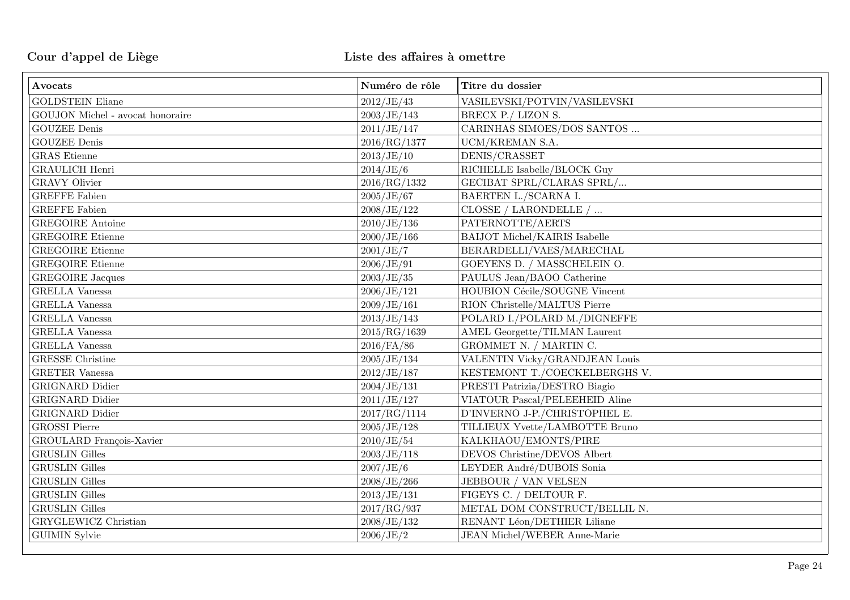| Avocats                          | Numéro de rôle | Titre du dossier                     |
|----------------------------------|----------------|--------------------------------------|
| <b>GOLDSTEIN Eliane</b>          | 2012/JE/43     | VASILEVSKI/POTVIN/VASILEVSKI         |
| GOUJON Michel - avocat honoraire | 2003/JE/143    | BRECX P./ LIZON S.                   |
| <b>GOUZEE Denis</b>              | 2011/JE/147    | CARINHAS SIMOES/DOS SANTOS           |
| <b>GOUZEE Denis</b>              | 2016/RG/1377   | UCM/KREMAN S.A.                      |
| <b>GRAS</b> Etienne              | 2013/JE/10     | DENIS/CRASSET                        |
| <b>GRAULICH Henri</b>            | 2014/JE/6      | RICHELLE Isabelle/BLOCK Guy          |
| <b>GRAVY Olivier</b>             | 2016/RG/1332   | GECIBAT SPRL/CLARAS SPRL/            |
| <b>GREFFE Fabien</b>             | 2005/JE/67     | BAERTEN L./SCARNA I.                 |
| <b>GREFFE Fabien</b>             | 2008/JE/122    | CLOSSE / LARONDELLE /                |
| <b>GREGOIRE</b> Antoine          | 2010/JE/136    | PATERNOTTE/AERTS                     |
| <b>GREGOIRE Etienne</b>          | 2000/JE/166    | <b>BAIJOT Michel/KAIRIS Isabelle</b> |
| <b>GREGOIRE Etienne</b>          | 2001/JE/7      | BERARDELLI/VAES/MARECHAL             |
| <b>GREGOIRE</b> Etienne          | 2006/JE/91     | GOEYENS D. / MASSCHELEIN O.          |
| <b>GREGOIRE</b> Jacques          | 2003/JE/35     | PAULUS Jean/BAOO Catherine           |
| <b>GRELLA</b> Vanessa            | 2006/JE/121    | HOUBION Cécile/SOUGNE Vincent        |
| <b>GRELLA</b> Vanessa            | 2009/JE/161    | RION Christelle/MALTUS Pierre        |
| <b>GRELLA</b> Vanessa            | 2013/JE/143    | POLARD I./POLARD M./DIGNEFFE         |
| <b>GRELLA</b> Vanessa            | 2015/RG/1639   | AMEL Georgette/TILMAN Laurent        |
| <b>GRELLA</b> Vanessa            | $2016$ /FA/86  | GROMMET N. / MARTIN C.               |
| <b>GRESSE</b> Christine          | 2005/JE/134    | VALENTIN Vicky/GRANDJEAN Louis       |
| <b>GRETER Vanessa</b>            | 2012/JE/187    | KESTEMONT T./COECKELBERGHS V.        |
| GRIGNARD Didier                  | 2004/JE/131    | PRESTI Patrizia/DESTRO Biagio        |
| <b>GRIGNARD</b> Didier           | 2011/JE/127    | VIATOUR Pascal/PELEEHEID Aline       |
| <b>GRIGNARD</b> Didier           | 2017/RG/1114   | D'INVERNO J-P./CHRISTOPHEL E.        |
| <b>GROSSI</b> Pierre             | 2005/JE/128    | TILLIEUX Yvette/LAMBOTTE Bruno       |
| GROULARD François-Xavier         | 2010/JE/54     | KALKHAOU/EMONTS/PIRE                 |
| <b>GRUSLIN</b> Gilles            | 2003/JE/118    | DEVOS Christine/DEVOS Albert         |
| <b>GRUSLIN</b> Gilles            | 2007/JE/6      | LEYDER André/DUBOIS Sonia            |
| <b>GRUSLIN</b> Gilles            | 2008/JE/266    | JEBBOUR / VAN VELSEN                 |
| <b>GRUSLIN</b> Gilles            | 2013/JE/131    | FIGEYS C. / DELTOUR F.               |
| <b>GRUSLIN</b> Gilles            | 2017/RG/937    | METAL DOM CONSTRUCT/BELLIL N.        |
| GRYGLEWICZ Christian             | 2008/JE/132    | RENANT Léon/DETHIER Liliane          |
| <b>GUIMIN</b> Sylvie             | 2006/JE/2      | <b>JEAN Michel/WEBER Anne-Marie</b>  |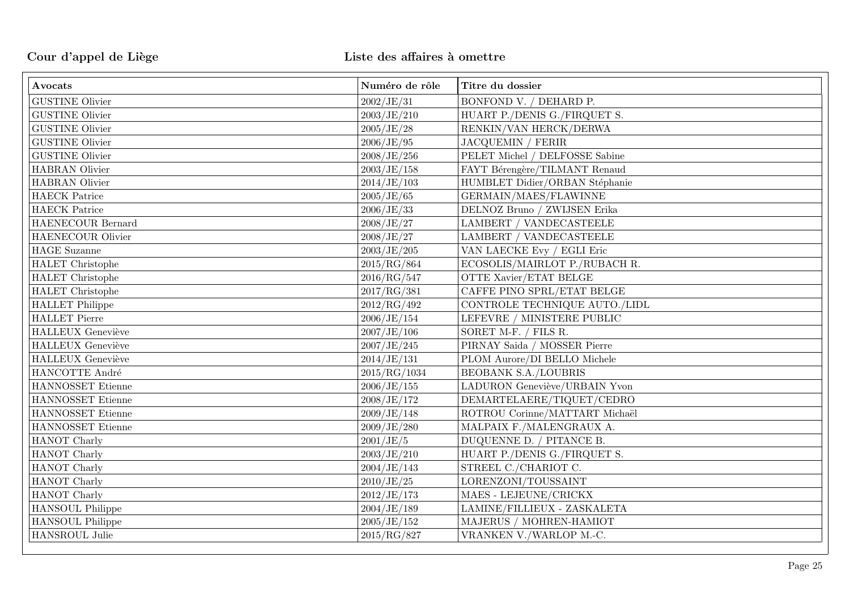| Avocats                  | Numéro de rôle | Titre du dossier                    |
|--------------------------|----------------|-------------------------------------|
| <b>GUSTINE Olivier</b>   | 2002/JE/31     | BONFOND V. / DEHARD P.              |
| <b>GUSTINE Olivier</b>   | 2003/JE/210    | HUART P./DENIS G./FIRQUET S.        |
| <b>GUSTINE Olivier</b>   | 2005/JE/28     | RENKIN/VAN HERCK/DERWA              |
| <b>GUSTINE Olivier</b>   | 2006/JE/95     | <b>JACQUEMIN / FERIR</b>            |
| <b>GUSTINE Olivier</b>   | 2008/JE/256    | PELET Michel / DELFOSSE Sabine      |
| HABRAN Olivier           | 2003/JE/158    | FAYT Bérengère/TILMANT Renaud       |
| <b>HABRAN</b> Olivier    | 2014/JE/103    | HUMBLET Didier/ORBAN Stéphanie      |
| <b>HAECK</b> Patrice     | 2005/JE/65     | GERMAIN/MAES/FLAWINNE               |
| <b>HAECK</b> Patrice     | 2006/JE/33     | $\rm{DELNOZ}$ Bruno / ZWIJSEN Erika |
| HAENECOUR Bernard        | 2008/JE/27     | <b>LAMBERT / VANDECASTEELE</b>      |
| HAENECOUR Olivier        | 2008/JE/27     | <b>LAMBERT / VANDECASTEELE</b>      |
| <b>HAGE</b> Suzanne      | 2003/JE/205    | VAN LAECKE Evy / EGLI Eric          |
| HALET Christophe         | 2015/RG/864    | ECOSOLIS/MAIRLOT P./RUBACH R.       |
| HALET Christophe         | 2016/RG/547    | OTTE Xavier/ETAT BELGE              |
| HALET Christophe         | 2017/RG/381    | CAFFE PINO SPRL/ETAT BELGE          |
| <b>HALLET</b> Philippe   | 2012/RG/492    | CONTROLE TECHNIQUE AUTO./LIDL       |
| <b>HALLET</b> Pierre     | 2006/JE/154    | LEFEVRE / MINISTERE PUBLIC          |
| <b>HALLEUX</b> Geneviève | 2007/JE/106    | SORET M-F. / FILS R.                |
| <b>HALLEUX Geneviève</b> | 2007/JE/245    | PIRNAY Saida / MOSSER Pierre        |
| <b>HALLEUX Geneviève</b> | 2014/JE/131    | PLOM Aurore/DI BELLO Michele        |
| HANCOTTE André           | 2015/RG/1034   | <b>BEOBANK S.A./LOUBRIS</b>         |
| HANNOSSET Etienne        | 2006/JE/155    | LADURON Geneviève/URBAIN Yvon       |
| HANNOSSET Etienne        | 2008/JE/172    | DEMARTELAERE/TIQUET/CEDRO           |
| HANNOSSET Etienne        | 2009/JE/148    | ROTROU Corinne/MATTART Michaël      |
| HANNOSSET Etienne        | 2009/JE/280    | MALPAIX F./MALENGRAUX A.            |
| HANOT Charly             | 2001/JE/5      | DUQUENNE D. / PITANCE B.            |
| HANOT Charly             | 2003/JE/210    | HUART P./DENIS G./FIRQUET S.        |
| HANOT Charly             | 2004/JE/143    | STREEL C./CHARIOT C.                |
| HANOT Charly             | 2010/JE/25     | LORENZONI/TOUSSAINT                 |
| HANOT Charly             | 2012/JE/173    | MAES - LEJEUNE/CRICKX               |
| HANSOUL Philippe         | 2004/JE/189    | LAMINE/FILLIEUX - ZASKALETA         |
| HANSOUL Philippe         | 2005/JE/152    | MAJERUS / MOHREN-HAMIOT             |
| HANSROUL Julie           | 2015/RG/827    | VRANKEN V./WARLOP M.-C.             |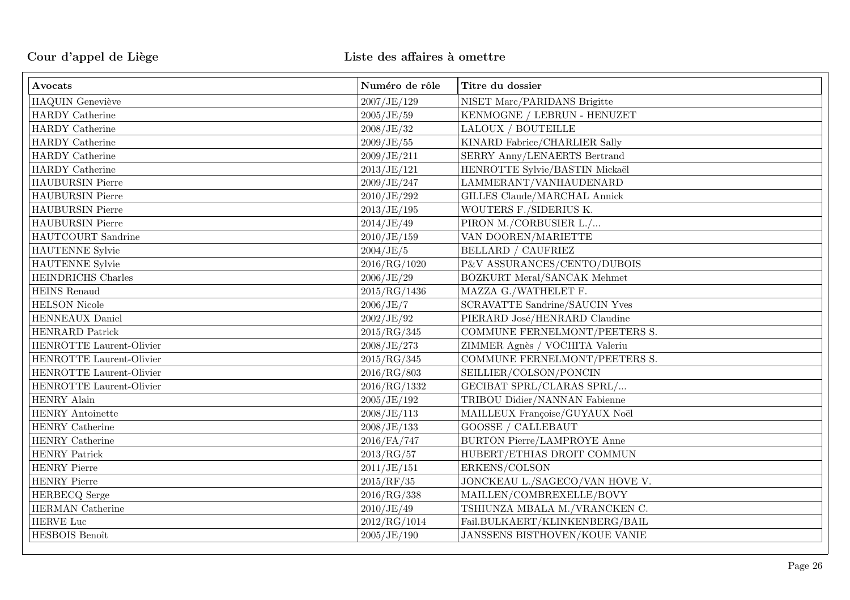| Avocats                   | Numéro de rôle | Titre du dossier                   |
|---------------------------|----------------|------------------------------------|
| <b>HAQUIN</b> Geneviève   | 2007/JE/129    | NISET Marc/PARIDANS Brigitte       |
| <b>HARDY</b> Catherine    | 2005/JE/59     | KENMOGNE / LEBRUN - HENUZET        |
| <b>HARDY</b> Catherine    | 2008/JE/32     | LALOUX / BOUTEILLE                 |
| <b>HARDY</b> Catherine    | 2009/JE/55     | KINARD Fabrice/CHARLIER Sally      |
| <b>HARDY</b> Catherine    | 2009/JE/211    | SERRY Anny/LENAERTS Bertrand       |
| <b>HARDY</b> Catherine    | 2013/JE/121    | HENROTTE Sylvie/BASTIN Mickaël     |
| <b>HAUBURSIN Pierre</b>   | 2009/JE/247    | LAMMERANT/VANHAUDENARD             |
| <b>HAUBURSIN Pierre</b>   | 2010/JE/292    | GILLES Claude/MARCHAL Annick       |
| <b>HAUBURSIN Pierre</b>   | 2013/JE/195    | WOUTERS F./SIDERIUS K.             |
| <b>HAUBURSIN Pierre</b>   | 2014/JE/49     | PIRON M./CORBUSIER L./             |
| HAUTCOURT Sandrine        | 2010/JE/159    | VAN DOOREN/MARIETTE                |
| <b>HAUTENNE</b> Sylvie    | 2004/JE/5      | <b>BELLARD / CAUFRIEZ</b>          |
| HAUTENNE Sylvie           | 2016/RG/1020   | P&V ASSURANCES/CENTO/DUBOIS        |
| <b>HEINDRICHS</b> Charles | 2006/JE/29     | <b>BOZKURT Meral/SANCAK Mehmet</b> |
| <b>HEINS</b> Renaud       | 2015/RG/1436   | MAZZA G./WATHELET F.               |
| <b>HELSON</b> Nicole      | 2006/JE/7      | SCRAVATTE Sandrine/SAUCIN Yves     |
| <b>HENNEAUX Daniel</b>    | 2002/JE/92     | PIERARD José/HENRARD Claudine      |
| <b>HENRARD</b> Patrick    | 2015/RG/345    | COMMUNE FERNELMONT/PEETERS S.      |
| HENROTTE Laurent-Olivier  | 2008/JE/273    | ZIMMER Agnès / VOCHITA Valeriu     |
| HENROTTE Laurent-Olivier  | 2015/RG/345    | COMMUNE FERNELMONT/PEETERS S.      |
| HENROTTE Laurent-Olivier  | 2016/RG/803    | SEILLIER/COLSON/PONCIN             |
| HENROTTE Laurent-Olivier  | 2016/RG/1332   | GECIBAT SPRL/CLARAS SPRL/          |
| HENRY Alain               | 2005/JE/192    | TRIBOU Didier/NANNAN Fabienne      |
| HENRY Antoinette          | 2008/JE/113    | MAILLEUX Françoise/GUYAUX Noël     |
| HENRY Catherine           | 2008/JE/133    | <b>GOOSSE / CALLEBAUT</b>          |
| HENRY Catherine           | 2016/FA/747    | <b>BURTON Pierre/LAMPROYE Anne</b> |
| <b>HENRY Patrick</b>      | 2013/RG/57     | HUBERT/ETHIAS DROIT COMMUN         |
| <b>HENRY Pierre</b>       | 2011/JE/151    | ERKENS/COLSON                      |
| <b>HENRY Pierre</b>       | 2015/RF/35     | JONCKEAU L./SAGECO/VAN HOVE V.     |
| <b>HERBECQ</b> Serge      | 2016/RG/338    | MAILLEN/COMBREXELLE/BOVY           |
| <b>HERMAN</b> Catherine   | 2010/JE/49     | TSHIUNZA MBALA M./VRANCKEN C.      |
| HERVE Luc                 | 2012/RG/1014   | Fail.BULKAERT/KLINKENBERG/BAIL     |
| HESBOIS Benoît            | 2005/JE/190    | JANSSENS BISTHOVEN/KOUE VANIE      |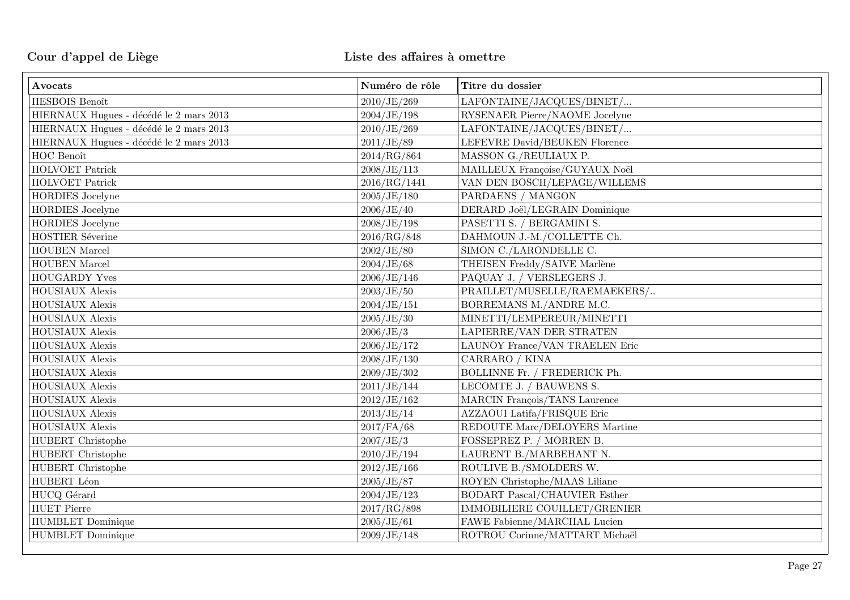| Avocats                                 | Numéro de rôle | Titre du dossier                     |
|-----------------------------------------|----------------|--------------------------------------|
| HESBOIS Benoît                          | 2010/JE/269    | LAFONTAINE/JACQUES/BINET/            |
| HIERNAUX Hugues - décédé le 2 mars 2013 | 2004/JE/198    | RYSENAER Pierre/NAOME Jocelyne       |
| HIERNAUX Hugues - décédé le 2 mars 2013 | 2010/JE/269    | LAFONTAINE/JACQUES/BINET/            |
| HIERNAUX Hugues - décédé le 2 mars 2013 | 2011/JE/89     | LEFEVRE David/BEUKEN Florence        |
| HOC Benoît                              | 2014/RG/864    | MASSON G./REULIAUX P.                |
| HOLVOET Patrick                         | 2008/JE/113    | MAILLEUX Françoise/GUYAUX Noël       |
| HOLVOET Patrick                         | 2016/RG/1441   | VAN DEN BOSCH/LEPAGE/WILLEMS         |
| <b>HORDIES</b> Jocelyne                 | 2005/JE/180    | PARDAENS / MANGON                    |
| <b>HORDIES</b> Jocelyne                 | 2006/JE/40     | DERARD Joël/LEGRAIN Dominique        |
| <b>HORDIES</b> Jocelyne                 | 2008/JE/198    | PASETTI S. / BERGAMINI S.            |
| HOSTIER Séverine                        | 2016/RG/848    | DAHMOUN J.-M./COLLETTE Ch.           |
| HOUBEN Marcel                           | 2002/JE/80     | SIMON C./LARONDELLE C.               |
| <b>HOUBEN</b> Marcel                    | 2004/JE/68     | THEISEN Freddy/SAIVE Marlène         |
| HOUGARDY Yves                           | 2006/JE/146    | PAQUAY J. / VERSLEGERS J.            |
| HOUSIAUX Alexis                         | 2003/JE/50     | PRAILLET/MUSELLE/RAEMAEKERS/         |
| <b>HOUSIAUX Alexis</b>                  | 2004/JE/151    | BORREMANS M./ANDRE M.C.              |
| HOUSIAUX Alexis                         | 2005/JE/30     | MINETTI/LEMPEREUR/MINETTI            |
| HOUSIAUX Alexis                         | 2006/JE/3      | LAPIERRE/VAN DER STRATEN             |
| <b>HOUSIAUX Alexis</b>                  | 2006/JE/172    | LAUNOY France/VAN TRAELEN Eric       |
| <b>HOUSIAUX Alexis</b>                  | 2008/JE/130    | CARRARO / KINA                       |
| HOUSIAUX Alexis                         | 2009/JE/302    | BOLLINNE Fr. / FREDERICK Ph.         |
| HOUSIAUX Alexis                         | 2011/JE/144    | LECOMTE J. / BAUWENS S.              |
| HOUSIAUX Alexis                         | 2012/JE/162    | MARCIN François/TANS Laurence        |
| HOUSIAUX Alexis                         | 2013/JE/14     | AZZAOUI Latifa/FRISQUE Eric          |
| HOUSIAUX Alexis                         | 2017/FA/68     | REDOUTE Marc/DELOYERS Martine        |
| <b>HUBERT</b> Christophe                | 2007/JE/3      | FOSSEPREZ P. / MORREN B.             |
| <b>HUBERT</b> Christophe                | 2010/JE/194    | LAURENT B./MARBEHANT N.              |
| <b>HUBERT</b> Christophe                | 2012/JE/166    | ROULIVE B./SMOLDERS W.               |
| HUBERT Léon                             | 2005/JE/87     | ROYEN Christophe/MAAS Liliane        |
| ${\rm HUCQ}$ Gérard                     | 2004/JE/123    | <b>BODART Pascal/CHAUVIER Esther</b> |
| <b>HUET Pierre</b>                      | 2017/RG/898    | IMMOBILIERE COUILLET/GRENIER         |
| <b>HUMBLET</b> Dominique                | 2005/JE/61     | FAWE Fabienne/MARCHAL Lucien         |
| <b>HUMBLET</b> Dominique                | 2009/JE/148    | ROTROU Corinne/MATTART Michaël       |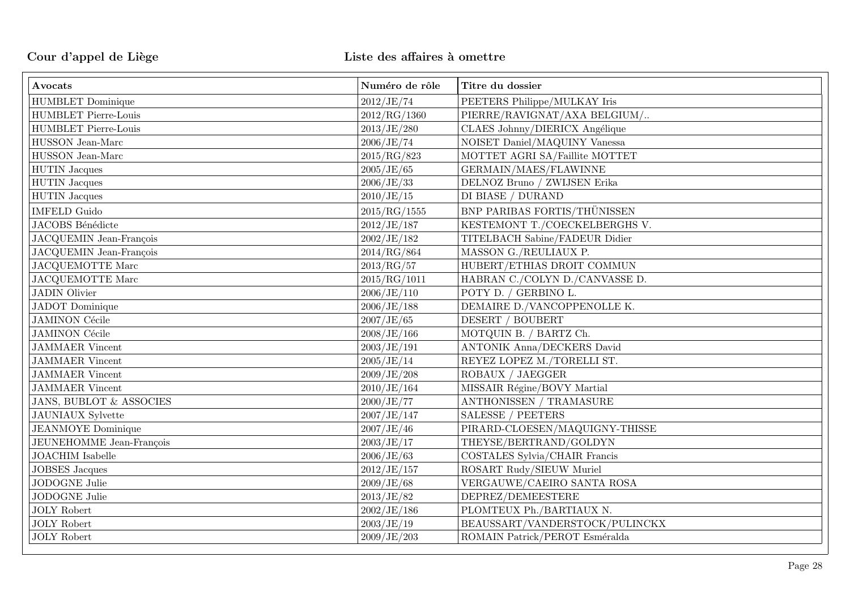| Avocats                            | Numéro de rôle | Titre du dossier                  |
|------------------------------------|----------------|-----------------------------------|
| <b>HUMBLET</b> Dominique           | 2012/JE/74     | PEETERS Philippe/MULKAY Iris      |
| <b>HUMBLET Pierre-Louis</b>        | 2012/RG/1360   | PIERRE/RAVIGNAT/AXA BELGIUM/      |
| <b>HUMBLET Pierre-Louis</b>        | 2013/JE/280    | CLAES Johnny/DIERICX Angélique    |
| HUSSON Jean-Marc                   | 2006/JE/74     | NOISET Daniel/MAQUINY Vanessa     |
| HUSSON Jean-Marc                   | 2015/RG/823    | MOTTET AGRI SA/Faillite MOTTET    |
| <b>HUTIN</b> Jacques               | 2005/JE/65     | GERMAIN/MAES/FLAWINNE             |
| <b>HUTIN</b> Jacques               | 2006/JE/33     | DELNOZ Bruno / ZWIJSEN Erika      |
| <b>HUTIN</b> Jacques               | 2010/JE/15     | DI BIASE / DURAND                 |
| <b>IMFELD Guido</b>                | 2015/RG/1555   | BNP PARIBAS FORTIS/THÜNISSEN      |
| JACOBS Bénédicte                   | 2012/JE/187    | KESTEMONT T./COECKELBERGHS V.     |
| JACQUEMIN Jean-François            | 2002/JE/182    | TITELBACH Sabine/FADEUR Didier    |
| JACQUEMIN Jean-François            | 2014/RG/864    | MASSON G./REULIAUX P.             |
| JACQUEMOTTE Marc                   | 2013/RG/57     | HUBERT/ETHIAS DROIT COMMUN        |
| <b>JACQUEMOTTE Marc</b>            | 2015/RG/1011   | HABRAN C./COLYN D./CANVASSE D.    |
| <b>JADIN Olivier</b>               | 2006/JE/110    | POTY D. / GERBINO L.              |
| <b>JADOT</b> Dominique             | 2006/JE/188    | DEMAIRE D./VANCOPPENOLLE K.       |
| <b>JAMINON Cécile</b>              | 2007/JE/65     | DESERT / BOUBERT                  |
| <b>JAMINON Cécile</b>              | 2008/JE/166    | MOTQUIN B. / BARTZ Ch.            |
| <b>JAMMAER</b> Vincent             | 2003/JE/191    | <b>ANTONIK Anna/DECKERS David</b> |
| <b>JAMMAER</b> Vincent             | 2005/JE/14     | REYEZ LOPEZ M./TORELLI ST.        |
| <b>JAMMAER</b> Vincent             | 2009/JE/208    | ROBAUX / JAEGGER                  |
| <b>JAMMAER</b> Vincent             | 2010/JE/164    | MISSAIR Régine/BOVY Martial       |
| <b>JANS, BUBLOT &amp; ASSOCIES</b> | 2000/JE/77     | ANTHONISSEN / TRAMASURE           |
| <b>JAUNIAUX</b> Sylvette           | 2007/JE/147    | <b>SALESSE / PEETERS</b>          |
| <b>JEANMOYE</b> Dominique          | 2007/JE/46     | PIRARD-CLOESEN/MAQUIGNY-THISSE    |
| <b>JEUNEHOMME</b> Jean-François    | 2003/JE/17     | THEYSE/BERTRAND/GOLDYN            |
| <b>JOACHIM</b> Isabelle            | 2006/JE/63     | COSTALES Sylvia/CHAIR Francis     |
| <b>JOBSES</b> Jacques              | 2012/JE/157    | ROSART Rudy/SIEUW Muriel          |
| JODOGNE Julie                      | 2009/JE/68     | VERGAUWE/CAEIRO SANTA ROSA        |
| JODOGNE Julie                      | 2013/JE/82     | DEPREZ/DEMEESTERE                 |
| <b>JOLY</b> Robert                 | 2002/JE/186    | PLOMTEUX Ph./BARTIAUX N.          |
| <b>JOLY Robert</b>                 | 2003/JE/19     | BEAUSSART/VANDERSTOCK/PULINCKX    |
| $\rm JOLY$ Robert                  | 2009/JE/203    | ROMAIN Patrick/PEROT Esméralda    |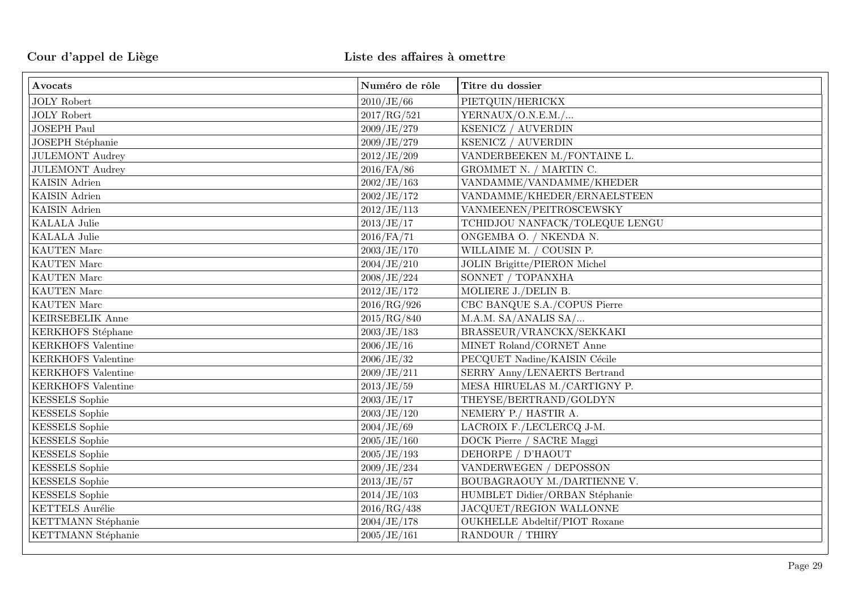| Avocats                   | Numéro de rôle | Titre du dossier                     |
|---------------------------|----------------|--------------------------------------|
| <b>JOLY Robert</b>        | 2010/JE/66     | PIETQUIN/HERICKX                     |
| <b>JOLY Robert</b>        | 2017/RG/521    | YERNAUX/O.N.E.M./                    |
| <b>JOSEPH Paul</b>        | 2009/JE/279    | KSENICZ / AUVERDIN                   |
| JOSEPH Stéphanie          | 2009/JE/279    | KSENICZ / AUVERDIN                   |
| <b>JULEMONT Audrey</b>    | 2012/JE/209    | VANDERBEEKEN M./FONTAINE L.          |
| <b>JULEMONT Audrey</b>    | $2016$ /FA/86  | GROMMET N. / MARTIN C.               |
| <b>KAISIN</b> Adrien      | 2002/JE/163    | VANDAMME/VANDAMME/KHEDER             |
| <b>KAISIN</b> Adrien      | 2002/JE/172    | VANDAMME/KHEDER/ERNAELSTEEN          |
| <b>KAISIN</b> Adrien      | 2012/JE/113    | VANMEENEN/PEITROSCEWSKY              |
| <b>KALALA Julie</b>       | 2013/JE/17     | TCHIDJOU NANFACK/TOLEQUE LENGU       |
| <b>KALALA</b> Julie       | $2016$ /FA/71  | ONGEMBA O. / NKENDA N.               |
| <b>KAUTEN</b> Marc        | 2003/JE/170    | WILLAIME M. / COUSIN P.              |
| KAUTEN Marc               | 2004/JE/210    | <b>JOLIN Brigitte/PIERON Michel</b>  |
| <b>KAUTEN</b> Marc        | 2008/JE/224    | SONNET / TOPANXHA                    |
| KAUTEN Marc               | 2012/JE/172    | MOLIERE J./DELIN B.                  |
| <b>KAUTEN</b> Marc        | 2016/RG/926    | CBC BANQUE S.A./COPUS Pierre         |
| KEIRSEBELIK Anne          | 2015/RG/840    | M.A.M. SA/ANALIS SA/                 |
| KERKHOFS Stéphane         | 2003/JE/183    | BRASSEUR/VRANCKX/SEKKAKI             |
| <b>KERKHOFS</b> Valentine | 2006/JE/16     | MINET Roland/CORNET Anne             |
| <b>KERKHOFS</b> Valentine | 2006/JE/32     | PECQUET Nadine/KAISIN Cécile         |
| <b>KERKHOFS</b> Valentine | 2009/JE/211    | SERRY Anny/LENAERTS Bertrand         |
| <b>KERKHOFS</b> Valentine | 2013/JE/59     | MESA HIRUELAS M./CARTIGNY P.         |
| <b>KESSELS</b> Sophie     | 2003/JE/17     | THEYSE/BERTRAND/GOLDYN               |
| <b>KESSELS</b> Sophie     | 2003/JE/120    | NEMERY P./ HASTIR A.                 |
| <b>KESSELS</b> Sophie     | 2004/JE/69     | LACROIX F./LECLERCQ J-M.             |
| <b>KESSELS</b> Sophie     | 2005/JE/160    | DOCK Pierre / SACRE Maggi            |
| <b>KESSELS</b> Sophie     | 2005/JE/193    | DEHORPE / D'HAOUT                    |
| <b>KESSELS</b> Sophie     | 2009/JE/234    | VANDERWEGEN / DEPOSSON               |
| <b>KESSELS</b> Sophie     | 2013/JE/57     | BOUBAGRAOUY M./DARTIENNE V.          |
| <b>KESSELS</b> Sophie     | 2014/JE/103    | HUMBLET Didier/ORBAN Stéphanie       |
| KETTELS Aurélie           | 2016/RG/438    | JACQUET/REGION WALLONNE              |
| KETTMANN Stéphanie        | 2004/JE/178    | <b>OUKHELLE Abdeltif/PIOT Roxane</b> |
| KETTMANN Stéphanie        | 2005/JE/161    | RANDOUR / THIRY                      |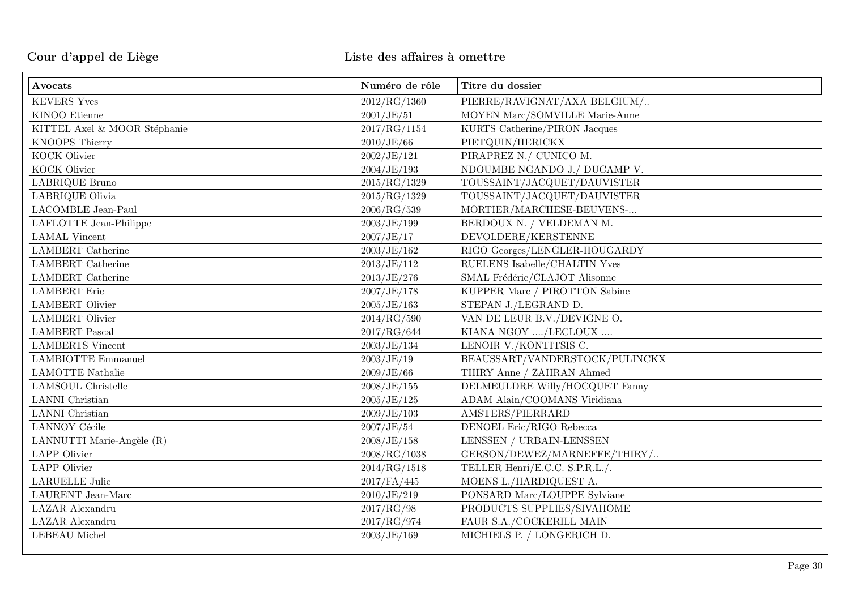| Avocats                        | Numéro de rôle | Titre du dossier               |
|--------------------------------|----------------|--------------------------------|
| <b>KEVERS Yves</b>             | 2012/RG/1360   | PIERRE/RAVIGNAT/AXA BELGIUM/   |
| KINOO Etienne                  | 2001/JE/51     | MOYEN Marc/SOMVILLE Marie-Anne |
| KITTEL Axel & MOOR Stéphanie   | 2017/RG/1154   | KURTS Catherine/PIRON Jacques  |
| KNOOPS Thierry                 | 2010/JE/66     | PIETQUIN/HERICKX               |
| KOCK Olivier                   | 2002/JE/121    | PIRAPREZ N./ CUNICO M.         |
| KOCK Olivier                   | 2004/JE/193    | NDOUMBE NGANDO J./ DUCAMP V.   |
| LABRIQUE Bruno                 | 2015/RG/1329   | TOUSSAINT/JACQUET/DAUVISTER    |
| LABRIQUE Olivia                | 2015/RG/1329   | TOUSSAINT/JACQUET/DAUVISTER    |
| <b>LACOMBLE Jean-Paul</b>      | 2006/RG/539    | MORTIER/MARCHESE-BEUVENS-      |
| ${\rm LAFLOTTE}$ Jean-Philippe | 2003/JE/199    | BERDOUX N. / VELDEMAN M.       |
| <b>LAMAL</b> Vincent           | 2007/JE/17     | DEVOLDERE/KERSTENNE            |
| <b>LAMBERT</b> Catherine       | 2003/JE/162    | RIGO Georges/LENGLER-HOUGARDY  |
| <b>LAMBERT</b> Catherine       | 2013/JE/112    | RUELENS Isabelle/CHALTIN Yves  |
| <b>LAMBERT</b> Catherine       | 2013/JE/276    | SMAL Frédéric/CLAJOT Alisonne  |
| <b>LAMBERT</b> Eric            | 2007/JE/178    | KUPPER Marc / PIROTTON Sabine  |
| <b>LAMBERT</b> Olivier         | 2005/JE/163    | STEPAN J./LEGRAND D.           |
| <b>LAMBERT</b> Olivier         | 2014/RG/590    | VAN DE LEUR B.V./DEVIGNE O.    |
| <b>LAMBERT</b> Pascal          | 2017/RG/644    | KIANA NGOY /LECLOUX            |
| <b>LAMBERTS</b> Vincent        | 2003/JE/134    | LENOIR V./KONTITSIS C.         |
| <b>LAMBIOTTE Emmanuel</b>      | 2003/JE/19     | BEAUSSART/VANDERSTOCK/PULINCKX |
| <b>LAMOTTE Nathalie</b>        | 2009/JE/66     | THIRY Anne / ZAHRAN Ahmed      |
| <b>LAMSOUL Christelle</b>      | 2008/JE/155    | DELMEULDRE Willy/HOCQUET Fanny |
| <b>LANNI</b> Christian         | 2005/JE/125    | ADAM Alain/COOMANS Viridiana   |
| <b>LANNI</b> Christian         | 2009/JE/103    | AMSTERS/PIERRARD               |
| <b>LANNOY Cécile</b>           | 2007/JE/54     | DENOEL Eric/RIGO Rebecca       |
| LANNUTTI Marie-Angèle (R)      | 2008/JE/158    | LENSSEN / URBAIN-LENSSEN       |
| <b>LAPP</b> Olivier            | 2008/RG/1038   | GERSON/DEWEZ/MARNEFFE/THIRY/   |
| <b>LAPP</b> Olivier            | 2014/RG/1518   | TELLER Henri/E.C.C. S.P.R.L./. |
| <b>LARUELLE Julie</b>          | $2017$ /FA/445 | MOENS L./HARDIQUEST A.         |
| LAURENT Jean-Marc              | 2010/JE/219    | PONSARD Marc/LOUPPE Sylviane   |
| LAZAR Alexandru                | 2017/RG/98     | PRODUCTS SUPPLIES/SIVAHOME     |
| LAZAR Alexandru                | 2017/RG/974    | FAUR S.A./COCKERILL MAIN       |
| <b>LEBEAU</b> Michel           | 2003/JE/169    | MICHIELS P. / LONGERICH D.     |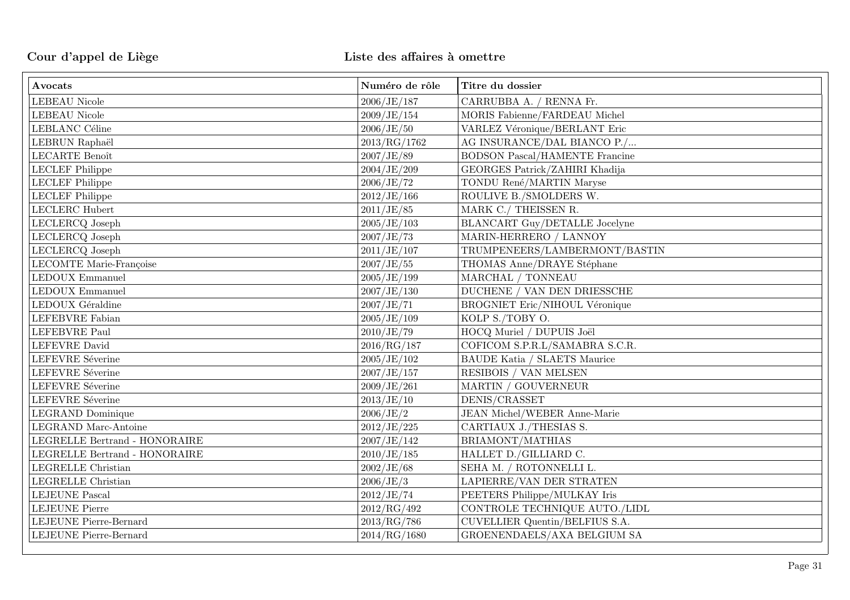| Avocats                                   | Numéro de rôle | Titre du dossier                      |
|-------------------------------------------|----------------|---------------------------------------|
| <b>LEBEAU</b> Nicole                      | 2006/JE/187    | CARRUBBA A. / RENNA Fr.               |
| <b>LEBEAU</b> Nicole                      | 2009/JE/154    | MORIS Fabienne/FARDEAU Michel         |
| LEBLANC Céline                            | 2006/JE/50     | VARLEZ Véronique/BERLANT Eric         |
| LEBRUN Raphaël                            | 2013/RG/1762   | AG INSURANCE/DAL BIANCO P./           |
| LECARTE Benoît                            | 2007/JE/89     | <b>BODSON Pascal/HAMENTE Francine</b> |
| <b>LECLEF Philippe</b>                    | 2004/JE/209    | GEORGES Patrick/ZAHIRI Khadija        |
| <b>LECLEF</b> Philippe                    | 2006/JE/72     | TONDU René/MARTIN Maryse              |
| <b>LECLEF Philippe</b>                    | 2012/JE/166    | ROULIVE B./SMOLDERS W.                |
| LECLERC Hubert                            | 2011/JE/85     | MARK C./ THEISSEN R.                  |
| LECLERCQ Joseph                           | 2005/JE/103    | <b>BLANCART Guy/DETALLE Jocelyne</b>  |
| LECLERCQ Joseph                           | 2007/JE/73     | MARIN-HERRERO / LANNOY                |
| LECLERCQ Joseph                           | 2011/JE/107    | TRUMPENEERS/LAMBERMONT/BASTIN         |
| LECOMTE Marie-Françoise                   | 2007/JE/55     | THOMAS Anne/DRAYE Stéphane            |
| <b>LEDOUX Emmanuel</b>                    | 2005/JE/199    | MARCHAL / TONNEAU                     |
| <b>LEDOUX Emmanuel</b>                    | 2007/JE/130    | DUCHENE / VAN DEN DRIESSCHE           |
| LEDOUX Géraldine                          | 2007/JE/71     | <b>BROGNIET Eric/NIHOUL Véronique</b> |
| LEFEBVRE Fabian                           | 2005/JE/109    | KOLP S./TOBY O.                       |
| LEFEBVRE Paul                             | 2010/JE/79     | HOCQ Muriel / DUPUIS Joël             |
| <b>LEFEVRE</b> David                      | 2016/RG/187    | COFICOM S.P.R.L/SAMABRA S.C.R.        |
| LEFEVRE Séverine                          | 2005/JE/102    | <b>BAUDE Katia / SLAETS Maurice</b>   |
| LEFEVRE Séverine                          | 2007/JE/157    | RESIBOIS / VAN MELSEN                 |
| LEFEVRE Séverine                          | 2009/JE/261    | MARTIN / GOUVERNEUR                   |
| LEFEVRE Séverine                          | 2013/JE/10     | DENIS/CRASSET                         |
| LEGRAND Dominique                         | 2006/JE/2      | <b>JEAN Michel/WEBER Anne-Marie</b>   |
| <b>LEGRAND</b> Marc-Antoine               | 2012/JE/225    | CARTIAUX J./THESIAS S.                |
| $\tt LEGRELLE$ Bertrand - $\tt HONORAIRE$ | 2007/JE/142    | BRIAMONT/MATHIAS                      |
| LEGRELLE Bertrand - HONORAIRE             | 2010/JE/185    | HALLET D./GILLIARD C.                 |
| LEGRELLE Christian                        | 2002/JE/68     | SEHA M. / ROTONNELLI L.               |
| LEGRELLE Christian                        | 2006/JE/3      | LAPIERRE/VAN DER STRATEN              |
| <b>LEJEUNE Pascal</b>                     | 2012/JE/74     | PEETERS Philippe/MULKAY Iris          |
| <b>LEJEUNE Pierre</b>                     | 2012/RG/492    | CONTROLE TECHNIQUE AUTO./LIDL         |
| LEJEUNE Pierre-Bernard                    | 2013/RG/786    | CUVELLIER Quentin/BELFIUS S.A.        |
| LEJEUNE Pierre-Bernard                    | 2014/RG/1680   | GROENENDAELS/AXA BELGIUM SA           |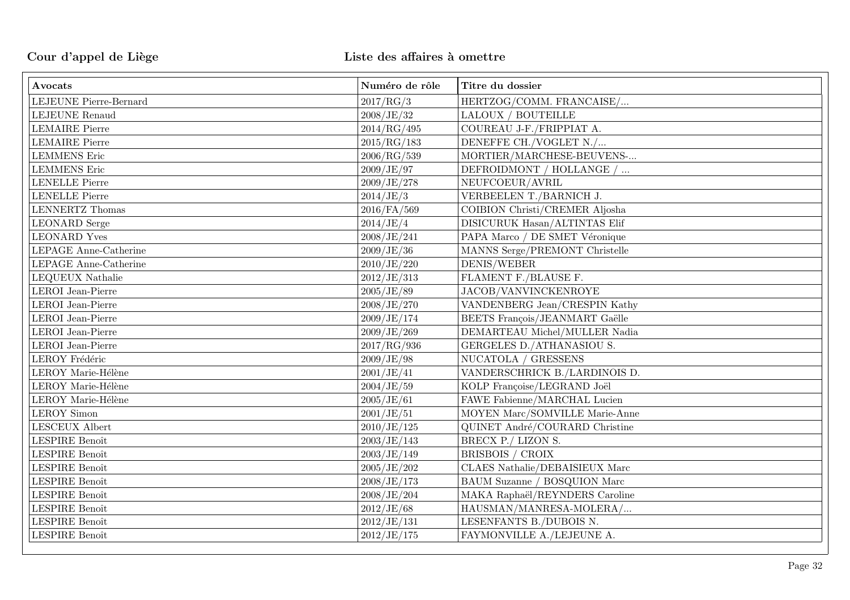| Avocats                 | Numéro de rôle | Titre du dossier               |
|-------------------------|----------------|--------------------------------|
| LEJEUNE Pierre-Bernard  | 2017/RG/3      | HERTZOG/COMM. FRANCAISE/       |
| <b>LEJEUNE Renaud</b>   | 2008/JE/32     | LALOUX / BOUTEILLE             |
| <b>LEMAIRE Pierre</b>   | 2014/RG/495    | COUREAU J-F./FRIPPIAT A.       |
| <b>LEMAIRE Pierre</b>   | 2015/RG/183    | DENEFFE CH./VOGLET N./         |
| <b>LEMMENS</b> Eric     | 2006/RG/539    | MORTIER/MARCHESE-BEUVENS-      |
| <b>LEMMENS</b> Eric     | 2009/JE/97     | DEFROIDMONT / HOLLANGE /       |
| <b>LENELLE Pierre</b>   | 2009/JE/278    | NEUFCOEUR/AVRIL                |
| <b>LENELLE Pierre</b>   | 2014/JE/3      | VERBEELEN T./BARNICH J.        |
| <b>LENNERTZ</b> Thomas  | 2016/FA/569    | COIBION Christi/CREMER Aljosha |
| <b>LEONARD</b> Serge    | 2014/JE/4      | DISICURUK Hasan/ALTINTAS Elif  |
| <b>LEONARD</b> Yves     | 2008/JE/241    | PAPA Marco / DE SMET Véronique |
| LEPAGE Anne-Catherine   | 2009/JE/36     | MANNS Serge/PREMONT Christelle |
| LEPAGE Anne-Catherine   | 2010/JE/220    | DENIS/WEBER                    |
| <b>LEQUEUX</b> Nathalie | 2012/JE/313    | FLAMENT F./BLAUSE F.           |
| LEROI Jean-Pierre       | 2005/JE/89     | JACOB/VANVINCKENROYE           |
| LEROI Jean-Pierre       | 2008/JE/270    | VANDENBERG Jean/CRESPIN Kathy  |
| LEROI Jean-Pierre       | 2009/JE/174    | BEETS François/JEANMART Gaëlle |
| LEROI Jean-Pierre       | 2009/JE/269    | DEMARTEAU Michel/MULLER Nadia  |
| LEROI Jean-Pierre       | 2017/RG/936    | GERGELES D./ATHANASIOU S.      |
| LEROY Frédéric          | 2009/JE/98     | NUCATOLA / GRESSENS            |
| LEROY Marie-Hélène      | 2001/JE/41     | VANDERSCHRICK B./LARDINOIS D.  |
| LEROY Marie-Hélène      | 2004/JE/59     | KOLP Françoise/LEGRAND Joël    |
| LEROY Marie-Hélène      | 2005/JE/61     | FAWE Fabienne/MARCHAL Lucien   |
| <b>LEROY</b> Simon      | 2001/JE/51     | MOYEN Marc/SOMVILLE Marie-Anne |
| LESCEUX Albert          | 2010/JE/125    | QUINET André/COURARD Christine |
| LESPIRE Benoît          | 2003/JE/143    | BRECX P./ LIZON S.             |
| LESPIRE Benoît          | 2003/JE/149    | BRISBOIS / CROIX               |
| LESPIRE Benoît          | 2005/JE/202    | CLAES Nathalie/DEBAISIEUX Marc |
| LESPIRE Benoît          | 2008/JE/173    | BAUM Suzanne / BOSQUION Marc   |
| LESPIRE Benoît          | 2008/JE/204    | MAKA Raphaël/REYNDERS Caroline |
| LESPIRE Benoît          | 2012/JE/68     | HAUSMAN/MANRESA-MOLERA/        |
| LESPIRE Benoît          | 2012/JE/131    | LESENFANTS B./DUBOIS N.        |
| LESPIRE Benoît          | 2012/JE/175    | FAYMONVILLE A./LEJEUNE A.      |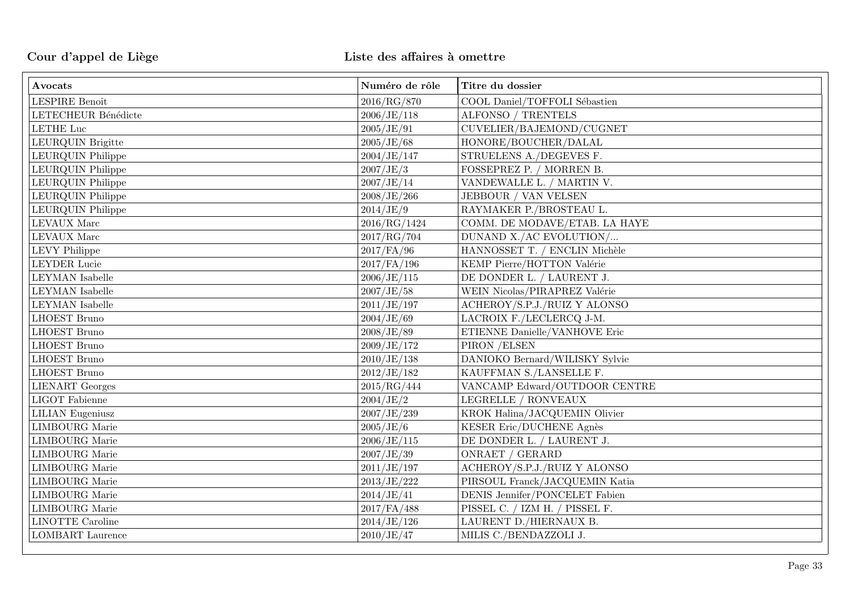| Avocats                 | Numéro de rôle | Titre du dossier               |
|-------------------------|----------------|--------------------------------|
| LESPIRE Benoît          | 2016/RG/870    | COOL Daniel/TOFFOLI Sébastien  |
| LETECHEUR Bénédicte     | 2006/JE/118    | ALFONSO / TRENTELS             |
| <b>LETHE Luc</b>        | 2005/JE/91     | CUVELIER/BAJEMOND/CUGNET       |
| LEURQUIN Brigitte       | 2005/JE/68     | HONORE/BOUCHER/DALAL           |
| LEURQUIN Philippe       | 2004/JE/147    | STRUELENS A./DEGEVES F.        |
| LEURQUIN Philippe       | 2007/JE/3      | FOSSEPREZ P. / MORREN B.       |
| LEURQUIN Philippe       | 2007/JE/14     | VANDEWALLE L. / MARTIN V.      |
| LEURQUIN Philippe       | 2008/JE/266    | JEBBOUR / VAN VELSEN           |
| LEURQUIN Philippe       | 2014/JE/9      | RAYMAKER P./BROSTEAU L.        |
| <b>LEVAUX</b> Marc      | 2016/RG/1424   | COMM. DE MODAVE/ETAB. LA HAYE  |
| <b>LEVAUX</b> Marc      | 2017/RG/704    | DUNAND X./AC EVOLUTION/        |
| <b>LEVY Philippe</b>    | 2017/FA/96     | HANNOSSET T. / ENCLIN Michèle  |
| <b>LEYDER Lucie</b>     | $2017$ /FA/196 | KEMP Pierre/HOTTON Valérie     |
| <b>LEYMAN</b> Isabelle  | 2006/JE/115    | DE DONDER L. / LAURENT J.      |
| <b>LEYMAN</b> Isabelle  | 2007/JE/58     | WEIN Nicolas/PIRAPREZ Valérie  |
| <b>LEYMAN</b> Isabelle  | 2011/JE/197    | ACHEROY/S.P.J./RUIZ Y ALONSO   |
| <b>LHOEST Bruno</b>     | 2004/JE/69     | LACROIX F./LECLERCQ J-M.       |
| <b>LHOEST Bruno</b>     | 2008/JE/89     | ETIENNE Danielle/VANHOVE Eric  |
| <b>LHOEST Bruno</b>     | 2009/JE/172    | PIRON / ELSEN                  |
| <b>LHOEST Bruno</b>     | $2010$ /JE/138 | DANIOKO Bernard/WILISKY Sylvie |
| <b>LHOEST Bruno</b>     | 2012/JE/182    | KAUFFMAN S./LANSELLE F.        |
| <b>LIENART</b> Georges  | 2015/RG/444    | VANCAMP Edward/OUTDOOR CENTRE  |
| <b>LIGOT</b> Fabienne   | 2004/JE/2      | LEGRELLE / RONVEAUX            |
| <b>LILIAN</b> Eugeniusz | 2007/JE/239    | KROK Halina/JACQUEMIN Olivier  |
| <b>LIMBOURG</b> Marie   | 2005/JE/6      | KESER Eric/DUCHENE Agnès       |
| <b>LIMBOURG</b> Marie   | 2006/JE/115    | DE DONDER L. / LAURENT J.      |
| <b>LIMBOURG</b> Marie   | 2007/JE/39     | ONRAET / GERARD                |
| <b>LIMBOURG</b> Marie   | 2011/JE/197    | ACHEROY/S.P.J./RUIZ Y ALONSO   |
| <b>LIMBOURG</b> Marie   | 2013/JE/222    | PIRSOUL Franck/JACQUEMIN Katia |
| <b>LIMBOURG</b> Marie   | 2014/JE/41     | DENIS Jennifer/PONCELET Fabien |
| <b>LIMBOURG</b> Marie   | 2017/FA/488    | PISSEL C. / IZM H. / PISSEL F. |
| <b>LINOTTE Caroline</b> | 2014/JE/126    | LAURENT D./HIERNAUX B.         |
| <b>LOMBART</b> Laurence | 2010/JE/47     | MILIS C./BENDAZZOLI J.         |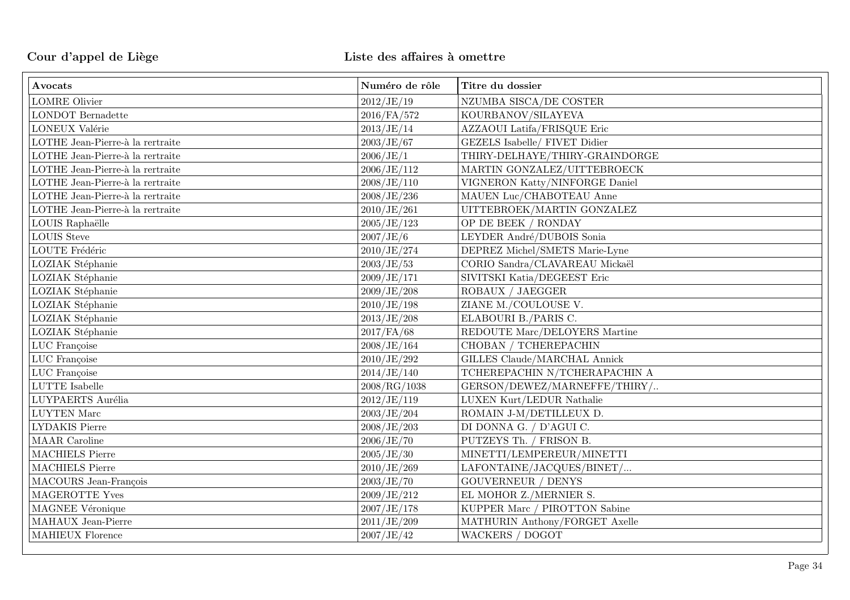| Avocats                          | Numéro de rôle | Titre du dossier                     |
|----------------------------------|----------------|--------------------------------------|
| <b>LOMRE Olivier</b>             | 2012/JE/19     | NZUMBA SISCA/DE COSTER               |
| <b>LONDOT</b> Bernadette         | 2016/FA/572    | KOURBANOV/SILAYEVA                   |
| LONEUX Valérie                   | 2013/JE/14     | AZZAOUI Latifa/FRISQUE Eric          |
| LOTHE Jean-Pierre-à la rertraite | 2003/JE/67     | <b>GEZELS Isabelle/ FIVET Didier</b> |
| LOTHE Jean-Pierre-à la rertraite | 2006/JE/1      | THIRY-DELHAYE/THIRY-GRAINDORGE       |
| LOTHE Jean-Pierre-à la rertraite | 2006/JE/112    | MARTIN GONZALEZ/UITTEBROECK          |
| LOTHE Jean-Pierre-à la rertraite | 2008/JE/110    | VIGNERON Katty/NINFORGE Daniel       |
| LOTHE Jean-Pierre-à la rertraite | 2008/JE/236    | MAUEN Luc/CHABOTEAU Anne             |
| LOTHE Jean-Pierre-à la rertraite | 2010/JE/261    | UITTEBROEK/MARTIN GONZALEZ           |
| LOUIS Raphaëlle                  | 2005/JE/123    | OP DE BEEK / RONDAY                  |
| <b>LOUIS</b> Steve               | 2007/JE/6      | LEYDER André/DUBOIS Sonia            |
| LOUTE Frédéric                   | 2010/JE/274    | DEPREZ Michel/SMETS Marie-Lyne       |
| LOZIAK Stéphanie                 | 2003/JE/53     | CORIO Sandra/CLAVAREAU Mickaël       |
| LOZIAK Stéphanie                 | 2009/JE/171    | SIVITSKI Katia/DEGEEST Eric          |
| LOZIAK Stéphanie                 | 2009/JE/208    | ROBAUX / JAEGGER                     |
| LOZIAK Stéphanie                 | 2010/JE/198    | ZIANE M./COULOUSE V.                 |
| LOZIAK Stéphanie                 | 2013/JE/208    | ELABOURI B./PARIS C.                 |
| LOZIAK Stéphanie                 | 2017/FA/68     | REDOUTE Marc/DELOYERS Martine        |
| LUC Françoise                    | 2008/JE/164    | CHOBAN / TCHEREPACHIN                |
| LUC Françoise                    | 2010/JE/292    | GILLES Claude/MARCHAL Annick         |
| LUC Françoise                    | 2014/JE/140    | TCHEREPACHIN N/TCHERAPACHIN A        |
| ${\rm LUTTE}$ Isabelle           | 2008/RG/1038   | GERSON/DEWEZ/MARNEFFE/THIRY/         |
| LUYPAERTS Aurélia                | 2012/JE/119    | LUXEN Kurt/LEDUR Nathalie            |
| ${\rm LUYTEN}$ Marc              | 2003/JE/204    | ROMAIN J-M/DETILLEUX D.              |
| LYDAKIS Pierre                   | 2008/JE/203    | DI DONNA G. / D'AGUI C.              |
| MAAR Caroline                    | 2006/JE/70     | PUTZEYS Th. / FRISON B.              |
| <b>MACHIELS Pierre</b>           | 2005/JE/30     | MINETTI/LEMPEREUR/MINETTI            |
| <b>MACHIELS Pierre</b>           | 2010/JE/269    | LAFONTAINE/JACQUES/BINET/            |
| MACOURS Jean-François            | 2003/JE/70     | <b>GOUVERNEUR / DENYS</b>            |
| MAGEROTTE Yves                   | 2009/JE/212    | EL MOHOR Z./MERNIER S.               |
| MAGNEE Véronique                 | 2007/JE/178    | KUPPER Marc / PIROTTON Sabine        |
| MAHAUX Jean-Pierre               | 2011/JE/209    | MATHURIN Anthony/FORGET Axelle       |
| <b>MAHIEUX Florence</b>          | 2007/JE/42     | WACKERS / DOGOT                      |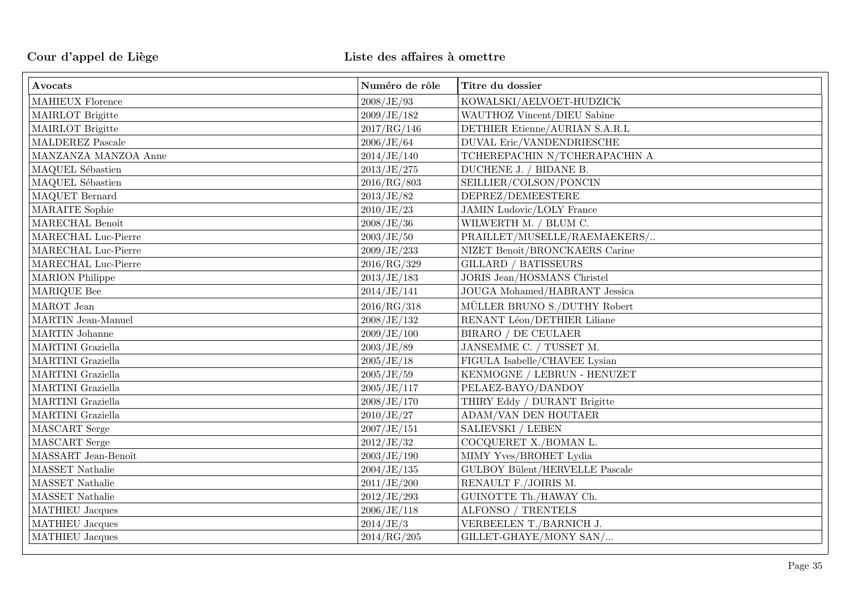| Avocats                          | Numéro de rôle | Titre du dossier                      |
|----------------------------------|----------------|---------------------------------------|
| <b>MAHIEUX Florence</b>          | 2008/JE/93     | KOWALSKI/AELVOET-HUDZICK              |
| MAIRLOT Brigitte                 | 2009/JE/182    | WAUTHOZ Vincent/DIEU Sabine           |
| MAIRLOT Brigitte                 | 2017/RG/146    | DETHIER Etienne/AURIAN S.A.R.L        |
| MALDEREZ Pascale                 | 2006/JE/64     | DUVAL Eric/VANDENDRIESCHE             |
| MANZANZA MANZOA Anne             | 2014/JE/140    | TCHEREPACHIN N/TCHERAPACHIN A         |
| MAQUEL Sébastien                 | 2013/JE/275    | DUCHENE J. / BIDANE B.                |
| MAQUEL Sébastien                 | 2016/RG/803    | SEILLIER/COLSON/PONCIN                |
| MAQUET Bernard                   | 2013/JE/82     | DEPREZ/DEMEESTERE                     |
| <b>MARAITE</b> Sophie            | 2010/JE/23     | <b>JAMIN Ludovic/LOLY France</b>      |
| MARECHAL Benoît                  | 2008/JE/36     | WILWERTH M. / BLUM C.                 |
| MARECHAL Luc-Pierre              | 2003/JE/50     | PRAILLET/MUSELLE/RAEMAEKERS/          |
| MARECHAL Luc-Pierre              | 2009/JE/233    | NIZET Benoît/BRONCKAERS Carine        |
| MARECHAL Luc-Pierre              | 2016/RG/329    | <b>GILLARD / BATISSEURS</b>           |
| <b>MARION</b> Philippe           | 2013/JE/183    | <b>JORIS Jean/HOSMANS Christel</b>    |
| MARIQUE Bee                      | 2014/JE/141    | JOUGA Mohamed/HABRANT Jessica         |
| MAROT Jean                       | 2016/RG/318    | MÜLLER BRUNO S./DUTHY Robert          |
| MARTIN Jean-Manuel               | 2008/JE/132    | RENANT Léon/DETHIER Liliane           |
| MARTIN Johanne                   | 2009/JE/100    | BIRARO / DE CEULAER                   |
| MARTINI Graziella                | 2003/JE/89     | JANSEMME C. / TUSSET M.               |
| MARTINI Graziella                | 2005/JE/18     | FIGULA Isabelle/CHAVEE Lysian         |
| MARTINI Graziella                | 2005/JE/59     | KENMOGNE / LEBRUN - HENUZET           |
| MARTINI Graziella                | 2005/JE/117    | PELAEZ-BAYO/DANDOY                    |
| MARTINI Graziella                | 2008/JE/170    | THIRY Eddy / DURANT Brigitte          |
| MARTINI Graziella                | 2010/JE/27     | <b>ADAM/VAN DEN HOUTAER</b>           |
| MASCART Serge                    | 2007/JE/151    | SALIEVSKI / LEBEN                     |
| MASCART Serge                    | 2012/JE/32     | COCQUERET X./BOMAN L.                 |
| MASSART Jean-Benoît              | 2003/JE/190    | MIMY Yves/BROHET Lydia                |
| MASSET Nathalie                  | 2004/JE/135    | <b>GULBOY Bülent/HERVELLE Pascale</b> |
| MASSET Nathalie                  | 2011/JE/200    | RENAULT F./JOIRIS M.                  |
| MASSET Nathalie                  | 2012/JE/293    | GUINOTTE Th./HAWAY Ch.                |
| <b>MATHIEU Jacques</b>           | 2006/JE/118    | ALFONSO / TRENTELS                    |
| $\operatorname{MATHIEU}$ Jacques | 2014/JE/3      | VERBEELEN T./BARNICH J.               |
| MATHIEU Jacques                  | 2014/RG/205    | GILLET-GHAYE/MONY SAN/                |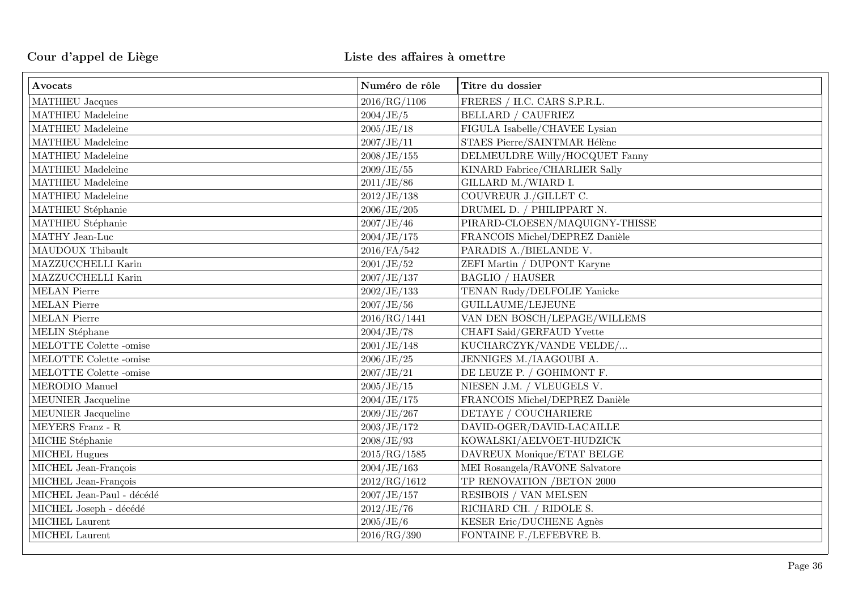| Avocats                   | Numéro de rôle | Titre du dossier               |
|---------------------------|----------------|--------------------------------|
| MATHIEU Jacques           | 2016/RG/1106   | FRERES / H.C. CARS S.P.R.L.    |
| MATHIEU Madeleine         | 2004/JE/5      | <b>BELLARD / CAUFRIEZ</b>      |
| MATHIEU Madeleine         | 2005/JE/18     | FIGULA Isabelle/CHAVEE Lysian  |
| MATHIEU Madeleine         | 2007/JE/11     | STAES Pierre/SAINTMAR Hélène   |
| MATHIEU Madeleine         | 2008/JE/155    | DELMEULDRE Willy/HOCQUET Fanny |
| MATHIEU Madeleine         | 2009/JE/55     | KINARD Fabrice/CHARLIER Sally  |
| MATHIEU Madeleine         | 2011/JE/86     | GILLARD M./WIARD I.            |
| MATHIEU Madeleine         | 2012/JE/138    | COUVREUR J./GILLET C.          |
| MATHIEU Stéphanie         | 2006/JE/205    | DRUMEL D. / PHILIPPART N.      |
| MATHIEU Stéphanie         | 2007/JE/46     | PIRARD-CLOESEN/MAQUIGNY-THISSE |
| MATHY Jean-Luc            | 2004/JE/175    | FRANCOIS Michel/DEPREZ Danièle |
| MAUDOUX Thibault          | 2016/FA/542    | PARADIS A./BIELANDE V.         |
| MAZZUCCHELLI Karin        | 2001/JE/52     | ZEFI Martin / DUPONT Karyne    |
| MAZZUCCHELLI Karin        | 2007/JE/137    | <b>BAGLIO / HAUSER</b>         |
| <b>MELAN</b> Pierre       | 2002/JE/133    | TENAN Rudy/DELFOLIE Yanicke    |
| <b>MELAN Pierre</b>       | 2007/JE/56     | GUILLAUME/LEJEUNE              |
| <b>MELAN Pierre</b>       | 2016/RG/1441   | VAN DEN BOSCH/LEPAGE/WILLEMS   |
| MELIN Stéphane            | 2004/JE/78     | CHAFI Said/GERFAUD Yvette      |
| MELOTTE Colette -omise    | 2001/JE/148    | KUCHARCZYK/VANDE VELDE/        |
| MELOTTE Colette -omise    | 2006/JE/25     | JENNIGES M./IAAGOUBI A.        |
| MELOTTE Colette -omise    | 2007/JE/21     | DE LEUZE P. / GOHIMONT F.      |
| MERODIO Manuel            | 2005/JE/15     | NIESEN J.M. / VLEUGELS V.      |
| MEUNIER Jacqueline        | 2004/JE/175    | FRANCOIS Michel/DEPREZ Danièle |
| MEUNIER Jacqueline        | 2009/JE/267    | DETAYE / COUCHARIERE           |
| MEYERS Franz - R          | 2003/JE/172    | DAVID-OGER/DAVID-LACAILLE      |
| MICHE Stéphanie           | 2008/JE/93     | KOWALSKI/AELVOET-HUDZICK       |
| MICHEL Hugues             | 2015/RG/1585   | DAVREUX Monique/ETAT BELGE     |
| MICHEL Jean-François      | 2004/JE/163    | MEI Rosangela/RAVONE Salvatore |
| MICHEL Jean-François      | 2012/RG/1612   | TP RENOVATION /BETON 2000      |
| MICHEL Jean-Paul - décédé | 2007/JE/157    | RESIBOIS / VAN MELSEN          |
| MICHEL Joseph - décédé    | 2012/JE/76     | RICHARD CH. / RIDOLE S.        |
| MICHEL Laurent            | 2005/JE/6      | KESER Eric/DUCHENE Agnès       |
| MICHEL Laurent            | 2016/RG/390    | FONTAINE F./LEFEBVRE B.        |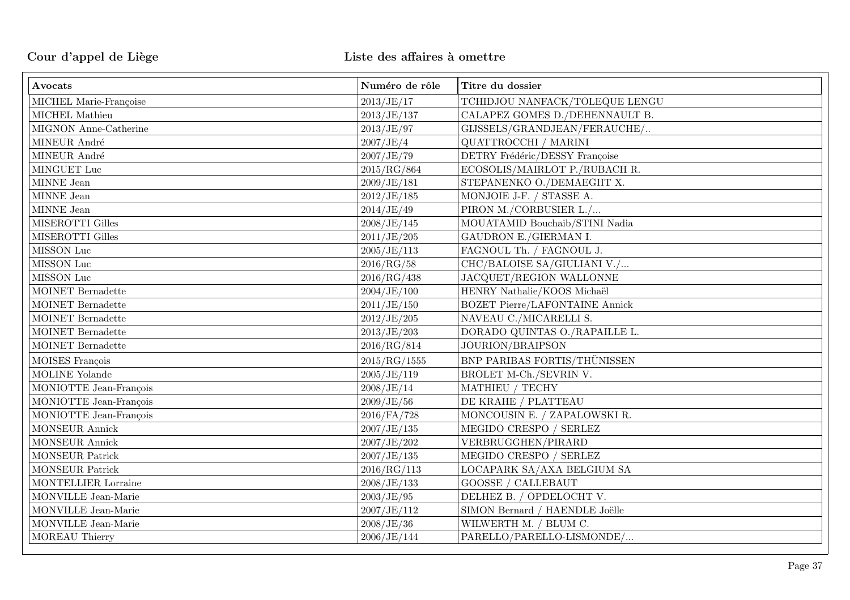| Avocats                 | Numéro de rôle | Titre du dossier                      |
|-------------------------|----------------|---------------------------------------|
| MICHEL Marie-Françoise  | 2013/JE/17     | TCHIDJOU NANFACK/TOLEQUE LENGU        |
| MICHEL Mathieu          | 2013/JE/137    | CALAPEZ GOMES D./DEHENNAULT B.        |
| MIGNON Anne-Catherine   | 2013/JE/97     | GIJSSELS/GRANDJEAN/FERAUCHE/          |
| MINEUR André            | 2007/JE/4      | QUATTROCCHI / MARINI                  |
| MINEUR André            | 2007/JE/79     | DETRY Frédéric/DESSY Françoise        |
| MINGUET Luc             | 2015/RG/864    | ECOSOLIS/MAIRLOT P./RUBACH R.         |
| MINNE Jean              | 2009/JE/181    | STEPANENKO O./DEMAEGHT X.             |
| MINNE Jean              | 2012/JE/185    | MONJOIE J-F. / STASSE A.              |
| MINNE Jean              | 2014/JE/49     | PIRON M./CORBUSIER L./                |
| MISEROTTI Gilles        | 2008/JE/145    | MOUATAMID Bouchaib/STINI Nadia        |
| MISEROTTI Gilles        | 2011/JE/205    | GAUDRON E./GIERMAN I.                 |
| MISSON Luc              | 2005/JE/113    | FAGNOUL Th. / FAGNOUL J.              |
| MISSON Luc              | 2016/RG/58     | CHC/BALOISE SA/GIULIANI V./           |
| MISSON Luc              | 2016/RG/438    | JACQUET/REGION WALLONNE               |
| $M\rm OINET$ Bernadette | 2004/JE/100    | HENRY Nathalie/KOOS Michaël           |
| MOINET Bernadette       | 2011/JE/150    | <b>BOZET Pierre/LAFONTAINE Annick</b> |
| MOINET Bernadette       | 2012/JE/205    | NAVEAU C./MICARELLI S.                |
| MOINET Bernadette       | 2013/JE/203    | DORADO QUINTAS O./RAPAILLE L.         |
| MOINET Bernadette       | 2016/RG/814    | JOURION/BRAIPSON                      |
| MOISES François         | 2015/RG/1555   | BNP PARIBAS FORTIS/THÜNISSEN          |
| MOLINE Yolande          | 2005/JE/119    | BROLET M-Ch./SEVRIN V.                |
| MONIOTTE Jean-François  | 2008/JE/14     | MATHIEU / TECHY                       |
| MONIOTTE Jean-François  | 2009/JE/56     | DE KRAHE / PLATTEAU                   |
| MONIOTTE Jean-François  | $2016$ /FA/728 | MONCOUSIN E. / ZAPALOWSKI R.          |
| MONSEUR Annick          | 2007/JE/135    | MEGIDO CRESPO / SERLEZ                |
| <b>MONSEUR Annick</b>   | 2007/JE/202    | VERBRUGGHEN/PIRARD                    |
| MONSEUR Patrick         | 2007/JE/135    | MEGIDO CRESPO / SERLEZ                |
| <b>MONSEUR Patrick</b>  | 2016/RG/113    | LOCAPARK SA/AXA BELGIUM SA            |
| MONTELLIER Lorraine     | 2008/JE/133    | <b>GOOSSE / CALLEBAUT</b>             |
| MONVILLE Jean-Marie     | 2003/JE/95     | DELHEZ B. / OPDELOCHT V.              |
| MONVILLE Jean-Marie     | 2007/JE/112    | SIMON Bernard / HAENDLE Joëlle        |
| MONVILLE Jean-Marie     | 2008/JE/36     | WILWERTH M. / BLUM C.                 |
| MOREAU Thierry          | 2006/JE/144    | PARELLO/PARELLO-LISMONDE/             |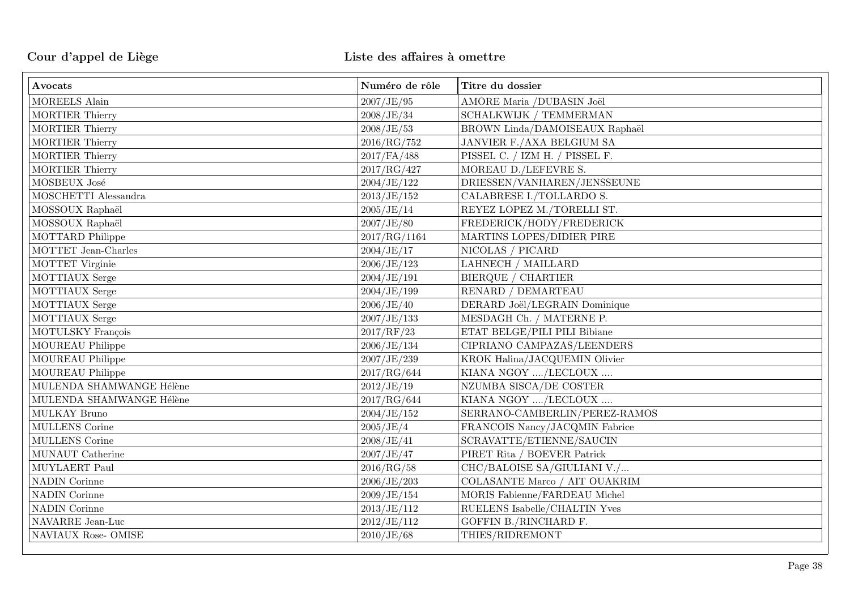| Avocats                  | Numéro de rôle | Titre du dossier               |
|--------------------------|----------------|--------------------------------|
| MOREELS Alain            | 2007/JE/95     | AMORE Maria /DUBASIN Joël      |
| <b>MORTIER Thierry</b>   | 2008/JE/34     | SCHALKWIJK / TEMMERMAN         |
| <b>MORTIER Thierry</b>   | 2008/JE/53     | BROWN Linda/DAMOISEAUX Raphaël |
| <b>MORTIER Thierry</b>   | 2016/RG/752    | JANVIER F./AXA BELGIUM SA      |
| <b>MORTIER Thierry</b>   | $2017$ /FA/488 | PISSEL C. / IZM H. / PISSEL F. |
| <b>MORTIER Thierry</b>   | 2017/RG/427    | MOREAU D./LEFEVRE S.           |
| MOSBEUX José             | 2004/JE/122    | DRIESSEN/VANHAREN/JENSSEUNE    |
| MOSCHETTI Alessandra     | 2013/JE/152    | CALABRESE I./TOLLARDO S.       |
| MOSSOUX Raphaël          | 2005/JE/14     | REYEZ LOPEZ M./TORELLI ST.     |
| MOSSOUX Raphaël          | 2007/JE/80     | FREDERICK/HODY/FREDERICK       |
| MOTTARD Philippe         | 2017/RG/1164   | MARTINS LOPES/DIDIER PIRE      |
| MOTTET Jean-Charles      | 2004/JE/17     | NICOLAS / PICARD               |
| MOTTET Virginie          | 2006/JE/123    | LAHNECH / MAILLARD             |
| MOTTIAUX Serge           | 2004/JE/191    | <b>BIERQUE / CHARTIER</b>      |
| MOTTIAUX Serge           | 2004/JE/199    | RENARD / DEMARTEAU             |
| MOTTIAUX Serge           | 2006/JE/40     | DERARD Joël/LEGRAIN Dominique  |
| MOTTIAUX Serge           | 2007/JE/133    | MESDAGH Ch. / MATERNE P.       |
| MOTULSKY François        | 2017/RF/23     | ETAT BELGE/PILI PILI Bibiane   |
| MOUREAU Philippe         | 2006/JE/134    | CIPRIANO CAMPAZAS/LEENDERS     |
| MOUREAU Philippe         | 2007/JE/239    | KROK Halina/JACQUEMIN Olivier  |
| <b>MOUREAU</b> Philippe  | 2017/RG/644    | KIANA NGOY /LECLOUX            |
| MULENDA SHAMWANGE Hélène | 2012/JE/19     | NZUMBA SISCA/DE COSTER         |
| MULENDA SHAMWANGE Hélène | 2017/RG/644    | KIANA NGOY /LECLOUX            |
| MULKAY Bruno             | 2004/JE/152    | SERRANO-CAMBERLIN/PEREZ-RAMOS  |
| MULLENS Corine           | 2005/JE/4      | FRANCOIS Nancy/JACQMIN Fabrice |
| MULLENS Corine           | 2008/JE/41     | SCRAVATTE/ETIENNE/SAUCIN       |
| MUNAUT Catherine         | 2007/JE/47     | PIRET Rita / BOEVER Patrick    |
| MUYLAERT Paul            | 2016/RG/58     | CHC/BALOISE SA/GIULIANI V./    |
| <b>NADIN Corinne</b>     | 2006/JE/203    | COLASANTE Marco / AIT OUAKRIM  |
| <b>NADIN Corinne</b>     | 2009/JE/154    | MORIS Fabienne/FARDEAU Michel  |
| <b>NADIN Corinne</b>     | 2013/JE/112    | RUELENS Isabelle/CHALTIN Yves  |
| NAVARRE Jean-Luc         | 2012/JE/112    | GOFFIN B./RINCHARD F.          |
| NAVIAUX Rose- OMISE      | 2010/JE/68     | THIES/RIDREMONT                |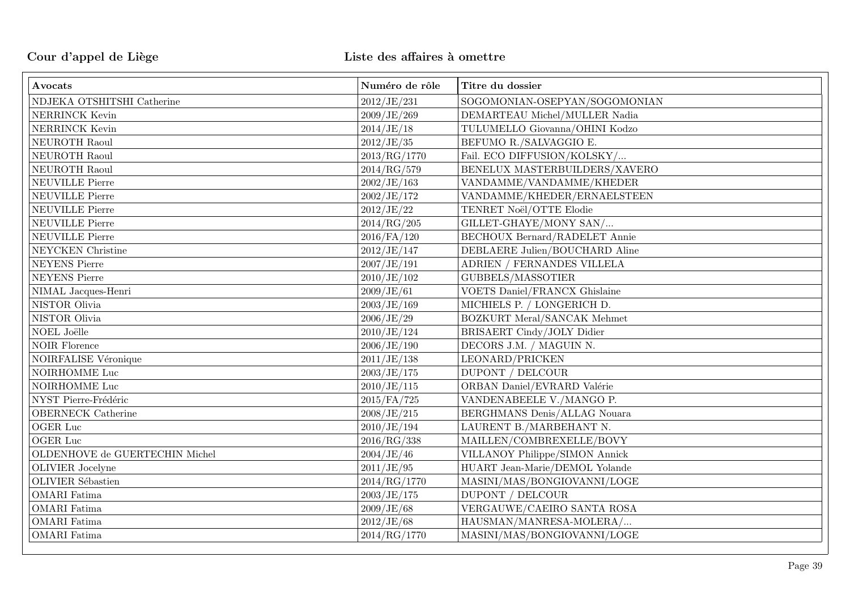| Avocats                        | Numéro de rôle | Titre du dossier                     |
|--------------------------------|----------------|--------------------------------------|
| NDJEKA OTSHITSHI Catherine     | 2012/JE/231    | SOGOMONIAN-OSEPYAN/SOGOMONIAN        |
| NERRINCK Kevin                 | 2009/JE/269    | DEMARTEAU Michel/MULLER Nadia        |
| NERRINCK Kevin                 | 2014/JE/18     | TULUMELLO Giovanna/OHINI Kodzo       |
| NEUROTH Raoul                  | 2012/JE/35     | BEFUMO R./SALVAGGIO E.               |
| NEUROTH Raoul                  | 2013/RG/1770   | Fail. ECO DIFFUSION/KOLSKY/          |
| NEUROTH Raoul                  | 2014/RG/579    | BENELUX MASTERBUILDERS/XAVERO        |
| <b>NEUVILLE Pierre</b>         | 2002/JE/163    | VANDAMME/VANDAMME/KHEDER             |
| <b>NEUVILLE Pierre</b>         | 2002/JE/172    | VANDAMME/KHEDER/ERNAELSTEEN          |
| <b>NEUVILLE Pierre</b>         | 2012/JE/22     | TENRET Noël/OTTE Elodie              |
| <b>NEUVILLE Pierre</b>         | 2014/RG/205    | GILLET-GHAYE/MONY SAN/               |
| <b>NEUVILLE Pierre</b>         | $2016$ /FA/120 | <b>BECHOUX Bernard/RADELET Annie</b> |
| NEYCKEN Christine              | 2012/JE/147    | DEBLAERE Julien/BOUCHARD Aline       |
| <b>NEYENS</b> Pierre           | 2007/JE/191    | ADRIEN / FERNANDES VILLELA           |
| <b>NEYENS</b> Pierre           | 2010/JE/102    | GUBBELS/MASSOTIER                    |
| NIMAL Jacques-Henri            | 2009/JE/61     | <b>VOETS Daniel/FRANCX Ghislaine</b> |
| NISTOR Olivia                  | 2003/JE/169    | MICHIELS P. / LONGERICH D.           |
| NISTOR Olivia                  | 2006/JE/29     | BOZKURT Meral/SANCAK Mehmet          |
| NOEL Joëlle                    | 2010/JE/124    | BRISAERT Cindy/JOLY Didier           |
| <b>NOIR Florence</b>           | 2006/JE/190    | DECORS J.M. / MAGUIN N.              |
| <b>NOIRFALISE Véronique</b>    | 2011/JE/138    | LEONARD/PRICKEN                      |
| NOIRHOMME Luc                  | 2003/JE/175    | <b>DUPONT / DELCOUR</b>              |
| NOIRHOMME Luc                  | 2010/JE/115    | ORBAN Daniel/EVRARD Valérie          |
| NYST Pierre-Frédéric           | 2015/FA/725    | VANDENABEELE V./MANGO P.             |
| <b>OBERNECK</b> Catherine      | 2008/JE/215    | BERGHMANS Denis/ALLAG Nouara         |
| OGER Luc                       | 2010/JE/194    | LAURENT B./MARBEHANT N.              |
| OGER Luc                       | 2016/RG/338    | MAILLEN/COMBREXELLE/BOVY             |
| OLDENHOVE de GUERTECHIN Michel | 2004/JE/46     | VILLANOY Philippe/SIMON Annick       |
| OLIVIER Jocelyne               | 2011/JE/95     | HUART Jean-Marie/DEMOL Yolande       |
| <b>OLIVIER Sébastien</b>       | 2014/RG/1770   | MASINI/MAS/BONGIOVANNI/LOGE          |
| <b>OMARI</b> Fatima            | 2003/JE/175    | <b>DUPONT / DELCOUR</b>              |
| <b>OMARI</b> Fatima            | 2009/JE/68     | VERGAUWE/CAEIRO SANTA ROSA           |
| <b>OMARI</b> Fatima            | 2012/JE/68     | HAUSMAN/MANRESA-MOLERA/              |
| <b>OMARI</b> Fatima            | 2014/RG/1770   | MASINI/MAS/BONGIOVANNI/LOGE          |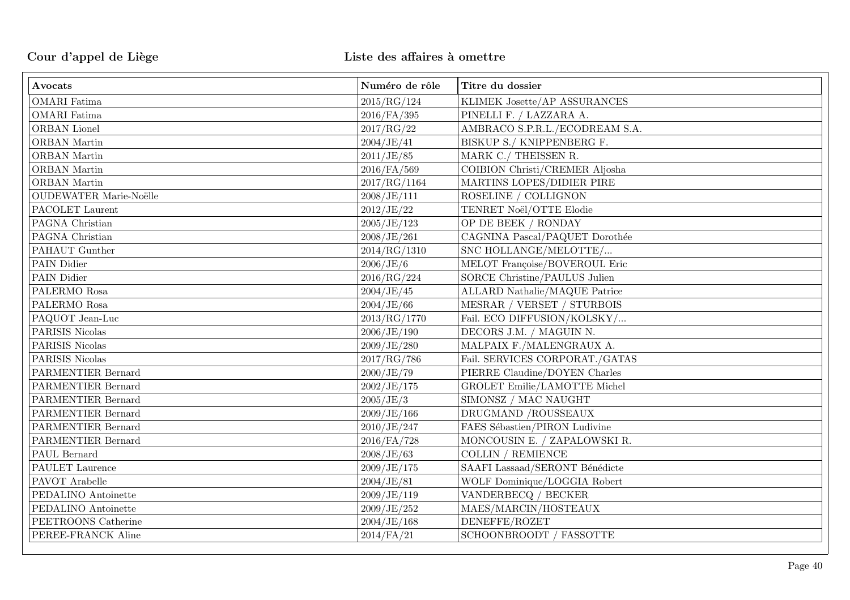| Avocats                       | Numéro de rôle | Titre du dossier                     |
|-------------------------------|----------------|--------------------------------------|
| <b>OMARI</b> Fatima           | 2015/RG/124    | KLIMEK Josette/AP ASSURANCES         |
| <b>OMARI</b> Fatima           | $2016$ /FA/395 | PINELLI F. / LAZZARA A.              |
| ORBAN Lionel                  | 2017/RG/22     | AMBRACO S.P.R.L./ECODREAM S.A.       |
| ORBAN Martin                  | 2004/JE/41     | BISKUP S./ KNIPPENBERG F.            |
| ORBAN Martin                  | 2011/JE/85     | MARK C./ THEISSEN R.                 |
| ORBAN Martin                  | 2016/FA/569    | COIBION Christi/CREMER Aljosha       |
| <b>ORBAN</b> Martin           | 2017/RG/1164   | MARTINS LOPES/DIDIER PIRE            |
| <b>OUDEWATER Marie-Noëlle</b> | 2008/JE/111    | ROSELINE / COLLIGNON                 |
| PACOLET Laurent               | 2012/JE/22     | TENRET Noël/OTTE Elodie              |
| PAGNA Christian               | 2005/JE/123    | OP DE BEEK / RONDAY                  |
| PAGNA Christian               | 2008/JE/261    | CAGNINA Pascal/PAQUET Dorothée       |
| PAHAUT Gunther                | 2014/RG/1310   | SNC HOLLANGE/MELOTTE/                |
| PAIN Didier                   | 2006/JE/6      | MELOT Françoise/BOVEROUL Eric        |
| PAIN Didier                   | 2016/RG/224    | SORCE Christine/PAULUS Julien        |
| PALERMO Rosa                  | 2004/JE/45     | <b>ALLARD Nathalie/MAQUE Patrice</b> |
| PALERMO Rosa                  | 2004/JE/66     | MESRAR / VERSET / STURBOIS           |
| PAQUOT Jean-Luc               | 2013/RG/1770   | Fail. ECO DIFFUSION/KOLSKY/          |
| PARISIS Nicolas               | 2006/JE/190    | DECORS J.M. / MAGUIN N.              |
| PARISIS Nicolas               | 2009/JE/280    | MALPAIX F./MALENGRAUX A.             |
| PARISIS Nicolas               | 2017/RG/786    | Fail. SERVICES CORPORAT./GATAS       |
| PARMENTIER Bernard            | 2000/JE/79     | PIERRE Claudine/DOYEN Charles        |
| PARMENTIER Bernard            | 2002/JE/175    | <b>GROLET Emilie/LAMOTTE Michel</b>  |
| PARMENTIER Bernard            | 2005/JE/3      | SIMONSZ / MAC NAUGHT                 |
| PARMENTIER Bernard            | 2009/JE/166    | DRUGMAND /ROUSSEAUX                  |
| PARMENTIER Bernard            | 2010/JE/247    | FAES Sébastien/PIRON Ludivine        |
| PARMENTIER Bernard            | 2016/FA/728    | MONCOUSIN E. / ZAPALOWSKI R.         |
| PAUL Bernard                  | 2008/JE/63     | <b>COLLIN / REMIENCE</b>             |
| PAULET Laurence               | 2009/JE/175    | SAAFI Lassaad/SERONT Bénédicte       |
| PAVOT Arabelle                | 2004/JE/81     | WOLF Dominique/LOGGIA Robert         |
| PEDALINO Antoinette           | 2009/JE/119    | VANDERBECQ / BECKER                  |
| PEDALINO Antoinette           | 2009/JE/252    | MAES/MARCIN/HOSTEAUX                 |
| PEETROONS Catherine           | 2004/JE/168    | DENEFFE/ROZET                        |
| PEREE-FRANCK Aline            | $2014$ /FA/21  | SCHOONBROODT / FASSOTTE              |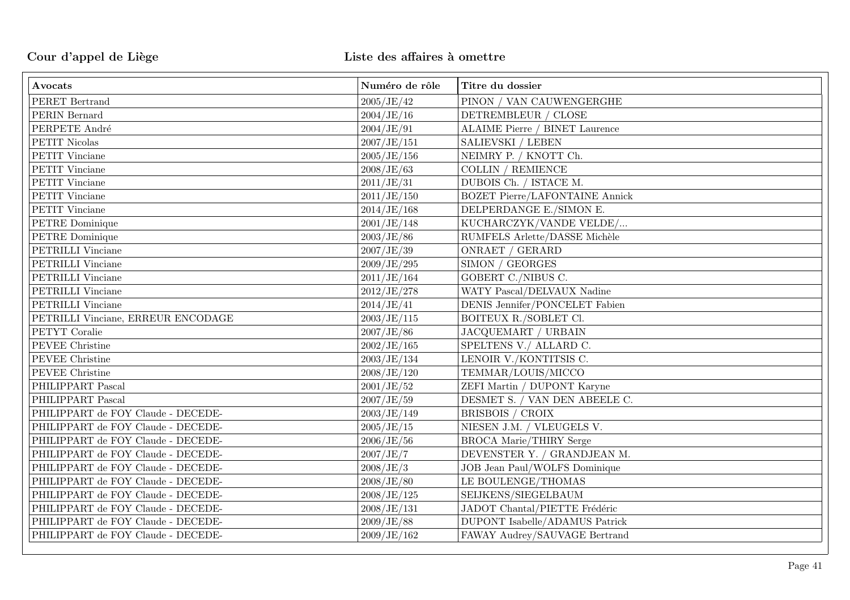| Avocats                            | Numéro de rôle | Titre du dossier                      |
|------------------------------------|----------------|---------------------------------------|
| PERET Bertrand                     | 2005/JE/42     | PINON / VAN CAUWENGERGHE              |
| PERIN Bernard                      | 2004/JE/16     | DETREMBLEUR / CLOSE                   |
| PERPETE André                      | 2004/JE/91     | <b>ALAIME Pierre / BINET Laurence</b> |
| PETIT Nicolas                      | 2007/JE/151    | SALIEVSKI / LEBEN                     |
| PETIT Vinciane                     | 2005/JE/156    | NEIMRY P. / KNOTT Ch.                 |
| PETIT Vinciane                     | 2008/JE/63     | <b>COLLIN / REMIENCE</b>              |
| PETIT Vinciane                     | 2011/JE/31     | DUBOIS Ch. / ISTACE M.                |
| PETIT Vinciane                     | 2011/JE/150    | <b>BOZET Pierre/LAFONTAINE Annick</b> |
| PETIT Vinciane                     | 2014/JE/168    | DELPERDANGE E./SIMON E.               |
| PETRE Dominique                    | 2001/JE/148    | KUCHARCZYK/VANDE VELDE/               |
| PETRE Dominique                    | 2003/JE/86     | RUMFELS Arlette/DASSE Michèle         |
| PETRILLI Vinciane                  | 2007/JE/39     | ONRAET / GERARD                       |
| PETRILLI Vinciane                  | 2009/JE/295    | SIMON / GEORGES                       |
| PETRILLI Vinciane                  | 2011/JE/164    | GOBERT C./NIBUS C.                    |
| PETRILLI Vinciane                  | 2012/JE/278    | WATY Pascal/DELVAUX Nadine            |
| PETRILLI Vinciane                  | 2014/JE/41     | DENIS Jennifer/PONCELET Fabien        |
| PETRILLI Vinciane, ERREUR ENCODAGE | 2003/JE/115    | BOITEUX R./SOBLET Cl.                 |
| PETYT Coralie                      | 2007/JE/86     | JACQUEMART / URBAIN                   |
| PEVEE Christine                    | 2002/JE/165    | SPELTENS V./ ALLARD C.                |
| PEVEE Christine                    | 2003/JE/134    | LENOIR V./KONTITSIS C.                |
| PEVEE Christine                    | 2008/JE/120    | TEMMAR/LOUIS/MICCO                    |
| PHILIPPART Pascal                  | 2001/JE/52     | ZEFI Martin / DUPONT Karyne           |
| PHILIPPART Pascal                  | 2007/JE/59     | DESMET S. / VAN DEN ABEELE C.         |
| PHILIPPART de FOY Claude - DECEDE- | 2003/JE/149    | BRISBOIS / CROIX                      |
| PHILIPPART de FOY Claude - DECEDE- | 2005/JE/15     | NIESEN J.M. / VLEUGELS V.             |
| PHILIPPART de FOY Claude - DECEDE- | 2006/JE/56     | <b>BROCA Marie/THIRY Serge</b>        |
| PHILIPPART de FOY Claude - DECEDE- | 2007/JE/7      | DEVENSTER Y. / GRANDJEAN M.           |
| PHILIPPART de FOY Claude - DECEDE- | 2008/JE/3      | JOB Jean Paul/WOLFS Dominique         |
| PHILIPPART de FOY Claude - DECEDE- | 2008/JE/80     | LE BOULENGE/THOMAS                    |
| PHILIPPART de FOY Claude - DECEDE- | 2008/JE/125    | SEIJKENS/SIEGELBAUM                   |
| PHILIPPART de FOY Claude - DECEDE- | 2008/JE/131    | JADOT Chantal/PIETTE Frédéric         |
| PHILIPPART de FOY Claude - DECEDE- | 2009/JE/88     | <b>DUPONT</b> Isabelle/ADAMUS Patrick |
| PHILIPPART de FOY Claude - DECEDE- | 2009/JE/162    | FAWAY Audrey/SAUVAGE Bertrand         |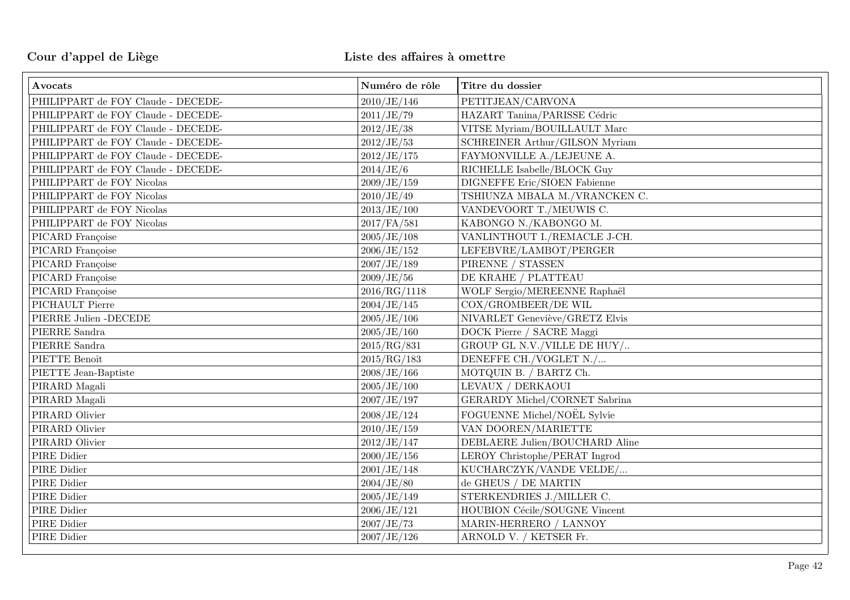| Avocats                            | Numéro de rôle | Titre du dossier               |
|------------------------------------|----------------|--------------------------------|
| PHILIPPART de FOY Claude - DECEDE- | 2010/JE/146    | PETITJEAN/CARVONA              |
| PHILIPPART de FOY Claude - DECEDE- | 2011/JE/79     | HAZART Tanina/PARISSE Cédric   |
| PHILIPPART de FOY Claude - DECEDE- | 2012/JE/38     | VITSE Myriam/BOUILLAULT Marc   |
| PHILIPPART de FOY Claude - DECEDE- | 2012/JE/53     | SCHREINER Arthur/GILSON Myriam |
| PHILIPPART de FOY Claude - DECEDE- | 2012/JE/175    | FAYMONVILLE A./LEJEUNE A.      |
| PHILIPPART de FOY Claude - DECEDE- | 2014/JE/6      | RICHELLE Isabelle/BLOCK Guy    |
| PHILIPPART de FOY Nicolas          | 2009/JE/159    | DIGNEFFE Eric/SIOEN Fabienne   |
| PHILIPPART de FOY Nicolas          | 2010/JE/49     | TSHIUNZA MBALA M./VRANCKEN C.  |
| PHILIPPART de FOY Nicolas          | 2013/JE/100    | VANDEVOORT T./MEUWIS C.        |
| PHILIPPART de FOY Nicolas          | 2017/FA/581    | KABONGO N./KABONGO M.          |
| PICARD Françoise                   | 2005/JE/108    | VANLINTHOUT I./REMACLE J-CH.   |
| PICARD Françoise                   | 2006/JE/152    | LEFEBVRE/LAMBOT/PERGER         |
| PICARD Françoise                   | 2007/JE/189    | PIRENNE / STASSEN              |
| PICARD Françoise                   | 2009/JE/56     | DE KRAHE / PLATTEAU            |
| PICARD Françoise                   | 2016/RG/1118   | WOLF Sergio/MEREENNE Raphaël   |
| PICHAULT Pierre                    | 2004/JE/145    | COX/GROMBEER/DE WIL            |
| PIERRE Julien - DECEDE             | 2005/JE/106    | NIVARLET Geneviève/GRETZ Elvis |
| PIERRE Sandra                      | 2005/JE/160    | DOCK Pierre / SACRE Maggi      |
| PIERRE Sandra                      | 2015/RG/831    | GROUP GL N.V./VILLE DE HUY/    |
| PIETTE Benoît                      | 2015/RG/183    | DENEFFE CH./VOGLET N./         |
| PIETTE Jean-Baptiste               | 2008/JE/166    | MOTQUIN B. / BARTZ Ch.         |
| PIRARD Magali                      | 2005/JE/100    | LEVAUX / DERKAOUI              |
| PIRARD Magali                      | 2007/JE/197    | GERARDY Michel/CORNET Sabrina  |
| PIRARD Olivier                     | 2008/JE/124    | FOGUENNE Michel/NOËL Sylvie    |
| PIRARD Olivier                     | 2010/JE/159    | VAN DOOREN/MARIETTE            |
| PIRARD Olivier                     | 2012/JE/147    | DEBLAERE Julien/BOUCHARD Aline |
| PIRE Didier                        | 2000/JE/156    | LEROY Christophe/PERAT Ingrod  |
| PIRE Didier                        | 2001/JE/148    | KUCHARCZYK/VANDE VELDE/        |
| PIRE Didier                        | 2004/JE/80     | de GHEUS / DE MARTIN           |
| PIRE Didier                        | 2005/JE/149    | STERKENDRIES J./MILLER C.      |
| PIRE Didier                        | 2006/JE/121    | HOUBION Cécile/SOUGNE Vincent  |
| PIRE Didier                        | 2007/JE/73     | MARIN-HERRERO / LANNOY         |
| PIRE Didier                        | 2007/JE/126    | ARNOLD V. / KETSER Fr.         |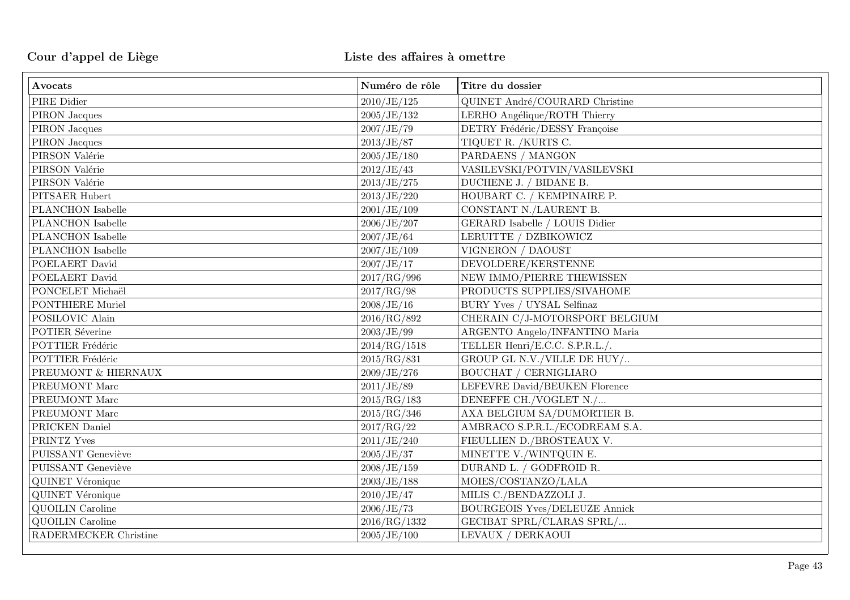| Avocats                 | Numéro de rôle | Titre du dossier                     |
|-------------------------|----------------|--------------------------------------|
| PIRE Didier             | 2010/JE/125    | QUINET André/COURARD Christine       |
| $\rm{PIRON}$ Jacques    | 2005/JE/132    | LERHO Angélique/ROTH Thierry         |
| $\rm{PIRON}$ Jacques    | 2007/JE/79     | DETRY Frédéric/DESSY Françoise       |
| PIRON Jacques           | 2013/JE/87     | TIQUET R. /KURTS C.                  |
| PIRSON Valérie          | 2005/JE/180    | PARDAENS / MANGON                    |
| PIRSON Valérie          | 2012/JE/43     | VASILEVSKI/POTVIN/VASILEVSKI         |
| PIRSON Valérie          | 2013/JE/275    | DUCHENE J. / BIDANE B.               |
| PITSAER Hubert          | 2013/JE/220    | HOUBART C. / KEMPINAIRE P.           |
| PLANCHON Isabelle       | 2001/JE/109    | CONSTANT N./LAURENT B.               |
| PLANCHON Isabelle       | 2006/JE/207    | GERARD Isabelle / LOUIS Didier       |
| PLANCHON Isabelle       | 2007/JE/64     | LERUITTE / DZBIKOWICZ                |
| PLANCHON Isabelle       | 2007/JE/109    | VIGNERON / DAOUST                    |
| POELAERT David          | 2007/JE/17     | DEVOLDERE/KERSTENNE                  |
| POELAERT David          | 2017/RG/996    | NEW IMMO/PIERRE THEWISSEN            |
| PONCELET Michaël        | 2017/RG/98     | PRODUCTS SUPPLIES/SIVAHOME           |
| <b>PONTHIERE Muriel</b> | 2008/JE/16     | BURY Yves / UYSAL Selfinaz           |
| POSILOVIC Alain         | 2016/RG/892    | CHERAIN C/J-MOTORSPORT BELGIUM       |
| POTIER Séverine         | 2003/JE/99     | ARGENTO Angelo/INFANTINO Maria       |
| POTTIER Frédéric        | 2014/RG/1518   | TELLER Henri/E.C.C. S.P.R.L./.       |
| POTTIER Frédéric        | 2015/RG/831    | GROUP GL N.V./VILLE DE HUY/          |
| PREUMONT & HIERNAUX     | 2009/JE/276    | BOUCHAT / CERNIGLIARO                |
| PREUMONT Marc           | 2011/JE/89     | LEFEVRE David/BEUKEN Florence        |
| PREUMONT Marc           | 2015/RG/183    | DENEFFE CH./VOGLET N./               |
| PREUMONT Marc           | 2015/RG/346    | AXA BELGIUM SA/DUMORTIER B.          |
| PRICKEN Daniel          | 2017/RG/22     | AMBRACO S.P.R.L./ECODREAM S.A.       |
| PRINTZ Yves             | 2011/JE/240    | FIEULLIEN D./BROSTEAUX V.            |
| PUISSANT Geneviève      | 2005/JE/37     | MINETTE V./WINTQUIN E.               |
| PUISSANT Geneviève      | 2008/JE/159    | DURAND L. / GODFROID R.              |
| <b>QUINET Véronique</b> | 2003/JE/188    | MOIES/COSTANZO/LALA                  |
| QUINET Véronique        | 2010/JE/47     | MILIS C./BENDAZZOLI J.               |
| <b>QUOILIN</b> Caroline | 2006/JE/73     | <b>BOURGEOIS Yves/DELEUZE Annick</b> |
| <b>QUOILIN</b> Caroline | 2016/RG/1332   | GECIBAT SPRL/CLARAS SPRL/            |
| RADERMECKER Christine   | 2005/JE/100    | LEVAUX / DERKAOUI                    |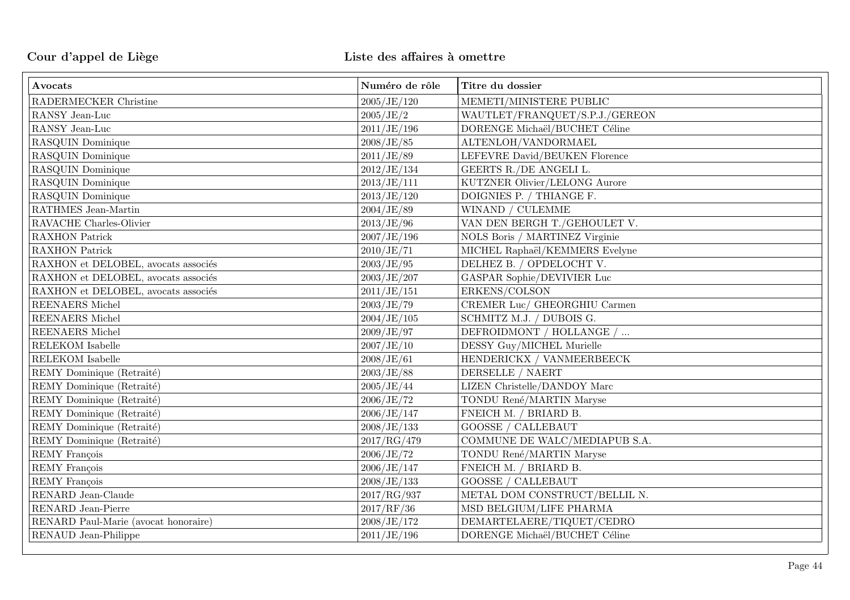| Avocats                              | Numéro de rôle | Titre du dossier               |
|--------------------------------------|----------------|--------------------------------|
| RADERMECKER Christine                | 2005/JE/120    | MEMETI/MINISTERE PUBLIC        |
| RANSY Jean-Luc                       | 2005/JE/2      | WAUTLET/FRANQUET/S.P.J./GEREON |
| RANSY Jean-Luc                       | 2011/JE/196    | DORENGE Michaël/BUCHET Céline  |
| RASQUIN Dominique                    | 2008/JE/85     | ALTENLOH/VANDORMAEL            |
| RASQUIN Dominique                    | 2011/JE/89     | LEFEVRE David/BEUKEN Florence  |
| RASQUIN Dominique                    | 2012/JE/134    | GEERTS R./DE ANGELI L.         |
| RASQUIN Dominique                    | 2013/JE/111    | KUTZNER Olivier/LELONG Aurore  |
| RASQUIN Dominique                    | 2013/JE/120    | DOIGNIES P. / THIANGE F.       |
| RATHMES Jean-Martin                  | 2004/JE/89     | WINAND / CULEMME               |
| RAVACHE Charles-Olivier              | 2013/JE/96     | VAN DEN BERGH T./GEHOULET V.   |
| RAXHON Patrick                       | 2007/JE/196    | NOLS Boris / MARTINEZ Virginie |
| <b>RAXHON Patrick</b>                | 2010/JE/71     | MICHEL Raphaël/KEMMERS Evelyne |
| RAXHON et DELOBEL, avocats associés  | 2003/JE/95     | DELHEZ B. / OPDELOCHT V.       |
| RAXHON et DELOBEL, avocats associés  | 2003/JE/207    | GASPAR Sophie/DEVIVIER Luc     |
| RAXHON et DELOBEL, avocats associés  | 2011/JE/151    | ERKENS/COLSON                  |
| REENAERS Michel                      | 2003/JE/79     | CREMER Luc/ GHEORGHIU Carmen   |
| REENAERS Michel                      | 2004/JE/105    | SCHMITZ M.J. / DUBOIS G.       |
| <b>REENAERS</b> Michel               | 2009/JE/97     | DEFROIDMONT / HOLLANGE /       |
| RELEKOM Isabelle                     | 2007/JE/10     | DESSY Guy/MICHEL Murielle      |
| RELEKOM Isabelle                     | 2008/JE/61     | HENDERICKX / VANMEERBEECK      |
| REMY Dominique (Retraité)            | 2003/JE/88     | DERSELLE / NAERT               |
| REMY Dominique (Retraité)            | 2005/JE/44     | LIZEN Christelle/DANDOY Marc   |
| REMY Dominique (Retraité)            | 2006/JE/72     | TONDU René/MARTIN Maryse       |
| REMY Dominique (Retraité)            | 2006/JE/147    | FNEICH M. / BRIARD B.          |
| REMY Dominique (Retraité)            | 2008/JE/133    | <b>GOOSSE / CALLEBAUT</b>      |
| REMY Dominique (Retraité)            | 2017/RG/479    | COMMUNE DE WALC/MEDIAPUB S.A.  |
| REMY François                        | 2006/JE/72     | TONDU René/MARTIN Maryse       |
| <b>REMY</b> François                 | 2006/JE/147    | FNEICH M. / BRIARD B.          |
| <b>REMY François</b>                 | 2008/JE/133    | <b>GOOSSE / CALLEBAUT</b>      |
| RENARD Jean-Claude                   | 2017/RG/937    | METAL DOM CONSTRUCT/BELLIL N.  |
| RENARD Jean-Pierre                   | 2017/RF/36     | MSD BELGIUM/LIFE PHARMA        |
| RENARD Paul-Marie (avocat honoraire) | 2008/JE/172    | DEMARTELAERE/TIQUET/CEDRO      |
| RENAUD Jean-Philippe                 | 2011/JE/196    | DORENGE Michaël/BUCHET Céline  |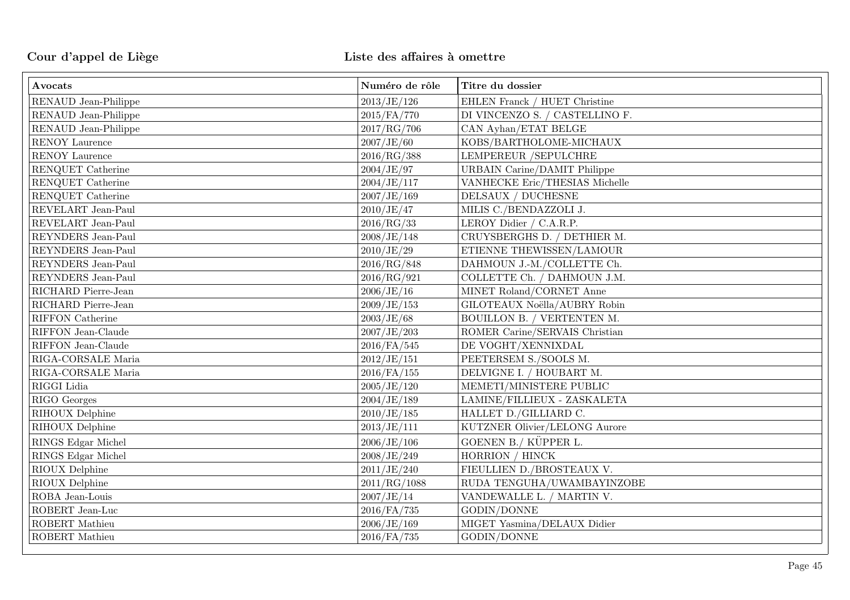| Avocats               | Numéro de rôle | Titre du dossier                     |
|-----------------------|----------------|--------------------------------------|
| RENAUD Jean-Philippe  | 2013/JE/126    | EHLEN Franck / HUET Christine        |
| RENAUD Jean-Philippe  | 2015/FA/770    | DI VINCENZO S. / CASTELLINO F.       |
| RENAUD Jean-Philippe  | 2017/RG/706    | CAN Ayhan/ETAT BELGE                 |
| RENOY Laurence        | 2007/JE/60     | KOBS/BARTHOLOME-MICHAUX              |
| <b>RENOY Laurence</b> | 2016/RG/388    | <b>LEMPEREUR /SEPULCHRE</b>          |
| RENQUET Catherine     | 2004/JE/97     | <b>URBAIN Carine/DAMIT Philippe</b>  |
| RENQUET Catherine     | 2004/JE/117    | VANHECKE Eric/THESIAS Michelle       |
| RENQUET Catherine     | 2007/JE/169    | DELSAUX / DUCHESNE                   |
| REVELART Jean-Paul    | 2010/JE/47     | MILIS C./BENDAZZOLI J.               |
| REVELART Jean-Paul    | 2016/RG/33     | LEROY Didier / C.A.R.P.              |
| REYNDERS Jean-Paul    | 2008/JE/148    | CRUYSBERGHS D. / DETHIER M.          |
| REYNDERS Jean-Paul    | 2010/JE/29     | ETIENNE THEWISSEN/LAMOUR             |
| REYNDERS Jean-Paul    | 2016/RG/848    | DAHMOUN J.-M./COLLETTE Ch.           |
| REYNDERS Jean-Paul    | 2016/RG/921    | COLLETTE Ch. / DAHMOUN J.M.          |
| RICHARD Pierre-Jean   | 2006/JE/16     | MINET Roland/CORNET Anne             |
| RICHARD Pierre-Jean   | 2009/JE/153    | GILOTEAUX Noëlla/AUBRY Robin         |
| RIFFON Catherine      | 2003/JE/68     | BOUILLON B. / VERTENTEN M.           |
| RIFFON Jean-Claude    | 2007/JE/203    | ROMER Carine/SERVAIS Christian       |
| RIFFON Jean-Claude    | $2016$ /FA/545 | DE VOGHT/XENNIXDAL                   |
| RIGA-CORSALE Maria    | 2012/JE/151    | PEETERSEM S./SOOLS M.                |
| RIGA-CORSALE Maria    | $2016$ /FA/155 | DELVIGNE I. / HOUBART M.             |
| RIGGI Lidia           | 2005/JE/120    | MEMETI/MINISTERE PUBLIC              |
| RIGO Georges          | 2004/JE/189    | LAMINE/FILLIEUX - ZASKALETA          |
| RIHOUX Delphine       | 2010/JE/185    | HALLET D./GILLIARD C.                |
| RIHOUX Delphine       | 2013/JE/111    | <b>KUTZNER Olivier/LELONG Aurore</b> |
| RINGS Edgar Michel    | 2006/JE/106    | GOENEN B./ KÜPPER L.                 |
| RINGS Edgar Michel    | 2008/JE/249    | HORRION / HINCK                      |
| RIOUX Delphine        | 2011/JE/240    | FIEULLIEN D./BROSTEAUX V.            |
| RIOUX Delphine        | 2011/RG/1088   | RUDA TENGUHA/UWAMBAYINZOBE           |
| ROBA Jean-Louis       | 2007/JE/14     | VANDEWALLE L. / MARTIN V.            |
| ROBERT Jean-Luc       | 2016/FA/735    | GODIN/DONNE                          |
| ROBERT Mathieu        | 2006/JE/169    | MIGET Yasmina/DELAUX Didier          |
| ROBERT Mathieu        | 2016/FA/735    | GODIN/DONNE                          |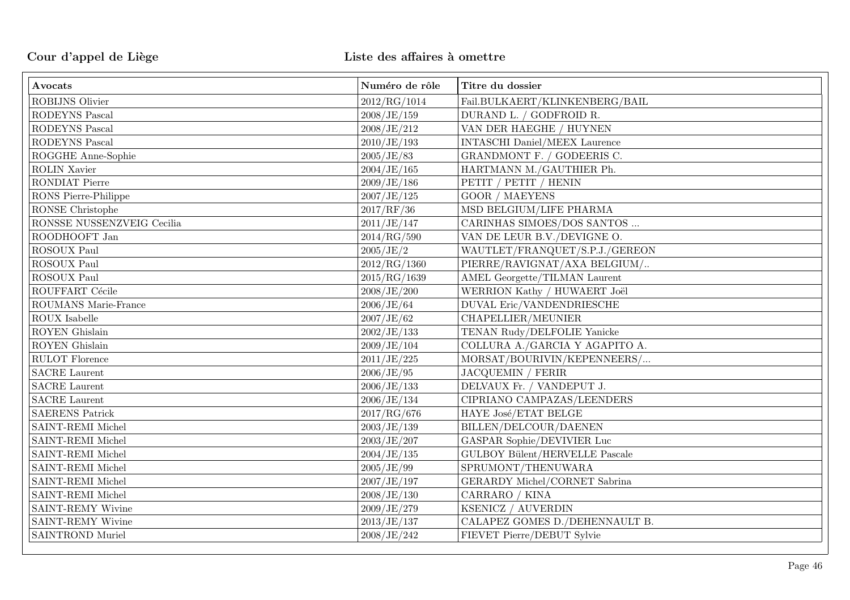| Avocats                        | Numéro de rôle | Titre du dossier                     |
|--------------------------------|----------------|--------------------------------------|
| <b>ROBIJNS Olivier</b>         | 2012/RG/1014   | Fail.BULKAERT/KLINKENBERG/BAIL       |
| RODEYNS Pascal                 | 2008/JE/159    | DURAND L. / GODFROID R.              |
| <b>RODEYNS Pascal</b>          | 2008/JE/212    | VAN DER HAEGHE / HUYNEN              |
| RODEYNS Pascal                 | 2010/JE/193    | <b>INTASCHI Daniel/MEEX Laurence</b> |
| ROGGHE Anne-Sophie             | 2005/JE/83     | GRANDMONT F. / GODEERIS C.           |
| <b>ROLIN Xavier</b>            | 2004/JE/165    | HARTMANN M./GAUTHIER Ph.             |
| RONDIAT Pierre                 | 2009/JE/186    | PETIT / PETIT / HENIN                |
| RONS Pierre-Philippe           | 2007/JE/125    | <b>GOOR / MAEYENS</b>                |
| RONSE Christophe               | 2017/RF/36     | MSD BELGIUM/LIFE PHARMA              |
| RONSSE NUSSENZVEIG Cecilia     | 2011/JE/147    | CARINHAS SIMOES/DOS SANTOS $\ldots$  |
| ROODHOOFT Jan                  | 2014/RG/590    | VAN DE LEUR B.V./DEVIGNE O.          |
| ROSOUX Paul                    | 2005/JE/2      | WAUTLET/FRANQUET/S.P.J./GEREON       |
| ROSOUX Paul                    | 2012/RG/1360   | PIERRE/RAVIGNAT/AXA BELGIUM/         |
| ROSOUX Paul                    | 2015/RG/1639   | <b>AMEL Georgette/TILMAN Laurent</b> |
| ROUFFART Cécile                | 2008/JE/200    | WERRION Kathy / HUWAERT Joël         |
| ROUMANS Marie-France           | 2006/JE/64     | DUVAL Eric/VANDENDRIESCHE            |
| $\operatorname{ROUX}$ Isabelle | 2007/JE/62     | CHAPELLIER/MEUNIER                   |
| ROYEN Ghislain                 | 2002/JE/133    | TENAN Rudy/DELFOLIE Yanicke          |
| ROYEN Ghislain                 | 2009/JE/104    | COLLURA A./GARCIA Y AGAPITO A.       |
| RULOT Florence                 | 2011/JE/225    | MORSAT/BOURIVIN/KEPENNEERS/          |
| <b>SACRE</b> Laurent           | 2006/JE/95     | <b>JACQUEMIN / FERIR</b>             |
| <b>SACRE</b> Laurent           | 2006/JE/133    | DELVAUX Fr. / VANDEPUT J.            |
| <b>SACRE</b> Laurent           | 2006/JE/134    | CIPRIANO CAMPAZAS/LEENDERS           |
| SAERENS Patrick                | 2017/RG/676    | HAYE José/ETAT BELGE                 |
| SAINT-REMI Michel              | 2003/JE/139    | BILLEN/DELCOUR/DAENEN                |
| SAINT-REMI Michel              | 2003/JE/207    | GASPAR Sophie/DEVIVIER Luc           |
| SAINT-REMI Michel              | 2004/JE/135    | GULBOY Bülent/HERVELLE Pascale       |
| SAINT-REMI Michel              | 2005/JE/99     | SPRUMONT/THENUWARA                   |
| SAINT-REMI Michel              | 2007/JE/197    | GERARDY Michel/CORNET Sabrina        |
| SAINT-REMI Michel              | 2008/JE/130    | CARRARO / KINA                       |
| <b>SAINT-REMY Wivine</b>       | 2009/JE/279    | KSENICZ / AUVERDIN                   |
| <b>SAINT-REMY Wivine</b>       | 2013/JE/137    | CALAPEZ GOMES D./DEHENNAULT B.       |
| SAINTROND Muriel               | 2008/JE/242    | FIEVET Pierre/DEBUT Sylvie           |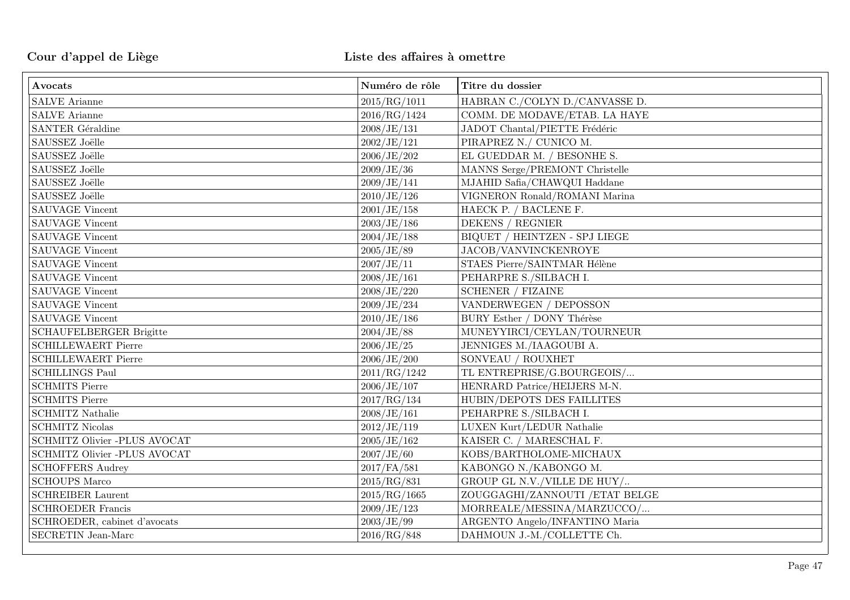| Avocats                        | Numéro de rôle | Titre du dossier                                |
|--------------------------------|----------------|-------------------------------------------------|
| <b>SALVE</b> Arianne           | 2015/RG/1011   | HABRAN C./COLYN D./CANVASSE D.                  |
| <b>SALVE Arianne</b>           | 2016/RG/1424   | COMM. DE MODAVE/ETAB. LA HAYE                   |
| SANTER Géraldine               | 2008/JE/131    | JADOT Chantal/PIETTE Frédéric                   |
| SAUSSEZ Joëlle                 | 2002/JE/121    | PIRAPREZ N./ CUNICO M.                          |
| SAUSSEZ Joëlle                 | 2006/JE/202    | EL GUEDDAR M. / BESONHE S.                      |
| SAUSSEZ Joëlle                 | 2009/JE/36     | MANNS Serge/PREMONT Christelle                  |
| SAUSSEZ Joëlle                 | 2009/JE/141    | MJAHID Safia/CHAWQUI Haddane                    |
| SAUSSEZ Joëlle                 | 2010/JE/126    | VIGNERON Ronald/ROMANI Marina                   |
| <b>SAUVAGE Vincent</b>         | 2001/JE/158    | HAECK P. / BACLENE F.                           |
| SAUVAGE Vincent                | 2003/JE/186    | DEKENS / REGNIER                                |
| <b>SAUVAGE Vincent</b>         | 2004/JE/188    | $\rm BIQUET$ / $\rm HEINTZEN$ - $\rm SPJ$ LIEGE |
| <b>SAUVAGE Vincent</b>         | 2005/JE/89     | JACOB/VANVINCKENROYE                            |
| <b>SAUVAGE Vincent</b>         | 2007/JE/11     | STAES Pierre/SAINTMAR Hélène                    |
| <b>SAUVAGE Vincent</b>         | 2008/JE/161    | PEHARPRE S./SILBACH I.                          |
| <b>SAUVAGE Vincent</b>         | 2008/JE/220    | <b>SCHENER / FIZAINE</b>                        |
| <b>SAUVAGE Vincent</b>         | 2009/JE/234    | VANDERWEGEN / DEPOSSON                          |
| SAUVAGE Vincent                | 2010/JE/186    | BURY Esther / DONY Thérèse                      |
| <b>SCHAUFELBERGER Brigitte</b> | 2004/JE/88     | MUNEYYIRCI/CEYLAN/TOURNEUR                      |
| <b>SCHILLEWAERT Pierre</b>     | 2006/JE/25     | JENNIGES M./IAAGOUBI A.                         |
| <b>SCHILLEWAERT Pierre</b>     | 2006/JE/200    | SONVEAU / ROUXHET                               |
| <b>SCHILLINGS Paul</b>         | 2011/RG/1242   | TL ENTREPRISE/G.BOURGEOIS/                      |
| <b>SCHMITS Pierre</b>          | 2006/JE/107    | HENRARD Patrice/HEIJERS M-N.                    |
| <b>SCHMITS Pierre</b>          | 2017/RG/134    | HUBIN/DEPOTS DES FAILLITES                      |
| <b>SCHMITZ Nathalie</b>        | 2008/JE/161    | PEHARPRE S./SILBACH I.                          |
| <b>SCHMITZ Nicolas</b>         | 2012/JE/119    | LUXEN Kurt/LEDUR Nathalie                       |
| SCHMITZ Olivier -PLUS AVOCAT   | 2005/JE/162    | KAISER C. / MARESCHAL F.                        |
| SCHMITZ Olivier -PLUS AVOCAT   | 2007/JE/60     | KOBS/BARTHOLOME-MICHAUX                         |
| <b>SCHOFFERS Audrey</b>        | 2017/FA/581    | KABONGO N./KABONGO M.                           |
| <b>SCHOUPS Marco</b>           | 2015/RG/831    | GROUP GL N.V./VILLE DE HUY/                     |
| <b>SCHREIBER Laurent</b>       | 2015/RG/1665   | ZOUGGAGHI/ZANNOUTI / ETAT BELGE                 |
| <b>SCHROEDER Francis</b>       | 2009/JE/123    | MORREALE/MESSINA/MARZUCCO/                      |
| SCHROEDER, cabinet d'avocats   | 2003/JE/99     | ARGENTO Angelo/INFANTINO Maria                  |
| SECRETIN Jean-Marc             | 2016/RG/848    | DAHMOUN J.-M./COLLETTE Ch.                      |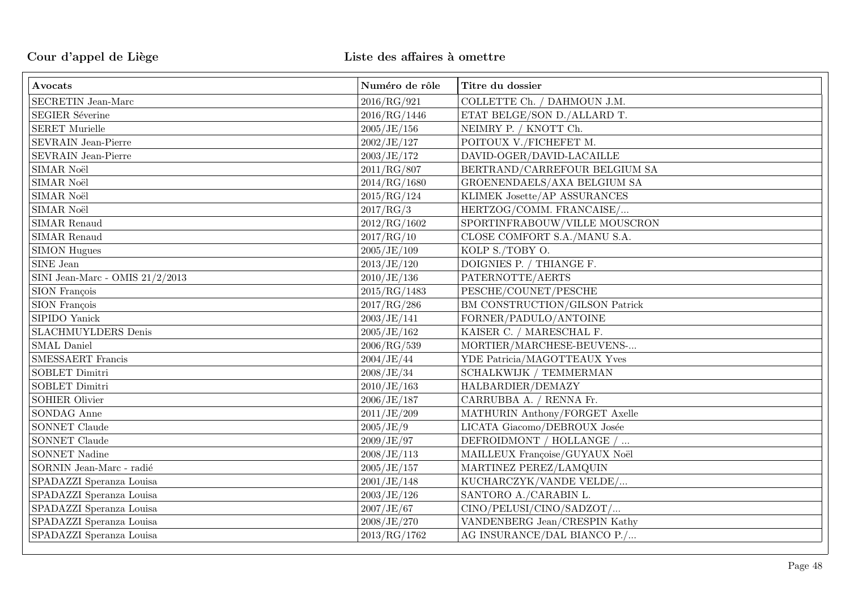| Avocats                           | Numéro de rôle | Titre du dossier               |
|-----------------------------------|----------------|--------------------------------|
| SECRETIN Jean-Marc                | 2016/RG/921    | COLLETTE Ch. / DAHMOUN J.M.    |
| <b>SEGIER Séverine</b>            | 2016/RG/1446   | ETAT BELGE/SON D./ALLARD T.    |
| <b>SERET Murielle</b>             | 2005/JE/156    | NEIMRY P. / KNOTT Ch.          |
| SEVRAIN Jean-Pierre               | 2002/JE/127    | POITOUX V./FICHEFET M.         |
| SEVRAIN Jean-Pierre               | 2003/JE/172    | DAVID-OGER/DAVID-LACAILLE      |
| SIMAR Noël                        | 2011/RG/807    | BERTRAND/CARREFOUR BELGIUM SA  |
| SIMAR Noël                        | 2014/RG/1680   | GROENENDAELS/AXA BELGIUM SA    |
| SIMAR Noël                        | 2015/RG/124    | KLIMEK Josette/AP ASSURANCES   |
| SIMAR Noël                        | 2017/RG/3      | HERTZOG/COMM. FRANCAISE/       |
| SIMAR Renaud                      | 2012/RG/1602   | SPORTINFRABOUW/VILLE MOUSCRON  |
| SIMAR Renaud                      | 2017/RG/10     | CLOSE COMFORT S.A./MANU S.A.   |
| <b>SIMON Hugues</b>               | 2005/JE/109    | KOLP S./TOBY O.                |
| SINE Jean                         | 2013/JE/120    | DOIGNIES P. / THIANGE F.       |
| SINI Jean-Marc - OMIS $21/2/2013$ | 2010/JE/136    | PATERNOTTE/AERTS               |
| SION François                     | 2015/RG/1483   | PESCHE/COUNET/PESCHE           |
| SION François                     | 2017/RG/286    | BM CONSTRUCTION/GILSON Patrick |
| SIPIDO Yanick                     | 2003/JE/141    | FORNER/PADULO/ANTOINE          |
| <b>SLACHMUYLDERS</b> Denis        | 2005/JE/162    | KAISER C. / MARESCHAL F.       |
| <b>SMAL</b> Daniel                | 2006/RG/539    | MORTIER/MARCHESE-BEUVENS-      |
| SMESSAERT Francis                 | 2004/JE/44     | YDE Patricia/MAGOTTEAUX Yves   |
| SOBLET Dimitri                    | 2008/JE/34     | SCHALKWIJK / TEMMERMAN         |
| SOBLET Dimitri                    | 2010/JE/163    | HALBARDIER/DEMAZY              |
| <b>SOHIER Olivier</b>             | 2006/JE/187    | CARRUBBA A. / RENNA Fr.        |
| SONDAG Anne                       | 2011/JE/209    | MATHURIN Anthony/FORGET Axelle |
| SONNET Claude                     | 2005/JE/9      | LICATA Giacomo/DEBROUX Josée   |
| SONNET Claude                     | 2009/JE/97     | DEFROIDMONT / HOLLANGE /       |
| <b>SONNET Nadine</b>              | 2008/JE/113    | MAILLEUX Françoise/GUYAUX Noël |
| SORNIN Jean-Marc - radié          | 2005/JE/157    | MARTINEZ PEREZ/LAMQUIN         |
| SPADAZZI Speranza Louisa          | 2001/JE/148    | KUCHARCZYK/VANDE VELDE/        |
| SPADAZZI Speranza Louisa          | 2003/JE/126    | SANTORO A./CARABIN L.          |
| SPADAZZI Speranza Louisa          | 2007/JE/67     | CINO/PELUSI/CINO/SADZOT/       |
| SPADAZZI Speranza Louisa          | 2008/JE/270    | VANDENBERG Jean/CRESPIN Kathy  |
| SPADAZZI Speranza Louisa          | 2013/RG/1762   | AG INSURANCE/DAL BIANCO P./    |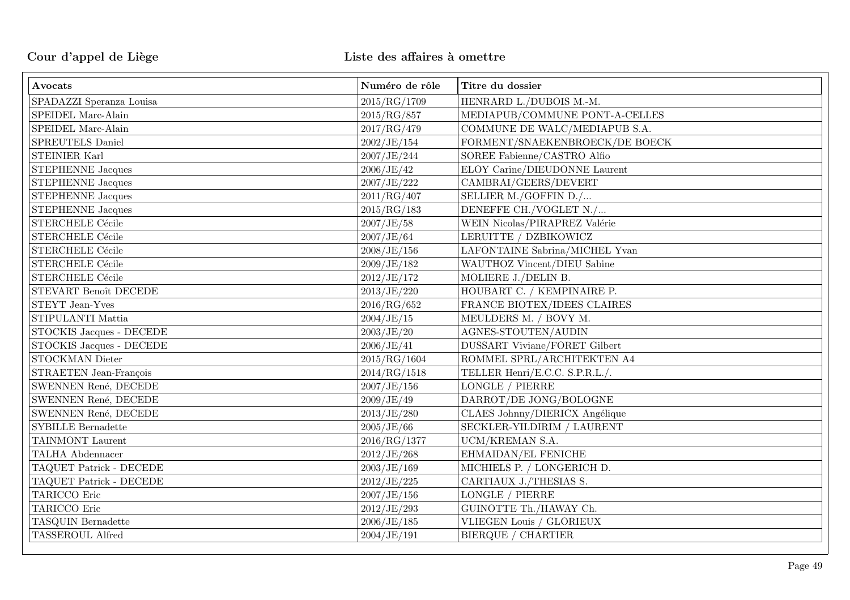| Avocats                             | Numéro de rôle | Titre du dossier                     |
|-------------------------------------|----------------|--------------------------------------|
| SPADAZZI Speranza Louisa            | 2015/RG/1709   | HENRARD L./DUBOIS M.-M.              |
| SPEIDEL Marc-Alain                  | 2015/RG/857    | MEDIAPUB/COMMUNE PONT-A-CELLES       |
| SPEIDEL Marc-Alain                  | 2017/RG/479    | COMMUNE DE WALC/MEDIAPUB S.A.        |
| SPREUTELS Daniel                    | 2002/JE/154    | FORMENT/SNAEKENBROECK/DE BOECK       |
| <b>STEINIER Karl</b>                | 2007/JE/244    | SOREE Fabienne/CASTRO Alfio          |
| <b>STEPHENNE Jacques</b>            | 2006/JE/42     | ELOY Carine/DIEUDONNE Laurent        |
| <b>STEPHENNE Jacques</b>            | 2007/JE/222    | CAMBRAI/GEERS/DEVERT                 |
| <b>STEPHENNE</b> Jacques            | 2011/RG/407    | SELLIER M./GOFFIN D./                |
| <b>STEPHENNE Jacques</b>            | 2015/RG/183    | DENEFFE CH./VOGLET N./               |
| $\tt{STERCHELE}$ Cécile             | 2007/JE/58     | WEIN Nicolas/PIRAPREZ Valérie        |
| STERCHELE Cécile                    | 2007/JE/64     | LERUITTE / DZBIKOWICZ                |
| STERCHELE Cécile                    | 2008/JE/156    | LAFONTAINE Sabrina/MICHEL Yvan       |
| STERCHELE Cécile                    | 2009/JE/182    | WAUTHOZ Vincent/DIEU Sabine          |
| STERCHELE Cécile                    | 2012/JE/172    | MOLIERE J./DELIN B.                  |
| STEVART Benoît DECEDE               | 2013/JE/220    | HOUBART C. / KEMPINAIRE P.           |
| STEYT Jean-Yves                     | 2016/RG/652    | FRANCE BIOTEX/IDEES CLAIRES          |
| STIPULANTI Mattia                   | 2004/JE/15     | MEULDERS M. / BOVY M.                |
| STOCKIS Jacques - DECEDE            | 2003/JE/20     | AGNES-STOUTEN/AUDIN                  |
| STOCKIS Jacques - DECEDE            | 2006/JE/41     | <b>DUSSART Viviane/FORET Gilbert</b> |
| STOCKMAN Dieter                     | 2015/RG/1604   | ROMMEL SPRL/ARCHITEKTEN A4           |
| STRAETEN Jean-François              | 2014/RG/1518   | TELLER Henri/E.C.C. S.P.R.L./.       |
| SWENNEN René, DECEDE                | 2007/JE/156    | LONGLE / PIERRE                      |
| SWENNEN René, DECEDE                | 2009/JE/49     | DARROT/DE JONG/BOLOGNE               |
| SWENNEN René, DECEDE                | 2013/JE/280    | CLAES Johnny/DIERICX Angélique       |
| $\operatorname{SYBILLE}$ Bernadette | 2005/JE/66     | SECKLER-YILDIRIM / LAURENT           |
| TAINMONT Laurent                    | 2016/RG/1377   | UCM/KREMAN S.A.                      |
| TALHA Abdennacer                    | 2012/JE/268    | EHMAIDAN/EL FENICHE                  |
| TAQUET Patrick - DECEDE             | 2003/JE/169    | MICHIELS P. / LONGERICH D.           |
| TAQUET Patrick - DECEDE             | 2012/JE/225    | CARTIAUX J./THESIAS S.               |
| TARICCO Eric                        | 2007/JE/156    | LONGLE / PIERRE                      |
| TARICCO Eric                        | 2012/JE/293    | GUINOTTE Th./HAWAY Ch.               |
| TASQUIN Bernadette                  | 2006/JE/185    | VLIEGEN Louis / GLORIEUX             |
| TASSEROUL Alfred                    | 2004/JE/191    | <b>BIERQUE / CHARTIER</b>            |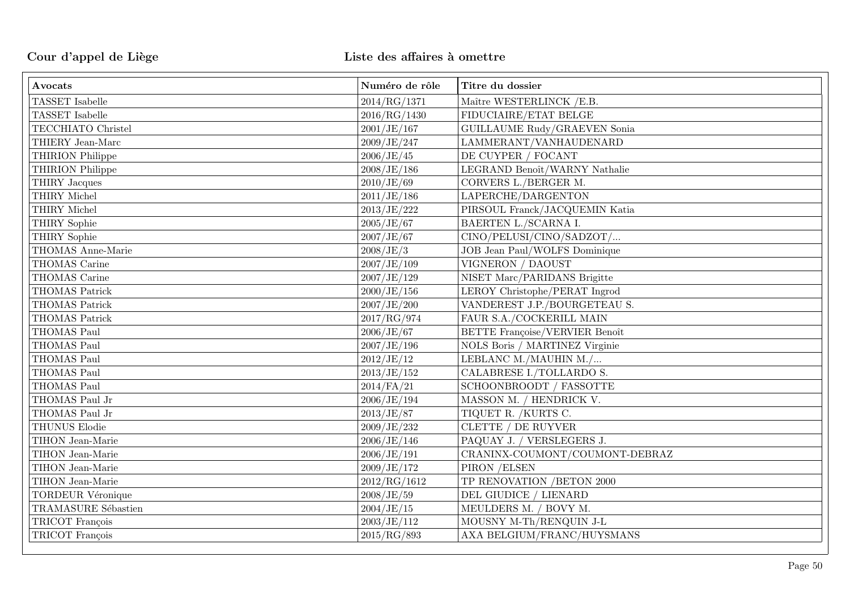| Avocats                  | Numéro de rôle | Titre du dossier                      |
|--------------------------|----------------|---------------------------------------|
| <b>TASSET</b> Isabelle   | 2014/RG/1371   | Maître WESTERLINCK / E.B.             |
| <b>TASSET</b> Isabelle   | 2016/RG/1430   | FIDUCIAIRE/ETAT BELGE                 |
| TECCHIATO Christel       | 2001/JE/167    | GUILLAUME Rudy/GRAEVEN Sonia          |
| THIERY Jean-Marc         | 2009/JE/247    | LAMMERANT/VANHAUDENARD                |
| THIRION Philippe         | 2006/JE/45     | DE CUYPER / FOCANT                    |
| THIRION Philippe         | 2008/JE/186    | LEGRAND Benoît/WARNY Nathalie         |
| THIRY Jacques            | 2010/JE/69     | CORVERS L./BERGER M.                  |
| THIRY Michel             | 2011/JE/186    | LAPERCHE/DARGENTON                    |
| THIRY Michel             | 2013/JE/222    | PIRSOUL Franck/JACQUEMIN Katia        |
| THIRY Sophie             | 2005/JE/67     | BAERTEN L./SCARNA I.                  |
| THIRY Sophie             | 2007/JE/67     | CINO/PELUSI/CINO/SADZOT/              |
| THOMAS Anne-Marie        | 2008/JE/3      | JOB Jean Paul/WOLFS Dominique         |
| THOMAS Carine            | 2007/JE/109    | VIGNERON / DAOUST                     |
| THOMAS Carine            | 2007/JE/129    | NISET Marc/PARIDANS Brigitte          |
| <b>THOMAS Patrick</b>    | 2000/JE/156    | LEROY Christophe/PERAT Ingrod         |
| <b>THOMAS Patrick</b>    | 2007/JE/200    | VANDEREST J.P./BOURGETEAU S.          |
| THOMAS Patrick           | 2017/RG/974    | FAUR S.A./COCKERILL MAIN              |
| THOMAS Paul              | 2006/JE/67     | <b>BETTE Françoise/VERVIER Benoît</b> |
| THOMAS Paul              | 2007/JE/196    | NOLS Boris / MARTINEZ Virginie        |
| THOMAS Paul              | 2012/JE/12     | LEBLANC M./MAUHIN M./                 |
| THOMAS Paul              | 2013/JE/152    | CALABRESE I./TOLLARDO S.              |
| THOMAS Paul              | $2014$ /FA/21  | SCHOONBROODT / FASSOTTE               |
| THOMAS Paul Jr           | 2006/JE/194    | MASSON M. / HENDRICK V.               |
| THOMAS Paul Jr           | 2013/JE/87     | TIQUET R. /KURTS C.                   |
| THUNUS Elodie            | 2009/JE/232    | CLETTE / DE RUYVER                    |
| TIHON Jean-Marie         | 2006/JE/146    | PAQUAY J. / VERSLEGERS J.             |
| TIHON Jean-Marie         | 2006/JE/191    | CRANINX-COUMONT/COUMONT-DEBRAZ        |
| TIHON Jean-Marie         | 2009/JE/172    | PIRON / ELSEN                         |
| TIHON Jean-Marie         | 2012/RG/1612   | TP RENOVATION /BETON 2000             |
| <b>TORDEUR Véronique</b> | 2008/JE/59     | DEL GIUDICE / LIENARD                 |
| TRAMASURE Sébastien      | 2004/JE/15     | MEULDERS M. / BOVY M.                 |
| TRICOT François          | 2003/JE/112    | MOUSNY M-Th/RENQUIN J-L               |
| TRICOT François          | 2015/RG/893    | AXA BELGIUM/FRANC/HUYSMANS            |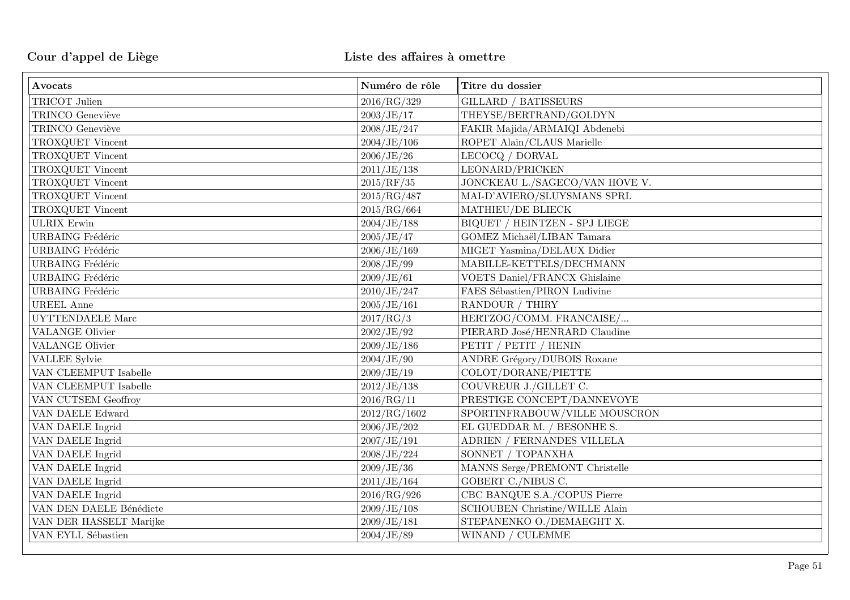| Avocats                 | Numéro de rôle | Titre du dossier                      |
|-------------------------|----------------|---------------------------------------|
| TRICOT Julien           | 2016/RG/329    | <b>GILLARD / BATISSEURS</b>           |
| TRINCO Geneviève        | 2003/JE/17     | THEYSE/BERTRAND/GOLDYN                |
| TRINCO Geneviève        | 2008/JE/247    | FAKIR Majida/ARMAIQI Abdenebi         |
| TROXQUET Vincent        | 2004/JE/106    | ROPET Alain/CLAUS Marielle            |
| TROXQUET Vincent        | 2006/JE/26     | LECOCQ / DORVAL                       |
| TROXQUET Vincent        | 2011/JE/138    | LEONARD/PRICKEN                       |
| TROXQUET Vincent        | 2015/RF/35     | JONCKEAU L./SAGECO/VAN HOVE V.        |
| TROXQUET Vincent        | 2015/RG/487    | MAI-D'AVIERO/SLUYSMANS SPRL           |
| TROXQUET Vincent        | 2015/RG/664    | MATHIEU/DE BLIECK                     |
| <b>ULRIX</b> Erwin      | 2004/JE/188    | BIQUET / HEINTZEN - SPJ LIEGE         |
| <b>URBAING</b> Frédéric | 2005/JE/47     | GOMEZ Michaël/LIBAN Tamara            |
| <b>URBAING</b> Frédéric | 2006/JE/169    | MIGET Yasmina/DELAUX Didier           |
| <b>URBAING</b> Frédéric | 2008/JE/99     | MABILLE-KETTELS/DECHMANN              |
| <b>URBAING</b> Frédéric | 2009/JE/61     | <b>VOETS Daniel/FRANCX Ghislaine</b>  |
| <b>URBAING</b> Frédéric | 2010/JE/247    | FAES Sébastien/PIRON Ludivine         |
| <b>UREEL Anne</b>       | 2005/JE/161    | RANDOUR / THIRY                       |
| UYTTENDAELE Marc        | 2017/RG/3      | HERTZOG/COMM. FRANCAISE/              |
| <b>VALANGE Olivier</b>  | 2002/JE/92     | PIERARD José/HENRARD Claudine         |
| <b>VALANGE Olivier</b>  | 2009/JE/186    | PETIT / PETIT / HENIN                 |
| VALLEE Sylvie           | 2004/JE/90     | <b>ANDRE Grégory/DUBOIS Roxane</b>    |
| VAN CLEEMPUT Isabelle   | 2009/JE/19     | COLOT/DORANE/PIETTE                   |
| VAN CLEEMPUT Isabelle   | 2012/JE/138    | COUVREUR J./GILLET C.                 |
| VAN CUTSEM Geoffroy     | 2016/RG/11     | PRESTIGE CONCEPT/DANNEVOYE            |
| VAN DAELE Edward        | 2012/RG/1602   | SPORTINFRABOUW/VILLE MOUSCRON         |
| VAN DAELE Ingrid        | 2006/JE/202    | EL GUEDDAR M. / BESONHE S.            |
| VAN DAELE Ingrid        | 2007/JE/191    | ADRIEN / FERNANDES VILLELA            |
| VAN DAELE Ingrid        | 2008/JE/224    | SONNET / TOPANXHA                     |
| VAN DAELE Ingrid        | 2009/JE/36     | MANNS Serge/PREMONT Christelle        |
| VAN DAELE Ingrid        | 2011/JE/164    | GOBERT C./NIBUS C.                    |
| VAN DAELE Ingrid        | 2016/RG/926    | CBC BANQUE S.A./COPUS Pierre          |
| VAN DEN DAELE Bénédicte | 2009/JE/108    | <b>SCHOUBEN Christine/WILLE Alain</b> |
| VAN DER HASSELT Marijke | 2009/JE/181    | STEPANENKO O./DEMAEGHT X.             |
| VAN EYLL Sébastien      | 2004/JE/89     | WINAND / CULEMME                      |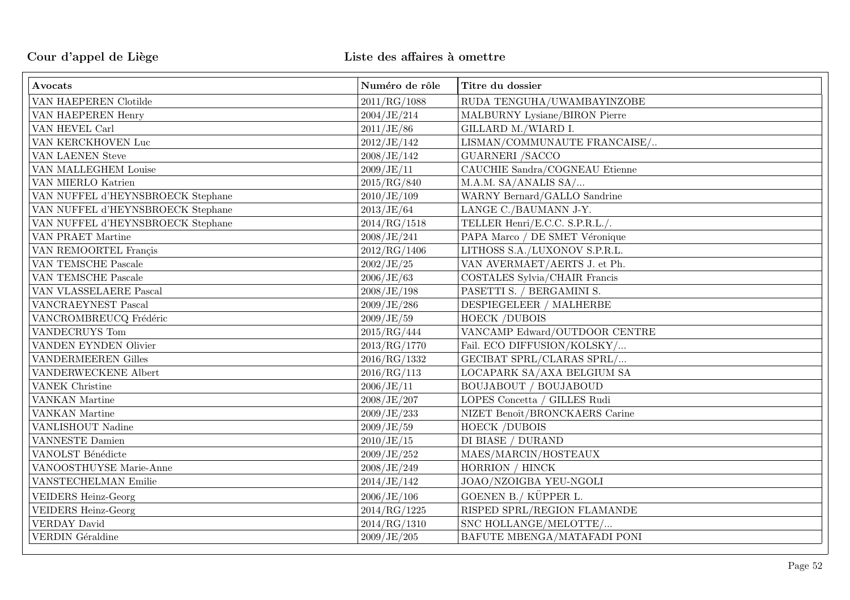| Avocats                           | Numéro de rôle | Titre du dossier               |
|-----------------------------------|----------------|--------------------------------|
| VAN HAEPEREN Clotilde             | 2011/RG/1088   | RUDA TENGUHA/UWAMBAYINZOBE     |
| VAN HAEPEREN Henry                | 2004/JE/214    | MALBURNY Lysiane/BIRON Pierre  |
| VAN HEVEL Carl                    | 2011/JE/86     | GILLARD M./WIARD I.            |
| VAN KERCKHOVEN Luc                | 2012/JE/142    | LISMAN/COMMUNAUTE FRANCAISE/   |
| VAN LAENEN Steve                  | 2008/JE/142    | <b>GUARNERI /SACCO</b>         |
| VAN MALLEGHEM Louise              | 2009/JE/11     | CAUCHIE Sandra/COGNEAU Etienne |
| VAN MIERLO Katrien                | 2015/RG/840    | M.A.M. SA/ANALIS SA/           |
| VAN NUFFEL d'HEYNSBROECK Stephane | 2010/JE/109    | WARNY Bernard/GALLO Sandrine   |
| VAN NUFFEL d'HEYNSBROECK Stephane | 2013/JE/64     | LANGE C./BAUMANN J-Y.          |
| VAN NUFFEL d'HEYNSBROECK Stephane | 2014/RG/1518   | TELLER Henri/E.C.C. S.P.R.L./. |
| VAN PRAET Martine                 | 2008/JE/241    | PAPA Marco / DE SMET Véronique |
| VAN REMOORTEL Francis             | 2012/RG/1406   | LITHOSS S.A./LUXONOV S.P.R.L.  |
| VAN TEMSCHE Pascale               | 2002/JE/25     | VAN AVERMAET/AERTS J. et Ph.   |
| VAN TEMSCHE Pascale               | 2006/JE/63     | COSTALES Sylvia/CHAIR Francis  |
| VAN VLASSELAERE Pascal            | 2008/JE/198    | PASETTI S. / BERGAMINI S.      |
| <b>VANCRAEYNEST Pascal</b>        | 2009/JE/286    | DESPIEGELEER / MALHERBE        |
| VANCROMBREUCQ Frédéric            | 2009/JE/59     | HOECK /DUBOIS                  |
| VANDECRUYS Tom                    | 2015/RG/444    | VANCAMP Edward/OUTDOOR CENTRE  |
| VANDEN EYNDEN Olivier             | 2013/RG/1770   | Fail. ECO DIFFUSION/KOLSKY/    |
| <b>VANDERMEEREN Gilles</b>        | 2016/RG/1332   | GECIBAT SPRL/CLARAS SPRL/      |
| VANDERWECKENE Albert              | 2016/RG/113    | LOCAPARK SA/AXA BELGIUM SA     |
| <b>VANEK</b> Christine            | 2006/JE/11     | <b>BOUJABOUT / BOUJABOUD</b>   |
| VANKAN Martine                    | 2008/JE/207    | LOPES Concetta / GILLES Rudi   |
| VANKAN Martine                    | 2009/JE/233    | NIZET Benoît/BRONCKAERS Carine |
| VANLISHOUT Nadine                 | 2009/JE/59     | <b>HOECK /DUBOIS</b>           |
| VANNESTE Damien                   | 2010/JE/15     | DI BIASE / DURAND              |
| VANOLST Bénédicte                 | 2009/JE/252    | MAES/MARCIN/HOSTEAUX           |
| VANOOSTHUYSE Marie-Anne           | 2008/JE/249    | HORRION / HINCK                |
| VANSTECHELMAN Emilie              | 2014/JE/142    | JOAO/NZOIGBA YEU-NGOLI         |
| <b>VEIDERS Heinz-Georg</b>        | 2006/JE/106    | GOENEN B./ KÜPPER L.           |
| <b>VEIDERS Heinz-Georg</b>        | 2014/RG/1225   | RISPED SPRL/REGION FLAMANDE    |
| <b>VERDAY David</b>               | 2014/RG/1310   | SNC HOLLANGE/MELOTTE/          |
| <b>VERDIN</b> Géraldine           | 2009/JE/205    | BAFUTE MBENGA/MATAFADI PONI    |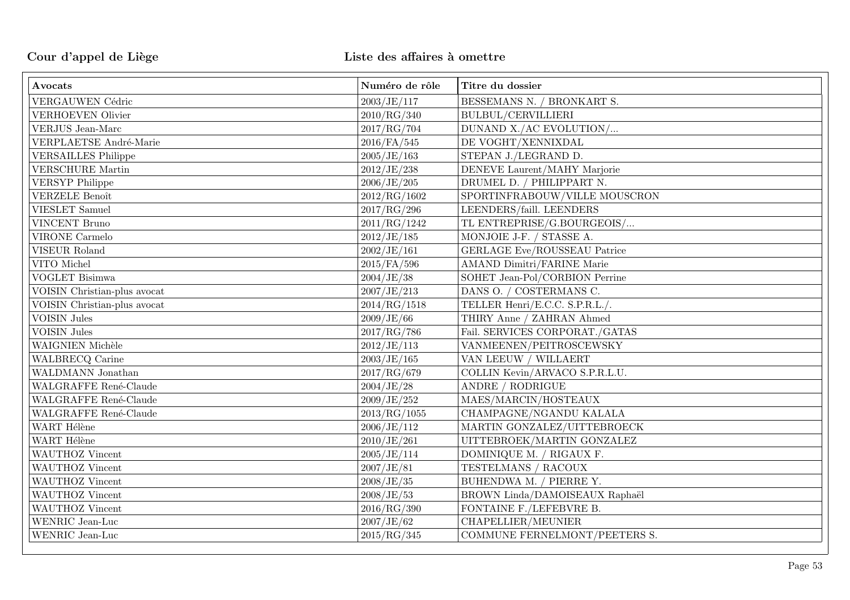| Avocats                      | Numéro de rôle | Titre du dossier                    |
|------------------------------|----------------|-------------------------------------|
| VERGAUWEN Cédric             | 2003/JE/117    | BESSEMANS N. / BRONKART S.          |
| <b>VERHOEVEN Olivier</b>     | 2010/RG/340    | <b>BULBUL/CERVILLIERI</b>           |
| <b>VERJUS</b> Jean-Marc      | 2017/RG/704    | DUNAND X./AC EVOLUTION/             |
| VERPLAETSE André-Marie       | $2016$ /FA/545 | DE VOGHT/XENNIXDAL                  |
| <b>VERSAILLES Philippe</b>   | 2005/JE/163    | STEPAN J./LEGRAND D.                |
| <b>VERSCHURE</b> Martin      | 2012/JE/238    | DENEVE Laurent/MAHY Marjorie        |
| <b>VERSYP Philippe</b>       | 2006/JE/205    | DRUMEL D. / PHILIPPART N.           |
| <b>VERZELE Benoît</b>        | 2012/RG/1602   | SPORTINFRABOUW/VILLE MOUSCRON       |
| <b>VIESLET</b> Samuel        | 2017/RG/296    | LEENDERS/faill. LEENDERS            |
| <b>VINCENT Bruno</b>         | 2011/RG/1242   | TL ENTREPRISE/G.BOURGEOIS/          |
| <b>VIRONE</b> Carmelo        | 2012/JE/185    | MONJOIE J-F. / STASSE A.            |
| <b>VISEUR Roland</b>         | 2002/JE/161    | <b>GERLAGE Eve/ROUSSEAU Patrice</b> |
| VITO Michel                  | $2015$ /FA/596 | <b>AMAND Dimitri/FARINE Marie</b>   |
| <b>VOGLET Bisimwa</b>        | 2004/JE/38     | SOHET Jean-Pol/CORBION Perrine      |
| VOISIN Christian-plus avocat | 2007/JE/213    | DANS O. / COSTERMANS C.             |
| VOISIN Christian-plus avocat | 2014/RG/1518   | TELLER Henri/E.C.C. S.P.R.L./.      |
| $\sqrt{\rm VOISIN}$ Jules    | 2009/JE/66     | THIRY Anne / ZAHRAN Ahmed           |
| <b>VOISIN</b> Jules          | 2017/RG/786    | Fail. SERVICES CORPORAT./GATAS      |
| WAIGNIEN Michèle             | 2012/JE/113    | VANMEENEN/PEITROSCEWSKY             |
| WALBRECQ Carine              | 2003/JE/165    | VAN LEEUW / WILLAERT                |
| WALDMANN Jonathan            | 2017/RG/679    | COLLIN Kevin/ARVACO S.P.R.L.U.      |
| WALGRAFFE René-Claude        | 2004/JE/28     | ANDRE / RODRIGUE                    |
| WALGRAFFE René-Claude        | 2009/JE/252    | MAES/MARCIN/HOSTEAUX                |
| WALGRAFFE René-Claude        | 2013/RG/1055   | CHAMPAGNE/NGANDU KALALA             |
| WART Hélène                  | 2006/JE/112    | MARTIN GONZALEZ/UITTEBROECK         |
| WART Hélène                  | 2010/JE/261    | UITTEBROEK/MARTIN GONZALEZ          |
| WAUTHOZ Vincent              | 2005/JE/114    | DOMINIQUE M. / RIGAUX F.            |
| WAUTHOZ Vincent              | 2007/JE/81     | TESTELMANS / RACOUX                 |
| WAUTHOZ Vincent              | 2008/JE/35     | BUHENDWA M. / PIERRE Y.             |
| WAUTHOZ Vincent              | 2008/JE/53     | BROWN Linda/DAMOISEAUX Raphaël      |
| WAUTHOZ Vincent              | 2016/RG/390    | FONTAINE F./LEFEBVRE B.             |
| WENRIC Jean-Luc              | 2007/JE/62     | CHAPELLIER/MEUNIER                  |
| WENRIC Jean-Luc              | 2015/RG/345    | COMMUNE FERNELMONT/PEETERS S.       |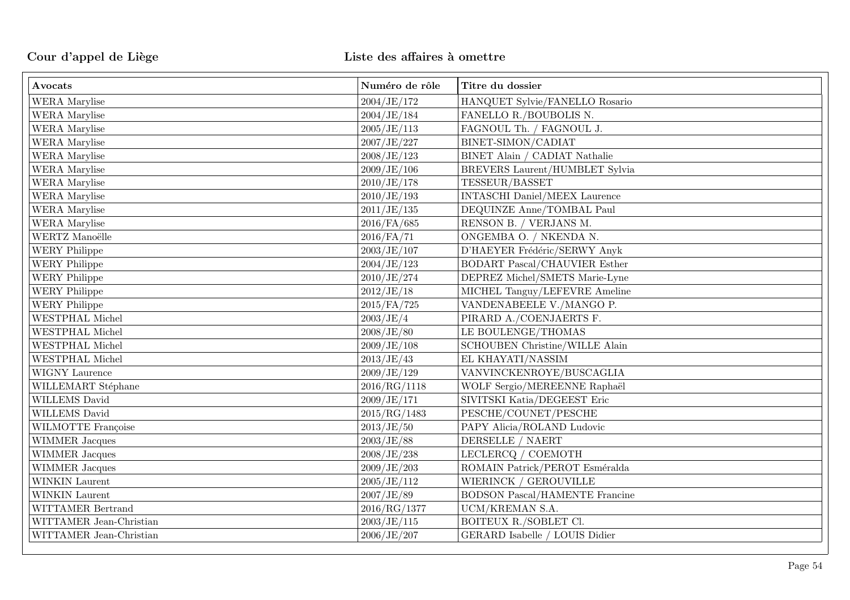| Avocats                 | Numéro de rôle | Titre du dossier                      |
|-------------------------|----------------|---------------------------------------|
| WERA Marylise           | 2004/JE/172    | HANQUET Sylvie/FANELLO Rosario        |
| WERA Marylise           | 2004/JE/184    | FANELLO R./BOUBOLIS N.                |
| WERA Marylise           | 2005/JE/113    | FAGNOUL Th. / FAGNOUL J.              |
| WERA Marylise           | 2007/JE/227    | BINET-SIMON/CADIAT                    |
| WERA Marylise           | 2008/JE/123    | BINET Alain / CADIAT Nathalie         |
| WERA Marylise           | 2009/JE/106    | BREVERS Laurent/HUMBLET Sylvia        |
| WERA Marylise           | 2010/JE/178    | TESSEUR/BASSET                        |
| WERA Marylise           | 2010/JE/193    | <b>INTASCHI Daniel/MEEX Laurence</b>  |
| WERA Marylise           | 2011/JE/135    | DEQUINZE Anne/TOMBAL Paul             |
| WERA Marylise           | 2016/FA/685    | RENSON B. / VERJANS M.                |
| WERTZ Manoëlle          | $2016$ /FA/71  | ONGEMBA O. / NKENDA N.                |
| <b>WERY Philippe</b>    | 2003/JE/107    | D'HAEYER Frédéric/SERWY Anyk          |
| <b>WERY Philippe</b>    | 2004/JE/123    | <b>BODART Pascal/CHAUVIER Esther</b>  |
| <b>WERY Philippe</b>    | 2010/JE/274    | DEPREZ Michel/SMETS Marie-Lyne        |
| <b>WERY Philippe</b>    | 2012/JE/18     | MICHEL Tanguy/LEFEVRE Ameline         |
| <b>WERY Philippe</b>    | 2015/FA/725    | VANDENABEELE V./MANGO P.              |
| <b>WESTPHAL Michel</b>  | 2003/JE/4      | PIRARD A./COENJAERTS F.               |
| WESTPHAL Michel         | 2008/JE/80     | LE BOULENGE/THOMAS                    |
| <b>WESTPHAL Michel</b>  | 2009/JE/108    | <b>SCHOUBEN Christine/WILLE Alain</b> |
| <b>WESTPHAL Michel</b>  | 2013/JE/43     | EL KHAYATI/NASSIM                     |
| WIGNY Laurence          | 2009/JE/129    | VANVINCKENROYE/BUSCAGLIA              |
| WILLEMART Stéphane      | 2016/RG/1118   | WOLF Sergio/MEREENNE Raphaël          |
| WILLEMS David           | 2009/JE/171    | SIVITSKI Katia/DEGEEST Eric           |
| WILLEMS David           | 2015/RG/1483   | PESCHE/COUNET/PESCHE                  |
| WILMOTTE Françoise      | 2013/JE/50     | PAPY Alicia/ROLAND Ludovic            |
| <b>WIMMER Jacques</b>   | 2003/JE/88     | DERSELLE / NAERT                      |
| <b>WIMMER Jacques</b>   | 2008/JE/238    | LECLERCQ / COEMOTH                    |
| WIMMER Jacques          | 2009/JE/203    | ROMAIN Patrick/PEROT Esméralda        |
| WINKIN Laurent          | 2005/JE/112    | WIERINCK / GEROUVILLE                 |
| WINKIN Laurent          | 2007/JE/89     | <b>BODSON Pascal/HAMENTE Francine</b> |
| WITTAMER Bertrand       | 2016/RG/1377   | UCM/KREMAN S.A.                       |
| WITTAMER Jean-Christian | 2003/JE/115    | BOITEUX R./SOBLET Cl.                 |
| WITTAMER Jean-Christian | 2006/JE/207    | GERARD Isabelle / LOUIS Didier        |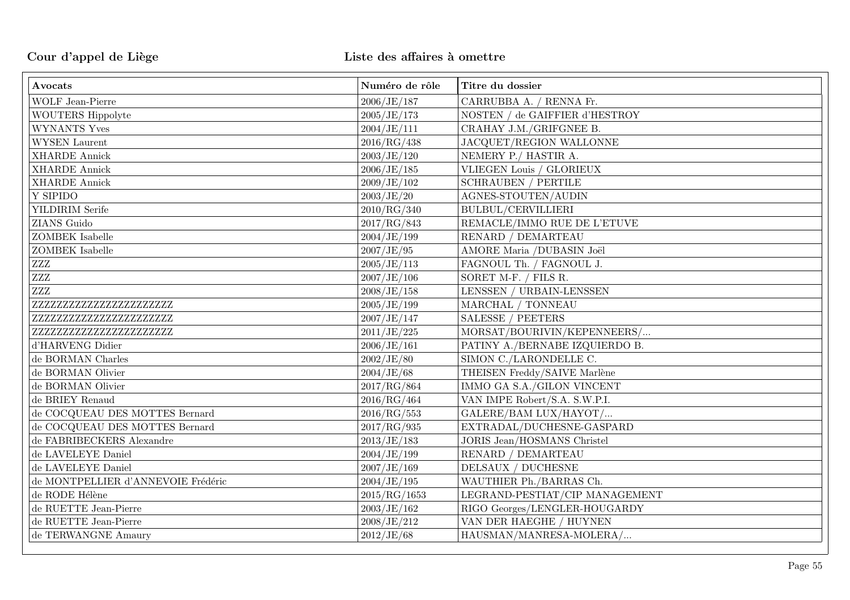| Avocats                            | Numéro de rôle | Titre du dossier               |
|------------------------------------|----------------|--------------------------------|
| WOLF Jean-Pierre                   | 2006/JE/187    | CARRUBBA A. / RENNA Fr.        |
| WOUTERS Hippolyte                  | 2005/JE/173    | NOSTEN / de GAIFFIER d'HESTROY |
| <b>WYNANTS Yves</b>                | 2004/JE/111    | CRAHAY J.M./GRIFGNEE B.        |
| <b>WYSEN</b> Laurent               | 2016/RG/438    | <b>JACQUET/REGION WALLONNE</b> |
| <b>XHARDE Annick</b>               | 2003/JE/120    | NEMERY P./ HASTIR A.           |
| <b>XHARDE Annick</b>               | 2006/JE/185    | VLIEGEN Louis / GLORIEUX       |
| <b>XHARDE Annick</b>               | 2009/JE/102    | <b>SCHRAUBEN / PERTILE</b>     |
| Y SIPIDO                           | 2003/JE/20     | AGNES-STOUTEN/AUDIN            |
| <b>YILDIRIM</b> Serife             | 2010/RG/340    | BULBUL/CERVILLIERI             |
| ZIANS Guido                        | 2017/RG/843    | REMACLE/IMMO RUE DE L'ETUVE    |
| <b>ZOMBEK</b> Isabelle             | 2004/JE/199    | RENARD / DEMARTEAU             |
| <b>ZOMBEK</b> Isabelle             | 2007/JE/95     | AMORE Maria /DUBASIN Joël      |
| ZZZ                                | 2005/JE/113    | FAGNOUL Th. / FAGNOUL J.       |
| $\ensuremath{\text{ZZZ}}$          | 2007/JE/106    | SORET M-F. / FILS R.           |
| $\ensuremath{\text{ZZZ}}$          | 2008/JE/158    | LENSSEN / URBAIN-LENSSEN       |
| ZZZZZZZZZZZZZZZZZZZZZZZZZ          | 2005/JE/199    | MARCHAL / TONNEAU              |
| ZZZZZZZZZZZZZZZZZZZZZZZZZ          | 2007/JE/147    | <b>SALESSE / PEETERS</b>       |
| ZZZZZZZZZZZZZZZZZZZZZZZZ           | 2011/JE/225    | MORSAT/BOURIVIN/KEPENNEERS/    |
| d'HARVENG Didier                   | 2006/JE/161    | PATINY A./BERNABE IZQUIERDO B. |
| de BORMAN Charles                  | 2002/JE/80     | SIMON C./LARONDELLE C.         |
| de BORMAN Olivier                  | 2004/JE/68     | THEISEN Freddy/SAIVE Marlène   |
| de BORMAN Olivier                  | 2017/RG/864    | IMMO GA S.A./GILON VINCENT     |
| de BRIEY Renaud                    | 2016/RG/464    | VAN IMPE Robert/S.A. S.W.P.I.  |
| de COCQUEAU DES MOTTES Bernard     | 2016/RG/553    | GALERE/BAM LUX/HAYOT/          |
| de COCQUEAU DES MOTTES Bernard     | 2017/RG/935    | EXTRADAL/DUCHESNE-GASPARD      |
| de FABRIBECKERS Alexandre          | 2013/JE/183    | JORIS Jean/HOSMANS Christel    |
| de LAVELEYE Daniel                 | 2004/JE/199    | RENARD / DEMARTEAU             |
| de LAVELEYE Daniel                 | 2007/JE/169    | DELSAUX / DUCHESNE             |
| de MONTPELLIER d'ANNEVOIE Frédéric | 2004/JE/195    | WAUTHIER Ph./BARRAS Ch.        |
| de RODE Hélène                     | 2015/RG/1653   | LEGRAND-PESTIAT/CIP MANAGEMENT |
| de RUETTE Jean-Pierre              | 2003/JE/162    | RIGO Georges/LENGLER-HOUGARDY  |
| de RUETTE Jean-Pierre              | 2008/JE/212    | VAN DER HAEGHE / HUYNEN        |
| de TERWANGNE Amaury                | 2012/JE/68     | HAUSMAN/MANRESA-MOLERA/        |